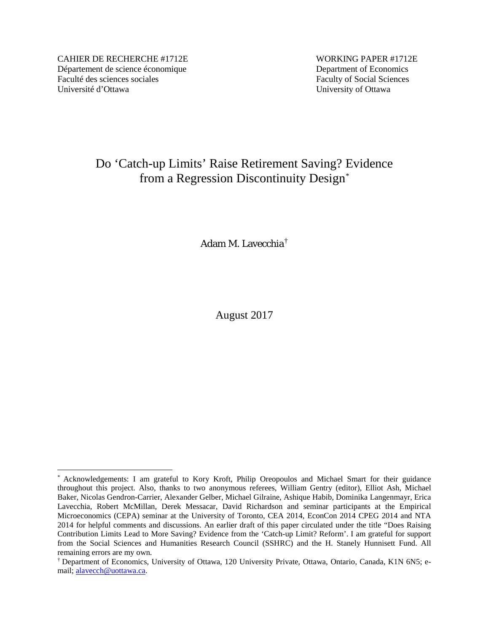CAHIER DE RECHERCHE #1712E WORKING PAPER #1712E Département de science économique Department of Economics Faculté des sciences sociales Faculty of Social Sciences Université d'Ottawa University of Ottawa

# Do 'Catch-up Limits' Raise Retirement Saving? Evidence from a Regression Discontinuity Design[\\*](#page-0-1)

Adam M. Lavecchia[†](#page-0-0)

August 2017

<span id="page-0-1"></span> <sup>\*</sup> Acknowledgements: I am grateful to Kory Kroft, Philip Oreopoulos and Michael Smart for their guidance throughout this project. Also, thanks to two anonymous referees, William Gentry (editor), Elliot Ash, Michael Baker, Nicolas Gendron-Carrier, Alexander Gelber, Michael Gilraine, Ashique Habib, Dominika Langenmayr, Erica Lavecchia, Robert McMillan, Derek Messacar, David Richardson and seminar participants at the Empirical Microeconomics (CEPA) seminar at the University of Toronto, CEA 2014, EconCon 2014 CPEG 2014 and NTA 2014 for helpful comments and discussions. An earlier draft of this paper circulated under the title "Does Raising Contribution Limits Lead to More Saving? Evidence from the 'Catch-up Limit? Reform'. I am grateful for support from the Social Sciences and Humanities Research Council (SSHRC) and the H. Stanely Hunnisett Fund. All remaining errors are my own.

<span id="page-0-0"></span><sup>†</sup> Department of Economics, University of Ottawa, 120 University Private, Ottawa, Ontario, Canada, K1N 6N5; email; [alavecch@uottawa.ca.](mailto:alavecch@uottawa.ca)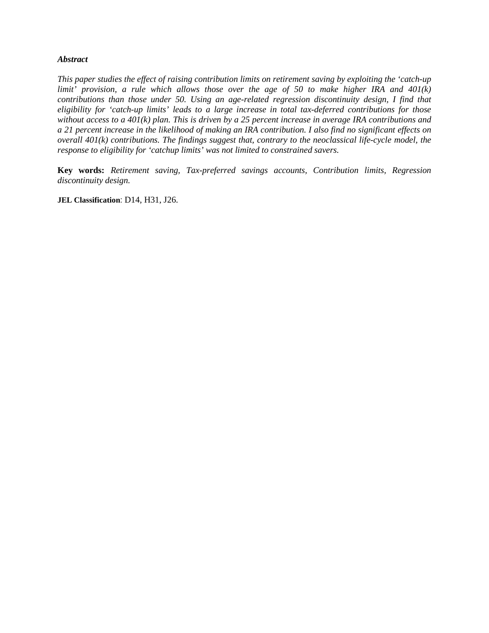## *Abstract*

*This paper studies the effect of raising contribution limits on retirement saving by exploiting the 'catch-up limit' provision, a rule which allows those over the age of 50 to make higher IRA and 401(k) contributions than those under 50. Using an age-related regression discontinuity design, I find that eligibility for 'catch-up limits' leads to a large increase in total tax-deferred contributions for those without access to a 401(k) plan. This is driven by a 25 percent increase in average IRA contributions and a 21 percent increase in the likelihood of making an IRA contribution. I also find no significant effects on overall 401(k) contributions. The findings suggest that, contrary to the neoclassical life-cycle model, the response to eligibility for 'catchup limits' was not limited to constrained savers.*

**Key words:** *Retirement saving, Tax-preferred savings accounts, Contribution limits, Regression discontinuity design.*

**JEL Classification**: D14, H31, J26.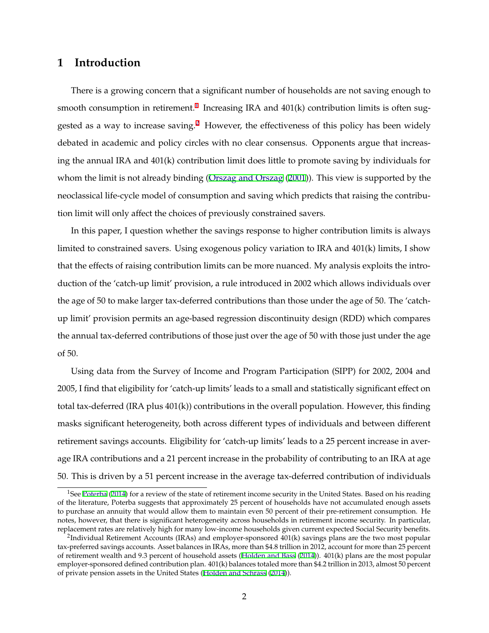# **1 Introduction**

There is a growing concern that a significant number of households are not saving enough to smooth consumption in retirement.<sup>1</sup> Increasing IRA and  $401(k)$  contribution limits is often suggested as a way to increase saving.<sup>2</sup> However, the effectiveness of this policy has been widely debated in academic and policy circles with no clear consensus. Opponents argue that increasing the annual IRA and 401(k) contribution limit does little to promote saving by individuals for whom the limit is not already binding ([Orszag and Orszag](#page-29-0) [\(2001\)](#page-29-0)). This view is supported by the neoclassical life-cycle model of consumption and saving which predicts that raising the contribution limit will only affect the choices of previously constrained savers.

In this paper, I question whether the savings response to higher contribution limits is always limited to constrained savers. Using exogenous policy variation to IRA and 401(k) limits, I show that the effects of raising contribution limits can be more nuanced. My analysis exploits the introduction of the 'catch-up limit' provision, a rule introduced in 2002 which allows individuals over the age of 50 to make larger tax-deferred contributions than those under the age of 50. The 'catchup limit' provision permits an age-based regression discontinuity design (RDD) which compares the annual tax-deferred contributions of those just over the age of 50 with those just under the age of 50.

Using data from the Survey of Income and Program Participation (SIPP) for 2002, 2004 and 2005, I find that eligibility for 'catch-up limits' leads to a small and statistically significant effect on total tax-deferred (IRA plus 401(k)) contributions in the overall population. However, this finding masks significant heterogeneity, both across different types of individuals and between different retirement savings accounts. Eligibility for 'catch-up limits' leads to a 25 percent increase in average IRA contributions and a 21 percent increase in the probability of contributing to an IRA at age 50. This is driven by a 51 percent increase in the average tax-deferred contribution of individuals

<sup>&</sup>lt;sup>1</sup>See [Poterba](#page-29-0) [\(2014](#page-29-0)) for a review of the state of retirement income security in the United States. Based on his reading of the literature, Poterba suggests that approximately 25 percent of households have not accumulated enough assets to purchase an annuity that would allow them to maintain even 50 percent of their pre-retirement consumption. He notes, however, that there is significant heterogeneity across households in retirement income security. In particular, replacement rates are relatively high for many low-income households given current expected Social Security benefits.

<sup>&</sup>lt;sup>2</sup>Individual Retirement Accounts (IRAs) and employer-sponsored 401(k) savings plans are the two most popular tax-preferred savings accounts. Asset balances in IRAs, more than \$4.8 trillion in 2012, account for more than 25 percent of retirement wealth and 9.3 percent of household assets ([Holden and Bass](#page-28-0) ([2014\)](#page-28-0)). 401(k) plans are the most popular employer-sponsored defined contribution plan. 401(k) balances totaled more than \$4.2 trillion in 2013, almost 50 percent of private pension assets in the United States ([Holden and Schrass](#page-28-0) ([2014\)](#page-28-0)).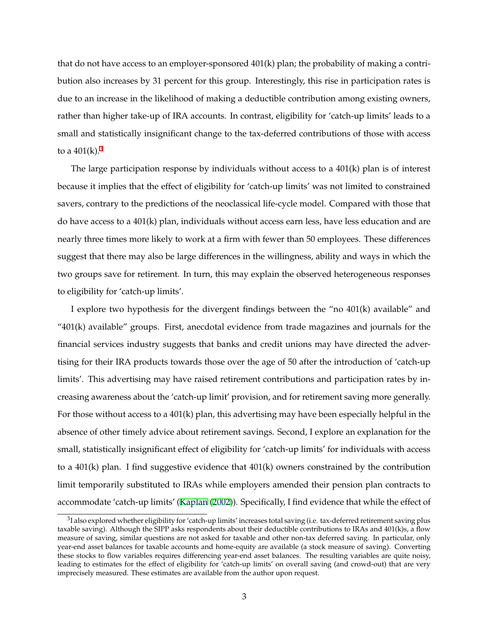that do not have access to an employer-sponsored 401(k) plan; the probability of making a contribution also increases by 31 percent for this group. Interestingly, this rise in participation rates is due to an increase in the likelihood of making a deductible contribution among existing owners, rather than higher take-up of IRA accounts. In contrast, eligibility for 'catch-up limits' leads to a small and statistically insignificant change to the tax-deferred contributions of those with access to a  $401(k)$ <sup>3</sup>

The large participation response by individuals without access to a  $401(k)$  plan is of interest because it implies that the effect of eligibility for 'catch-up limits' was not limited to constrained savers, contrary to the predictions of the neoclassical life-cycle model. Compared with those that do have access to a 401(k) plan, individuals without access earn less, have less education and are nearly three times more likely to work at a firm with fewer than 50 employees. These differences suggest that there may also be large differences in the willingness, ability and ways in which the two groups save for retirement. In turn, this may explain the observed heterogeneous responses to eligibility for 'catch-up limits'.

I explore two hypothesis for the divergent findings between the "no 401(k) available" and  $401(k)$  available" groups. First, anecdotal evidence from trade magazines and journals for the financial services industry suggests that banks and credit unions may have directed the advertising for their IRA products towards those over the age of 50 after the introduction of 'catch-up limits'. This advertising may have raised retirement contributions and participation rates by increasing awareness about the 'catch-up limit' provision, and for retirement saving more generally. For those without access to a 401(k) plan, this advertising may have been especially helpful in the absence of other timely advice about retirement savings. Second, I explore an explanation for the small, statistically insignificant effect of eligibility for 'catch-up limits' for individuals with access to a 401(k) plan. I find suggestive evidence that 401(k) owners constrained by the contribution limit temporarily substituted to IRAs while employers amended their pension plan contracts to accommodate 'catch-up limits' [\(Kaplan](#page-28-0) [\(2002](#page-28-0))). Specifically, I find evidence that while the effect of

<sup>&</sup>lt;sup>3</sup>I also explored whether eligibility for 'catch-up limits' increases total saving (i.e. tax-deferred retirement saving plus taxable saving). Although the SIPP asks respondents about their deductible contributions to IRAs and 401(k)s, a flow measure of saving, similar questions are not asked for taxable and other non-tax deferred saving. In particular, only year-end asset balances for taxable accounts and home-equity are available (a stock measure of saving). Converting these stocks to flow variables requires differencing year-end asset balances. The resulting variables are quite noisy, leading to estimates for the effect of eligibility for 'catch-up limits' on overall saving (and crowd-out) that are very imprecisely measured. These estimates are available from the author upon request.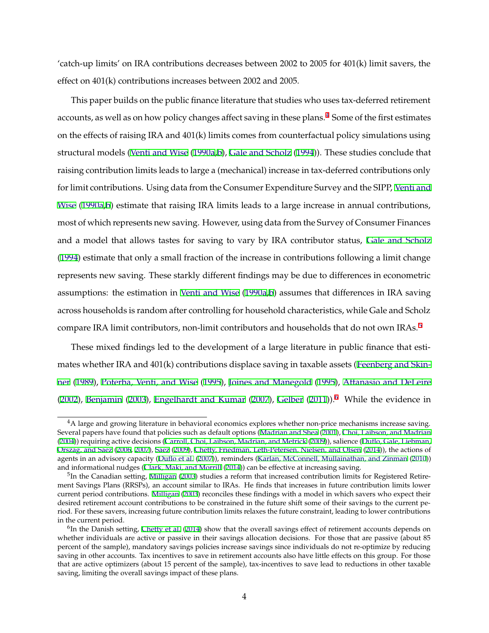'catch-up limits' on IRA contributions decreases between 2002 to 2005 for 401(k) limit savers, the effect on 401(k) contributions increases between 2002 and 2005.

This paper builds on the public finance literature that studies who uses tax-deferred retirement accounts, as well as on how policy changes affect saving in these plans.<sup>4</sup> Some of the first estimates on the effects of raising IRA and 401(k) limits comes from counterfactual policy simulations using structural models [\(Venti and Wise](#page-29-0) [\(1990a,b](#page-29-0)), [Gale and Scholz](#page-27-0) [\(1994](#page-27-0))). These studies conclude that raising contribution limits leads to large a (mechanical) increase in tax-deferred contributions only for limit contributions. Using data from the Consumer Expenditure Survey and the SIPP, [Venti and](#page-29-0) [Wise](#page-29-0) [\(1990a,b](#page-29-0)) estimate that raising IRA limits leads to a large increase in annual contributions, most of which represents new saving. However, using data from the Survey of Consumer Finances and a model that allows tastes for saving to vary by IRA contributor status, [Gale and Scholz](#page-27-0) ([1994](#page-27-0)) estimate that only a small fraction of the increase in contributions following a limit change represents new saving. These starkly different findings may be due to differences in econometric assumptions: the estimation in [Venti and Wise](#page-29-0) ([1990a](#page-29-0),[b\)](#page-29-0) assumes that differences in IRA saving across households is random after controlling for household characteristics, while Gale and Scholz compare IRA limit contributors, non-limit contributors and households that do not own IRAs.<sup>5</sup>

These mixed findings led to the development of a large literature in public finance that estimates whether IRA and 401(k) contributions displace saving in taxable assets ([Feenberg and Skin](#page-27-0)[ner](#page-27-0) [\(1989\)](#page-27-0), [Poterba, Venti, and Wise](#page-29-0) ([1995\)](#page-29-0), [Joines and Manegold](#page-28-0) ([1995\)](#page-28-0), [Attanasio and DeLeire](#page-26-0) ([2002](#page-26-0)), [Benjamin](#page-26-0) [\(2003\)](#page-26-0), [Engelhardt and Kumar](#page-27-0) [\(2007](#page-27-0)), [Gelber](#page-27-0) ([2011](#page-27-0))).<sup>6</sup> While the evidence in

<sup>&</sup>lt;sup>4</sup>A large and growing literature in behavioral economics explores whether non-price mechanisms increase saving. Several papers have found that policies such as default options ([Madrian and Shea](#page-29-0) ([2001\)](#page-29-0), [Choi, Laibson, and Madrian](#page-26-0) ([2004\)](#page-26-0)) requiring active decisions ([Carroll, Choi, Laibson, Madrian, and Metrick](#page-26-0) [\(2009](#page-26-0))), salience [\(Duflo, Gale, Liebman,](#page-27-0) [Orszag, and Saez](#page-27-0) [\(2006](#page-27-0), [2007\)](#page-27-0), [Saez](#page-29-0) ([2009\)](#page-29-0), [Chetty, Friedman, Leth-Petersen, Nielsen, and Olsen](#page-26-0) [\(2014](#page-26-0))), the actions of agents in an advisory capacity [\(Duflo et al.](#page-27-0) [\(2007](#page-27-0))), reminders ([Karlan, McConnell, Mullainathan, and Zinman](#page-28-0) [\(2010](#page-28-0))) and informational nudges [\(Clark, Maki, and Morrill](#page-26-0) ([2014\)](#page-26-0)) can be effective at increasing saving.

 $<sup>5</sup>$ In the Canadian setting, [Milligan](#page-29-0) ([2003\)](#page-29-0) studies a reform that increased contribution limits for Registered Retire-</sup> ment Savings Plans (RRSPs), an account similar to IRAs. He finds that increases in future contribution limits lower current period contributions. [Milligan](#page-29-0) ([2003\)](#page-29-0) reconciles these findings with a model in which savers who expect their desired retirement account contributions to be constrained in the future shift some of their savings to the current period. For these savers, increasing future contribution limits relaxes the future constraint, leading to lower contributions in the current period.

<sup>&</sup>lt;sup>6</sup>In the Danish setting, [Chetty et al.](#page-26-0) [\(2014](#page-26-0)) show that the overall savings effect of retirement accounts depends on whether individuals are active or passive in their savings allocation decisions. For those that are passive (about 85 percent of the sample), mandatory savings policies increase savings since individuals do not re-optimize by reducing saving in other accounts. Tax incentives to save in retirement accounts also have little effects on this group. For those that are active optimizers (about 15 percent of the sample), tax-incentives to save lead to reductions in other taxable saving, limiting the overall savings impact of these plans.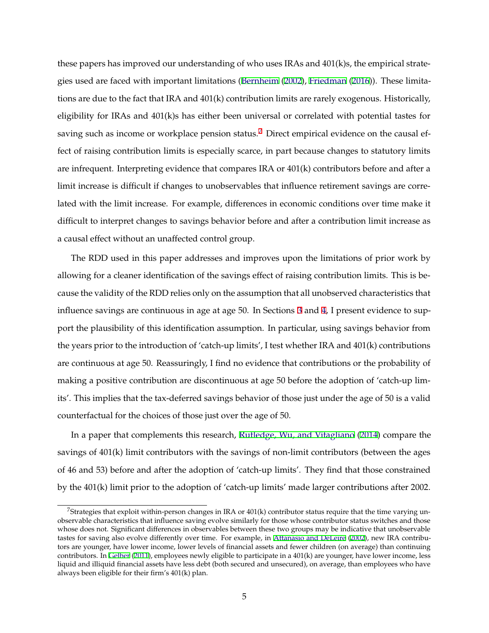these papers has improved our understanding of who uses IRAs and 401(k)s, the empirical strategies used are faced with important limitations ([Bernheim](#page-26-0) [\(2002\)](#page-26-0), [Friedman](#page-27-0) ([2016\)](#page-27-0)). These limitations are due to the fact that IRA and 401(k) contribution limits are rarely exogenous. Historically, eligibility for IRAs and 401(k)s has either been universal or correlated with potential tastes for saving such as income or workplace pension status.<sup>7</sup> Direct empirical evidence on the causal effect of raising contribution limits is especially scarce, in part because changes to statutory limits are infrequent. Interpreting evidence that compares IRA or 401(k) contributors before and after a limit increase is difficult if changes to unobservables that influence retirement savings are correlated with the limit increase. For example, differences in economic conditions over time make it difficult to interpret changes to savings behavior before and after a contribution limit increase as a causal effect without an unaffected control group.

The RDD used in this paper addresses and improves upon the limitations of prior work by allowing for a cleaner identification of the savings effect of raising contribution limits. This is because the validity of the RDD relies only on the assumption that all unobserved characteristics that influence savings are continuous in age at age 50. In Sections [3](#page-9-0) and [4](#page-14-0), I present evidence to support the plausibility of this identification assumption. In particular, using savings behavior from the years prior to the introduction of 'catch-up limits', I test whether IRA and 401(k) contributions are continuous at age 50. Reassuringly, I find no evidence that contributions or the probability of making a positive contribution are discontinuous at age 50 before the adoption of 'catch-up limits'. This implies that the tax-deferred savings behavior of those just under the age of 50 is a valid counterfactual for the choices of those just over the age of 50.

In a paper that complements this research, [Rutledge, Wu, and Vitagliano](#page-29-0) [\(2014\)](#page-29-0) compare the savings of 401(k) limit contributors with the savings of non-limit contributors (between the ages of 46 and 53) before and after the adoption of 'catch-up limits'. They find that those constrained by the 401(k) limit prior to the adoption of 'catch-up limits' made larger contributions after 2002.

<sup>&</sup>lt;sup>7</sup>Strategies that exploit within-person changes in IRA or  $401(k)$  contributor status require that the time varying unobservable characteristics that influence saving evolve similarly for those whose contributor status switches and those whose does not. Significant differences in observables between these two groups may be indicative that unobservable tastes for saving also evolve differently over time. For example, in [Attanasio and DeLeire](#page-26-0) ([2002\)](#page-26-0), new IRA contributors are younger, have lower income, lower levels of financial assets and fewer children (on average) than continuing contributors. In [Gelber](#page-27-0) ([2011\)](#page-27-0), employees newly eligible to participate in a 401(k) are younger, have lower income, less liquid and illiquid financial assets have less debt (both secured and unsecured), on average, than employees who have always been eligible for their firm's 401(k) plan.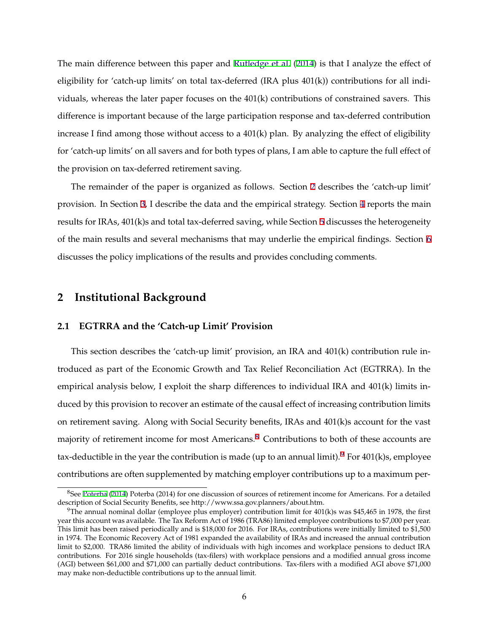The main difference between this paper and [Rutledge et al.](#page-29-0) [\(2014](#page-29-0)) is that I analyze the effect of eligibility for 'catch-up limits' on total tax-deferred (IRA plus 401(k)) contributions for all individuals, whereas the later paper focuses on the 401(k) contributions of constrained savers. This difference is important because of the large participation response and tax-deferred contribution increase I find among those without access to a  $401(k)$  plan. By analyzing the effect of eligibility for 'catch-up limits' on all savers and for both types of plans, I am able to capture the full effect of the provision on tax-deferred retirement saving.

The remainder of the paper is organized as follows. Section 2 describes the 'catch-up limit' provision. In Section [3,](#page-9-0) I describe the data and the empirical strategy. Section [4](#page-14-0) reports the main results for IRAs, 401(k)s and total tax-deferred saving, while Section [5](#page-19-0) discusses the heterogeneity of the main results and several mechanisms that may underlie the empirical findings. Section [6](#page-23-0) discusses the policy implications of the results and provides concluding comments.

# **2 Institutional Background**

#### **2.1 EGTRRA and the 'Catch-up Limit' Provision**

This section describes the 'catch-up limit' provision, an IRA and 401(k) contribution rule introduced as part of the Economic Growth and Tax Relief Reconciliation Act (EGTRRA). In the empirical analysis below, I exploit the sharp differences to individual IRA and 401(k) limits induced by this provision to recover an estimate of the causal effect of increasing contribution limits on retirement saving. Along with Social Security benefits, IRAs and 401(k)s account for the vast majority of retirement income for most Americans.<sup>8</sup> Contributions to both of these accounts are tax-deductible in the year the contribution is made (up to an annual limit).<sup>9</sup> For 401(k)s, employee contributions are often supplemented by matching employer contributions up to a maximum per-

 ${}^{8}$ See [Poterba](#page-29-0) ([2014](#page-29-0)) Poterba (2014) for one discussion of sources of retirement income for Americans. For a detailed description of Social Security Benefits, see http://www.ssa.gov.planners/about.htm.

 $9$ The annual nominal dollar (employee plus employer) contribution limit for 401(k)s was \$45,465 in 1978, the first year this account was available. The Tax Reform Act of 1986 (TRA86) limited employee contributions to \$7,000 per year. This limit has been raised periodically and is \$18,000 for 2016. For IRAs, contributions were initially limited to \$1,500 in 1974. The Economic Recovery Act of 1981 expanded the availability of IRAs and increased the annual contribution limit to \$2,000. TRA86 limited the ability of individuals with high incomes and workplace pensions to deduct IRA contributions. For 2016 single households (tax-filers) with workplace pensions and a modified annual gross income (AGI) between \$61,000 and \$71,000 can partially deduct contributions. Tax-filers with a modified AGI above \$71,000 may make non-deductible contributions up to the annual limit.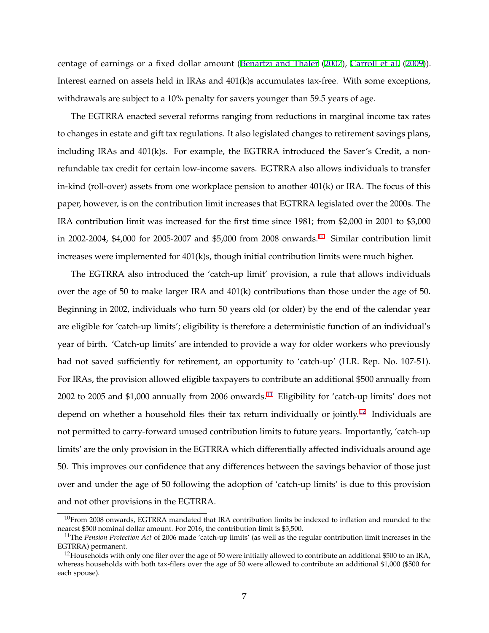centage of earnings or a fixed dollar amount ([Benartzi and Thaler](#page-26-0) ([2007](#page-26-0)), [Carroll et al.](#page-26-0) [\(2009](#page-26-0))). Interest earned on assets held in IRAs and 401(k)s accumulates tax-free. With some exceptions, withdrawals are subject to a 10% penalty for savers younger than 59.5 years of age.

The EGTRRA enacted several reforms ranging from reductions in marginal income tax rates to changes in estate and gift tax regulations. It also legislated changes to retirement savings plans, including IRAs and 401(k)s. For example, the EGTRRA introduced the Saver's Credit, a nonrefundable tax credit for certain low-income savers. EGTRRA also allows individuals to transfer in-kind (roll-over) assets from one workplace pension to another 401(k) or IRA. The focus of this paper, however, is on the contribution limit increases that EGTRRA legislated over the 2000s. The IRA contribution limit was increased for the first time since 1981; from \$2,000 in 2001 to \$3,000 in 2002-2004, \$4,000 for 2005-2007 and \$5,000 from 2008 onwards.<sup>10</sup> Similar contribution limit increases were implemented for 401(k)s, though initial contribution limits were much higher.

The EGTRRA also introduced the 'catch-up limit' provision, a rule that allows individuals over the age of 50 to make larger IRA and  $401(k)$  contributions than those under the age of 50. Beginning in 2002, individuals who turn 50 years old (or older) by the end of the calendar year are eligible for 'catch-up limits'; eligibility is therefore a deterministic function of an individual's year of birth. 'Catch-up limits' are intended to provide a way for older workers who previously had not saved sufficiently for retirement, an opportunity to 'catch-up' (H.R. Rep. No. 107-51). For IRAs, the provision allowed eligible taxpayers to contribute an additional \$500 annually from 2002 to 2005 and \$1,000 annually from 2006 onwards.<sup>11</sup> Eligibility for 'catch-up limits' does not depend on whether a household files their tax return individually or jointly.<sup>12</sup> Individuals are not permitted to carry-forward unused contribution limits to future years. Importantly, 'catch-up limits' are the only provision in the EGTRRA which differentially affected individuals around age 50. This improves our confidence that any differences between the savings behavior of those just over and under the age of 50 following the adoption of 'catch-up limits' is due to this provision and not other provisions in the EGTRRA.

 $10$ From 2008 onwards, EGTRRA mandated that IRA contribution limits be indexed to inflation and rounded to the nearest \$500 nominal dollar amount. For 2016, the contribution limit is \$5,500.

<sup>11</sup>The *Pension Protection Act* of 2006 made 'catch-up limits' (as well as the regular contribution limit increases in the EGTRRA) permanent.

 $12$ Households with only one filer over the age of 50 were initially allowed to contribute an additional \$500 to an IRA, whereas households with both tax-filers over the age of 50 were allowed to contribute an additional \$1,000 (\$500 for each spouse).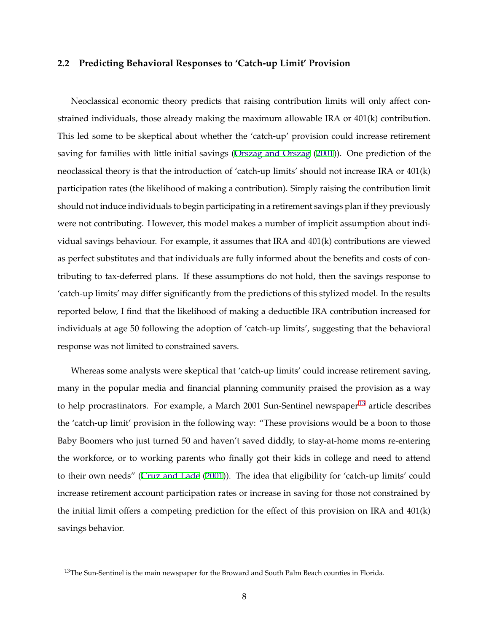#### **2.2 Predicting Behavioral Responses to 'Catch-up Limit' Provision**

Neoclassical economic theory predicts that raising contribution limits will only affect constrained individuals, those already making the maximum allowable IRA or 401(k) contribution. This led some to be skeptical about whether the 'catch-up' provision could increase retirement saving for families with little initial savings ([Orszag and Orszag](#page-29-0) [\(2001](#page-29-0))). One prediction of the neoclassical theory is that the introduction of 'catch-up limits' should not increase IRA or 401(k) participation rates (the likelihood of making a contribution). Simply raising the contribution limit should not induce individuals to begin participating in a retirement savings plan if they previously were not contributing. However, this model makes a number of implicit assumption about individual savings behaviour. For example, it assumes that IRA and 401(k) contributions are viewed as perfect substitutes and that individuals are fully informed about the benefits and costs of contributing to tax-deferred plans. If these assumptions do not hold, then the savings response to 'catch-up limits' may differ significantly from the predictions of this stylized model. In the results reported below, I find that the likelihood of making a deductible IRA contribution increased for individuals at age 50 following the adoption of 'catch-up limits', suggesting that the behavioral response was not limited to constrained savers.

Whereas some analysts were skeptical that 'catch-up limits' could increase retirement saving, many in the popular media and financial planning community praised the provision as a way to help procrastinators. For example, a March 2001 Sun-Sentinel newspaper<sup>13</sup> article describes the 'catch-up limit' provision in the following way: "These provisions would be a boon to those Baby Boomers who just turned 50 and haven't saved diddly, to stay-at-home moms re-entering the workforce, or to working parents who finally got their kids in college and need to attend to their own needs" ([Cruz and Lade](#page-26-0) ([2001](#page-26-0))). The idea that eligibility for 'catch-up limits' could increase retirement account participation rates or increase in saving for those not constrained by the initial limit offers a competing prediction for the effect of this provision on IRA and 401(k) savings behavior.

<sup>&</sup>lt;sup>13</sup>The Sun-Sentinel is the main newspaper for the Broward and South Palm Beach counties in Florida.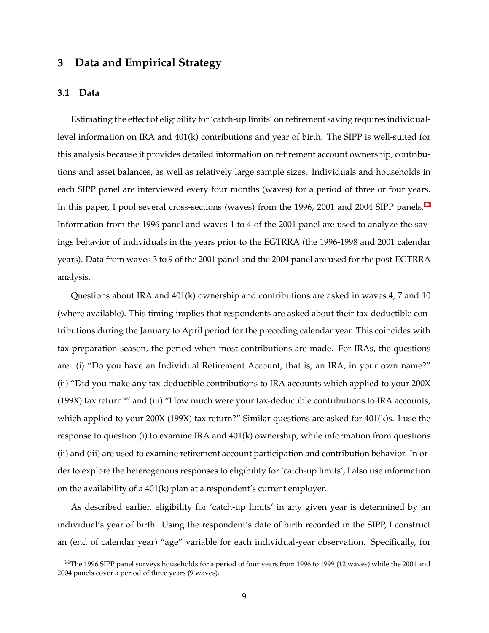# <span id="page-9-0"></span>**3 Data and Empirical Strategy**

#### **3.1 Data**

Estimating the effect of eligibility for 'catch-up limits' on retirement saving requires individuallevel information on IRA and 401(k) contributions and year of birth. The SIPP is well-suited for this analysis because it provides detailed information on retirement account ownership, contributions and asset balances, as well as relatively large sample sizes. Individuals and households in each SIPP panel are interviewed every four months (waves) for a period of three or four years. In this paper, I pool several cross-sections (waves) from the 1996, 2001 and 2004 SIPP panels.<sup>14</sup> Information from the 1996 panel and waves 1 to 4 of the 2001 panel are used to analyze the savings behavior of individuals in the years prior to the EGTRRA (the 1996-1998 and 2001 calendar years). Data from waves 3 to 9 of the 2001 panel and the 2004 panel are used for the post-EGTRRA analysis.

Questions about IRA and 401(k) ownership and contributions are asked in waves 4, 7 and 10 (where available). This timing implies that respondents are asked about their tax-deductible contributions during the January to April period for the preceding calendar year. This coincides with tax-preparation season, the period when most contributions are made. For IRAs, the questions are: (i) "Do you have an Individual Retirement Account, that is, an IRA, in your own name?" (ii) "Did you make any tax-deductible contributions to IRA accounts which applied to your 200X (199X) tax return?" and (iii) "How much were your tax-deductible contributions to IRA accounts, which applied to your 200X (199X) tax return?" Similar questions are asked for 401(k)s. I use the response to question (i) to examine IRA and 401(k) ownership, while information from questions (ii) and (iii) are used to examine retirement account participation and contribution behavior. In order to explore the heterogenous responses to eligibility for 'catch-up limits', I also use information on the availability of a 401(k) plan at a respondent's current employer.

As described earlier, eligibility for 'catch-up limits' in any given year is determined by an individual's year of birth. Using the respondent's date of birth recorded in the SIPP, I construct an (end of calendar year) "age" variable for each individual-year observation. Specifically, for

<sup>&</sup>lt;sup>14</sup>The 1996 SIPP panel surveys households for a period of four years from 1996 to 1999 (12 waves) while the 2001 and 2004 panels cover a period of three years (9 waves).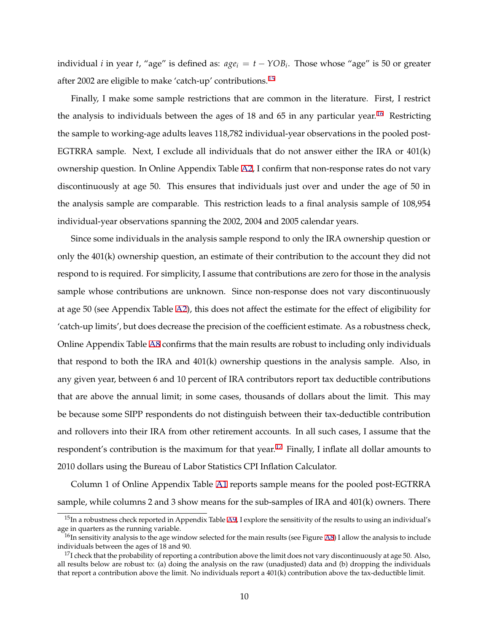individual *i* in year *t*, "age" is defined as:  $age_i = t - YOB_i$ . Those whose "age" is 50 or greater after 2002 are eligible to make 'catch-up' contributions.<sup>15</sup>

Finally, I make some sample restrictions that are common in the literature. First, I restrict the analysis to individuals between the ages of 18 and 65 in any particular year.<sup>16</sup> Restricting the sample to working-age adults leaves 118,782 individual-year observations in the pooled post-EGTRRA sample. Next, I exclude all individuals that do not answer either the IRA or 401(k) ownership question. In Online Appendix Table [A2](#page-61-0), I confirm that non-response rates do not vary discontinuously at age 50. This ensures that individuals just over and under the age of 50 in the analysis sample are comparable. This restriction leads to a final analysis sample of 108,954 individual-year observations spanning the 2002, 2004 and 2005 calendar years.

Since some individuals in the analysis sample respond to only the IRA ownership question or only the 401(k) ownership question, an estimate of their contribution to the account they did not respond to is required. For simplicity, I assume that contributions are zero for those in the analysis sample whose contributions are unknown. Since non-response does not vary discontinuously at age 50 (see Appendix Table [A2](#page-61-0)), this does not affect the estimate for the effect of eligibility for 'catch-up limits', but does decrease the precision of the coefficient estimate. As a robustness check, Online Appendix Table [A8](#page-67-0) confirms that the main results are robust to including only individuals that respond to both the IRA and 401(k) ownership questions in the analysis sample. Also, in any given year, between 6 and 10 percent of IRA contributors report tax deductible contributions that are above the annual limit; in some cases, thousands of dollars about the limit. This may be because some SIPP respondents do not distinguish between their tax-deductible contribution and rollovers into their IRA from other retirement accounts. In all such cases, I assume that the respondent's contribution is the maximum for that year.<sup>17</sup> Finally, I inflate all dollar amounts to 2010 dollars using the Bureau of Labor Statistics CPI Inflation Calculator.

Column 1 of Online Appendix Table [A1](#page-60-0) reports sample means for the pooled post-EGTRRA sample, while columns 2 and 3 show means for the sub-samples of IRA and 401(k) owners. There

 $15$ In a robustness check reported in Appendix Table [A9](#page-68-0), I explore the sensitivity of the results to using an individual's age in quarters as the running variable.

 $^{16}$ In sensitivity analysis to the age window selected for the main results (see Figure [A8](#page-56-0)) I allow the analysis to include individuals between the ages of 18 and 90.

 $17$ I check that the probability of reporting a contribution above the limit does not vary discontinuously at age 50. Also, all results below are robust to: (a) doing the analysis on the raw (unadjusted) data and (b) dropping the individuals that report a contribution above the limit. No individuals report a 401(k) contribution above the tax-deductible limit.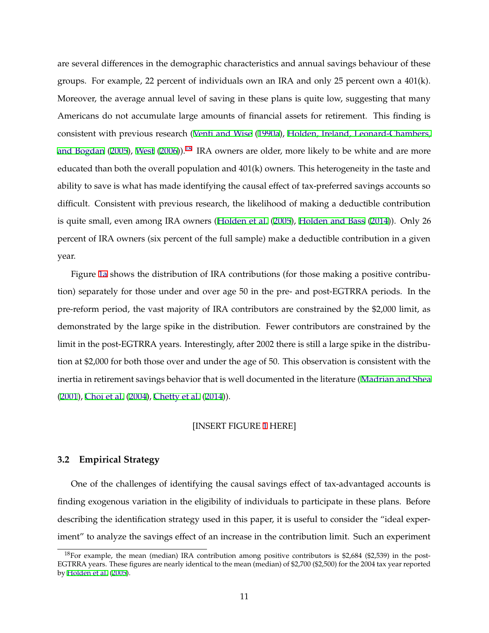are several differences in the demographic characteristics and annual savings behaviour of these groups. For example, 22 percent of individuals own an IRA and only 25 percent own a 401(k). Moreover, the average annual level of saving in these plans is quite low, suggesting that many Americans do not accumulate large amounts of financial assets for retirement. This finding is consistent with previous research ([Venti and Wise](#page-29-0) ([1990a](#page-29-0)), [Holden, Ireland, Leonard-Chambers,](#page-28-0) [and Bogdan](#page-28-0) [\(2005](#page-28-0)), [West](#page-29-0) [\(2006](#page-29-0))).<sup>18</sup> IRA owners are older, more likely to be white and are more educated than both the overall population and 401(k) owners. This heterogeneity in the taste and ability to save is what has made identifying the causal effect of tax-preferred savings accounts so difficult. Consistent with previous research, the likelihood of making a deductible contribution is quite small, even among IRA owners ([Holden et al.](#page-28-0) ([2005](#page-28-0)), [Holden and Bass](#page-28-0) [\(2014](#page-28-0))). Only 26 percent of IRA owners (six percent of the full sample) make a deductible contribution in a given year.

Figure [1a](#page-31-0) shows the distribution of IRA contributions (for those making a positive contribution) separately for those under and over age 50 in the pre- and post-EGTRRA periods. In the pre-reform period, the vast majority of IRA contributors are constrained by the \$2,000 limit, as demonstrated by the large spike in the distribution. Fewer contributors are constrained by the limit in the post-EGTRRA years. Interestingly, after 2002 there is still a large spike in the distribution at \$2,000 for both those over and under the age of 50. This observation is consistent with the inertia in retirement savings behavior that is well documented in the literature ([Madrian and Shea](#page-29-0) ([2001](#page-29-0)), [Choi et al.](#page-26-0) ([2004\)](#page-26-0), [Chetty et al.](#page-26-0) [\(2014\)](#page-26-0)).

#### [INSERT FIGURE [1](#page-31-0) HERE]

## **3.2 Empirical Strategy**

One of the challenges of identifying the causal savings effect of tax-advantaged accounts is finding exogenous variation in the eligibility of individuals to participate in these plans. Before describing the identification strategy used in this paper, it is useful to consider the "ideal experiment" to analyze the savings effect of an increase in the contribution limit. Such an experiment

<sup>&</sup>lt;sup>18</sup>For example, the mean (median) IRA contribution among positive contributors is \$2,684 (\$2,539) in the post-EGTRRA years. These figures are nearly identical to the mean (median) of \$2,700 (\$2,500) for the 2004 tax year reported by [Holden et al.](#page-28-0) [\(2005](#page-28-0)).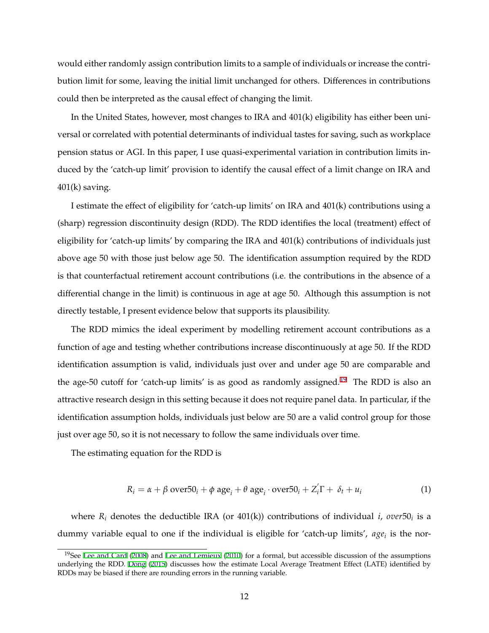<span id="page-12-0"></span>would either randomly assign contribution limits to a sample of individuals or increase the contribution limit for some, leaving the initial limit unchanged for others. Differences in contributions could then be interpreted as the causal effect of changing the limit.

In the United States, however, most changes to IRA and 401(k) eligibility has either been universal or correlated with potential determinants of individual tastes for saving, such as workplace pension status or AGI. In this paper, I use quasi-experimental variation in contribution limits induced by the 'catch-up limit' provision to identify the causal effect of a limit change on IRA and  $401(k)$  saving.

I estimate the effect of eligibility for 'catch-up limits' on IRA and 401(k) contributions using a (sharp) regression discontinuity design (RDD). The RDD identifies the local (treatment) effect of eligibility for 'catch-up limits' by comparing the IRA and 401(k) contributions of individuals just above age 50 with those just below age 50. The identification assumption required by the RDD is that counterfactual retirement account contributions (i.e. the contributions in the absence of a differential change in the limit) is continuous in age at age 50. Although this assumption is not directly testable, I present evidence below that supports its plausibility.

The RDD mimics the ideal experiment by modelling retirement account contributions as a function of age and testing whether contributions increase discontinuously at age 50. If the RDD identification assumption is valid, individuals just over and under age 50 are comparable and the age-50 cutoff for 'catch-up limits' is as good as randomly assigned.<sup>19</sup> The RDD is also an attractive research design in this setting because it does not require panel data. In particular, if the identification assumption holds, individuals just below are 50 are a valid control group for those just over age 50, so it is not necessary to follow the same individuals over time.

The estimating equation for the RDD is

$$
R_i = \alpha + \beta \text{ over } 50_i + \phi \text{ age}_i + \theta \text{ age}_i \cdot \text{ over } 50_i + Z_i' \Gamma + \delta_t + u_i \tag{1}
$$

where *Ri* denotes the deductible IRA (or 401(k)) contributions of individual *i*, *over*50*<sup>i</sup>* is a dummy variable equal to one if the individual is eligible for 'catch-up limits',  $age<sub>i</sub>$  is the nor-

<sup>&</sup>lt;sup>19</sup>See [Lee and Card](#page-28-0) [\(2008](#page-28-0)) and [Lee and Lemieux](#page-29-0) [\(2010](#page-29-0)) for a formal, but accessible discussion of the assumptions underlying the RDD. [Dong](#page-27-0) ([2015\)](#page-27-0) discusses how the estimate Local Average Treatment Effect (LATE) identified by RDDs may be biased if there are rounding errors in the running variable.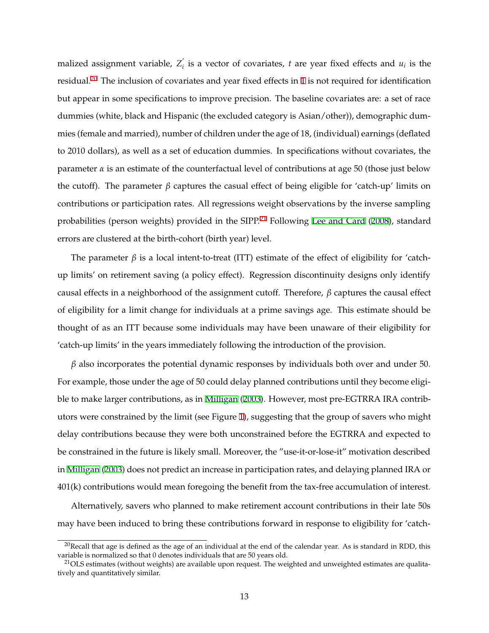malized assignment variable,  $Z_i$  is a vector of covariates, *t* are year fixed effects and  $u_i$  is the residual.<sup>20</sup> The inclusion of covariates and year fixed effects in [1](#page-12-0) is not required for identification but appear in some specifications to improve precision. The baseline covariates are: a set of race dummies (white, black and Hispanic (the excluded category is Asian/other)), demographic dummies (female and married), number of children under the age of 18, (individual) earnings (deflated to 2010 dollars), as well as a set of education dummies. In specifications without covariates, the parameter  $\alpha$  is an estimate of the counterfactual level of contributions at age 50 (those just below the cutoff). The parameter *β* captures the casual effect of being eligible for 'catch-up' limits on contributions or participation rates. All regressions weight observations by the inverse sampling probabilities (person weights) provided in the SIPP.<sup>21</sup> Following [Lee and Card](#page-28-0) [\(2008\)](#page-28-0), standard errors are clustered at the birth-cohort (birth year) level.

The parameter  $\beta$  is a local intent-to-treat (ITT) estimate of the effect of eligibility for 'catchup limits' on retirement saving (a policy effect). Regression discontinuity designs only identify causal effects in a neighborhood of the assignment cutoff. Therefore, *β* captures the causal effect of eligibility for a limit change for individuals at a prime savings age. This estimate should be thought of as an ITT because some individuals may have been unaware of their eligibility for 'catch-up limits' in the years immediately following the introduction of the provision.

*β* also incorporates the potential dynamic responses by individuals both over and under 50. For example, those under the age of 50 could delay planned contributions until they become eligible to make larger contributions, as in [Milligan](#page-29-0) ([2003](#page-29-0)). However, most pre-EGTRRA IRA contributors were constrained by the limit (see Figure [1](#page-31-0)), suggesting that the group of savers who might delay contributions because they were both unconstrained before the EGTRRA and expected to be constrained in the future is likely small. Moreover, the "use-it-or-lose-it" motivation described in [Milligan](#page-29-0) [\(2003\)](#page-29-0) does not predict an increase in participation rates, and delaying planned IRA or 401(k) contributions would mean foregoing the benefit from the tax-free accumulation of interest.

Alternatively, savers who planned to make retirement account contributions in their late 50s may have been induced to bring these contributions forward in response to eligibility for 'catch-

 $20$ Recall that age is defined as the age of an individual at the end of the calendar year. As is standard in RDD, this variable is normalized so that 0 denotes individuals that are 50 years old.

 $^{21}$ OLS estimates (without weights) are available upon request. The weighted and unweighted estimates are qualitatively and quantitatively similar.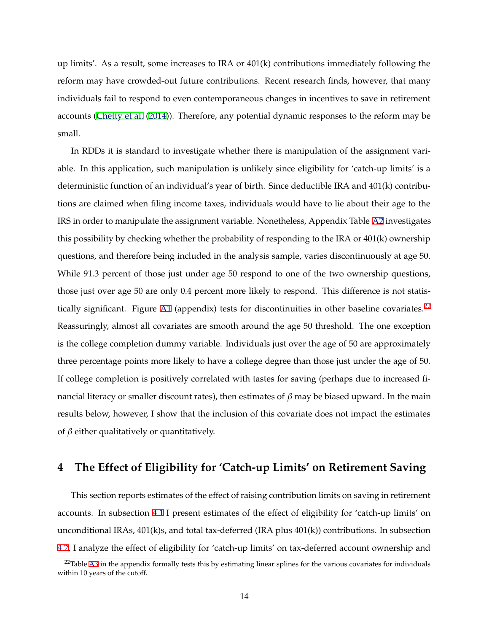<span id="page-14-0"></span>up limits'. As a result, some increases to IRA or 401(k) contributions immediately following the reform may have crowded-out future contributions. Recent research finds, however, that many individuals fail to respond to even contemporaneous changes in incentives to save in retirement accounts ([Chetty et al.](#page-26-0) [\(2014](#page-26-0))). Therefore, any potential dynamic responses to the reform may be small.

In RDDs it is standard to investigate whether there is manipulation of the assignment variable. In this application, such manipulation is unlikely since eligibility for 'catch-up limits' is a deterministic function of an individual's year of birth. Since deductible IRA and 401(k) contributions are claimed when filing income taxes, individuals would have to lie about their age to the IRS in order to manipulate the assignment variable. Nonetheless, Appendix Table [A2](#page-61-0) investigates this possibility by checking whether the probability of responding to the IRA or 401(k) ownership questions, and therefore being included in the analysis sample, varies discontinuously at age 50. While 91.3 percent of those just under age 50 respond to one of the two ownership questions, those just over age 50 are only 0.4 percent more likely to respond. This difference is not statis-tically significant. Figure [A1](#page-49-0) (appendix) tests for discontinuities in other baseline covariates.<sup>22</sup> Reassuringly, almost all covariates are smooth around the age 50 threshold. The one exception is the college completion dummy variable. Individuals just over the age of 50 are approximately three percentage points more likely to have a college degree than those just under the age of 50. If college completion is positively correlated with tastes for saving (perhaps due to increased financial literacy or smaller discount rates), then estimates of *β* may be biased upward. In the main results below, however, I show that the inclusion of this covariate does not impact the estimates of *β* either qualitatively or quantitatively.

# **4 The Effect of Eligibility for 'Catch-up Limits' on Retirement Saving**

This section reports estimates of the effect of raising contribution limits on saving in retirement accounts. In subsection [4.1](#page-15-0) I present estimates of the effect of eligibility for 'catch-up limits' on unconditional IRAs,  $401(k)s$ , and total tax-deferred (IRA plus  $401(k)$ ) contributions. In subsection [4.2,](#page-16-0) I analyze the effect of eligibility for 'catch-up limits' on tax-deferred account ownership and

 $22$ Table [A3](#page-62-0) in the appendix formally tests this by estimating linear splines for the various covariates for individuals within 10 years of the cutoff.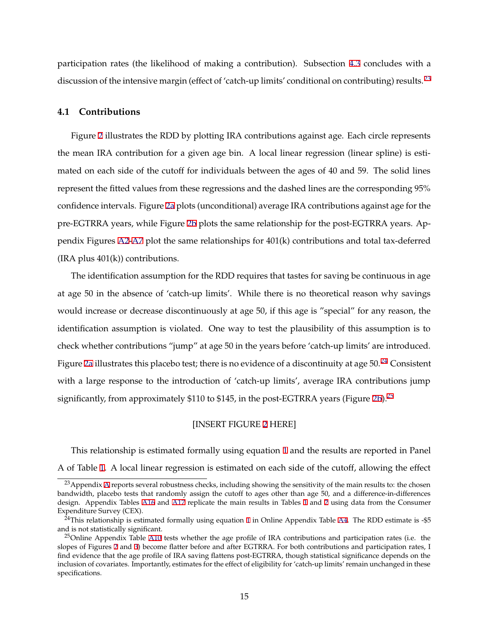<span id="page-15-0"></span>participation rates (the likelihood of making a contribution). Subsection [4.3](#page-18-0) concludes with a discussion of the intensive margin (effect of 'catch-up limits' conditional on contributing) results.<sup>23</sup>

## **4.1 Contributions**

Figure [2](#page-33-0) illustrates the RDD by plotting IRA contributions against age. Each circle represents the mean IRA contribution for a given age bin. A local linear regression (linear spline) is estimated on each side of the cutoff for individuals between the ages of 40 and 59. The solid lines represent the fitted values from these regressions and the dashed lines are the corresponding 95% confidence intervals. Figure [2a](#page-33-0) plots (unconditional) average IRA contributions against age for the pre-EGTRRA years, while Figure [2b](#page-33-0) plots the same relationship for the post-EGTRRA years. Appendix Figures [A2](#page-61-0)[-A7](#page-66-0) plot the same relationships for 401(k) contributions and total tax-deferred  $(IRA plus 401(k))$  contributions.

The identification assumption for the RDD requires that tastes for saving be continuous in age at age 50 in the absence of 'catch-up limits'. While there is no theoretical reason why savings would increase or decrease discontinuously at age 50, if this age is "special" for any reason, the identification assumption is violated. One way to test the plausibility of this assumption is to check whether contributions "jump" at age 50 in the years before 'catch-up limits' are introduced. Figure [2a](#page-33-0) illustrates this placebo test; there is no evidence of a discontinuity at age  $50.^{24}$  Consistent with a large response to the introduction of 'catch-up limits', average IRA contributions jump significantly, from approximately  $$110$  to  $$145$ , in the post-EGTRRA years (Figure [2b](#page-33-0)).<sup>25</sup>

#### [INSERT FIGURE [2](#page-33-0) HERE]

This relationship is estimated formally using equation [1](#page-12-0) and the results are reported in Panel A of Table [1.](#page-36-0) A local linear regression is estimated on each side of the cutoff, allowing the effect

<sup>&</sup>lt;sup>23</sup> [A](#page-42-0)ppendix A reports several robustness checks, including showing the sensitivity of the main results to: the chosen bandwidth, placebo tests that randomly assign the cutoff to ages other than age 50, and a difference-in-differences design. Appendix Tables [A16](#page-75-0) and [A17](#page-76-0) replicate the main results in Tables [1](#page-36-0) and [2](#page-37-0) using data from the Consumer Expenditure Survey (CEX).

 $24$ This relationship is estimated formally using equation [1](#page-12-0) in Online Appendix Table [A4](#page-63-0). The RDD estimate is -\$5 and is not statistically significant.

<sup>&</sup>lt;sup>25</sup>Online Appendix Table [A10](#page-69-0) tests whether the age profile of IRA contributions and participation rates (i.e. the slopes of Figures [2](#page-33-0) and [3\)](#page-34-0) become flatter before and after EGTRRA. For both contributions and participation rates, I find evidence that the age profile of IRA saving flattens post-EGTRRA, though statistical significance depends on the inclusion of covariates. Importantly, estimates for the effect of eligibility for 'catch-up limits' remain unchanged in these specifications.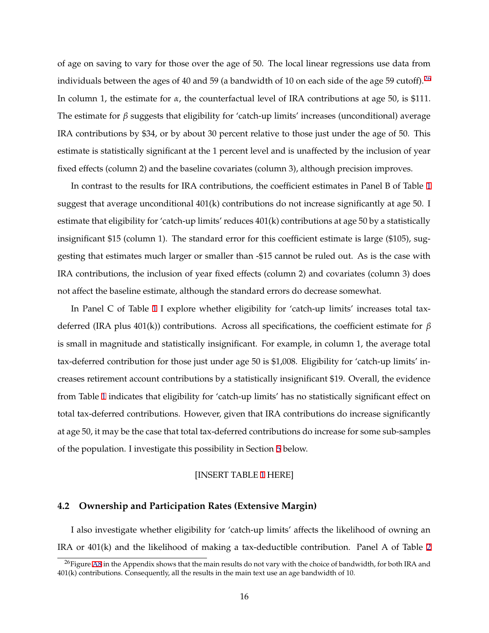<span id="page-16-0"></span>of age on saving to vary for those over the age of 50. The local linear regressions use data from individuals between the ages of 40 and 59 (a bandwidth of 10 on each side of the age 59 cutoff). <sup>26</sup> In column 1, the estimate for *α*, the counterfactual level of IRA contributions at age 50, is \$111. The estimate for *β* suggests that eligibility for 'catch-up limits' increases (unconditional) average IRA contributions by \$34, or by about 30 percent relative to those just under the age of 50. This estimate is statistically significant at the 1 percent level and is unaffected by the inclusion of year fixed effects (column 2) and the baseline covariates (column 3), although precision improves.

In contrast to the results for IRA contributions, the coefficient estimates in Panel B of Table [1](#page-36-0) suggest that average unconditional  $401(k)$  contributions do not increase significantly at age 50. I estimate that eligibility for 'catch-up limits' reduces 401(k) contributions at age 50 by a statistically insignificant \$15 (column 1). The standard error for this coefficient estimate is large (\$105), suggesting that estimates much larger or smaller than -\$15 cannot be ruled out. As is the case with IRA contributions, the inclusion of year fixed effects (column 2) and covariates (column 3) does not affect the baseline estimate, although the standard errors do decrease somewhat.

In Panel C of Table [1](#page-36-0) I explore whether eligibility for 'catch-up limits' increases total taxdeferred (IRA plus 401(k)) contributions. Across all specifications, the coefficient estimate for *β* is small in magnitude and statistically insignificant. For example, in column 1, the average total tax-deferred contribution for those just under age 50 is \$1,008. Eligibility for 'catch-up limits' increases retirement account contributions by a statistically insignificant \$19. Overall, the evidence from Table [1](#page-36-0) indicates that eligibility for 'catch-up limits' has no statistically significant effect on total tax-deferred contributions. However, given that IRA contributions do increase significantly at age 50, it may be the case that total tax-deferred contributions do increase for some sub-samples of the population. I investigate this possibility in Section [5](#page-19-0) below.

### [INSERT TABLE [1](#page-36-0) HERE]

# **4.2 Ownership and Participation Rates (Extensive Margin)**

I also investigate whether eligibility for 'catch-up limits' affects the likelihood of owning an IRA or 401(k) and the likelihood of making a tax-deductible contribution. Panel A of Table [2](#page-37-0)

 $^{26}$ Figure [A8](#page-56-0) in the Appendix shows that the main results do not vary with the choice of bandwidth, for both IRA and 401(k) contributions. Consequently, all the results in the main text use an age bandwidth of 10.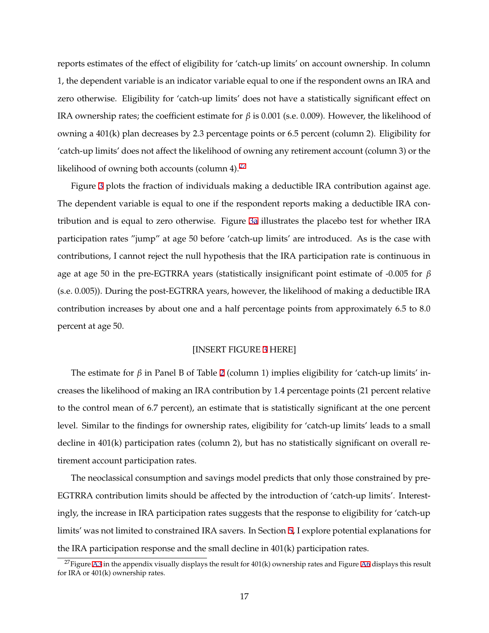reports estimates of the effect of eligibility for 'catch-up limits' on account ownership. In column 1, the dependent variable is an indicator variable equal to one if the respondent owns an IRA and zero otherwise. Eligibility for 'catch-up limits' does not have a statistically significant effect on IRA ownership rates; the coefficient estimate for *β* is 0.001 (s.e. 0.009). However, the likelihood of owning a 401(k) plan decreases by 2.3 percentage points or 6.5 percent (column 2). Eligibility for 'catch-up limits' does not affect the likelihood of owning any retirement account (column 3) or the likelihood of owning both accounts (column 4).<sup>27</sup>

Figure [3](#page-34-0) plots the fraction of individuals making a deductible IRA contribution against age. The dependent variable is equal to one if the respondent reports making a deductible IRA contribution and is equal to zero otherwise. Figure [3a](#page-34-0) illustrates the placebo test for whether IRA participation rates "jump" at age 50 before 'catch-up limits' are introduced. As is the case with contributions, I cannot reject the null hypothesis that the IRA participation rate is continuous in age at age 50 in the pre-EGTRRA years (statistically insignificant point estimate of -0.005 for *β* (s.e. 0.005)). During the post-EGTRRA years, however, the likelihood of making a deductible IRA contribution increases by about one and a half percentage points from approximately 6.5 to 8.0 percent at age 50.

#### [INSERT FIGURE [3](#page-34-0) HERE]

The estimate for *β* in Panel B of Table [2](#page-37-0) (column 1) implies eligibility for 'catch-up limits' increases the likelihood of making an IRA contribution by 1.4 percentage points (21 percent relative to the control mean of 6.7 percent), an estimate that is statistically significant at the one percent level. Similar to the findings for ownership rates, eligibility for 'catch-up limits' leads to a small decline in 401(k) participation rates (column 2), but has no statistically significant on overall retirement account participation rates.

The neoclassical consumption and savings model predicts that only those constrained by pre-EGTRRA contribution limits should be affected by the introduction of 'catch-up limits'. Interestingly, the increase in IRA participation rates suggests that the response to eligibility for 'catch-up limits' was not limited to constrained IRA savers. In Section [5,](#page-19-0) I explore potential explanations for the IRA participation response and the small decline in 401(k) participation rates.

<sup>&</sup>lt;sup>27</sup>Figure [A3](#page-51-0) in the appendix visually displays the result for  $401(k)$  ownership rates and Figure [A6](#page-54-0) displays this result for IRA or 401(k) ownership rates.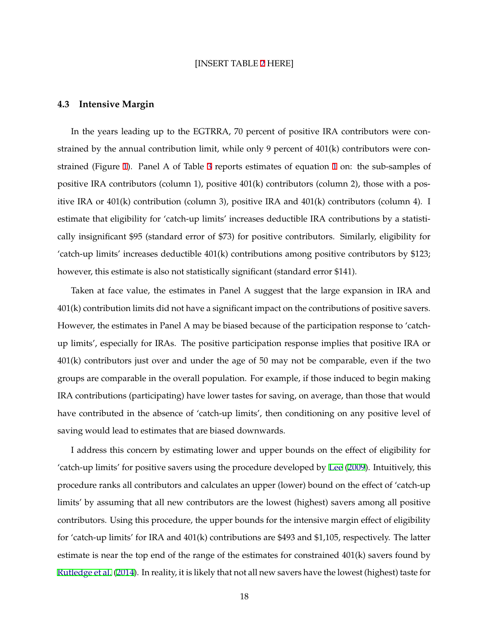#### [INSERT TABLE [2](#page-37-0) HERE]

#### <span id="page-18-0"></span>**4.3 Intensive Margin**

In the years leading up to the EGTRRA, 70 percent of positive IRA contributors were constrained by the annual contribution limit, while only 9 percent of 401(k) contributors were constrained (Figure [1\)](#page-31-0). Panel A of Table [3](#page-38-0) reports estimates of equation [1](#page-12-0) on: the sub-samples of positive IRA contributors (column 1), positive 401(k) contributors (column 2), those with a positive IRA or 401(k) contribution (column 3), positive IRA and 401(k) contributors (column 4). I estimate that eligibility for 'catch-up limits' increases deductible IRA contributions by a statistically insignificant \$95 (standard error of \$73) for positive contributors. Similarly, eligibility for 'catch-up limits' increases deductible 401(k) contributions among positive contributors by \$123; however, this estimate is also not statistically significant (standard error \$141).

Taken at face value, the estimates in Panel A suggest that the large expansion in IRA and 401(k) contribution limits did not have a significant impact on the contributions of positive savers. However, the estimates in Panel A may be biased because of the participation response to 'catchup limits', especially for IRAs. The positive participation response implies that positive IRA or 401(k) contributors just over and under the age of 50 may not be comparable, even if the two groups are comparable in the overall population. For example, if those induced to begin making IRA contributions (participating) have lower tastes for saving, on average, than those that would have contributed in the absence of 'catch-up limits', then conditioning on any positive level of saving would lead to estimates that are biased downwards.

I address this concern by estimating lower and upper bounds on the effect of eligibility for 'catch-up limits' for positive savers using the procedure developed by [Lee](#page-28-0) ([2009](#page-28-0)). Intuitively, this procedure ranks all contributors and calculates an upper (lower) bound on the effect of 'catch-up limits' by assuming that all new contributors are the lowest (highest) savers among all positive contributors. Using this procedure, the upper bounds for the intensive margin effect of eligibility for 'catch-up limits' for IRA and 401(k) contributions are \$493 and \$1,105, respectively. The latter estimate is near the top end of the range of the estimates for constrained 401(k) savers found by [Rutledge et al.](#page-29-0) ([2014\)](#page-29-0). In reality, it is likely that not all new savers have the lowest (highest) taste for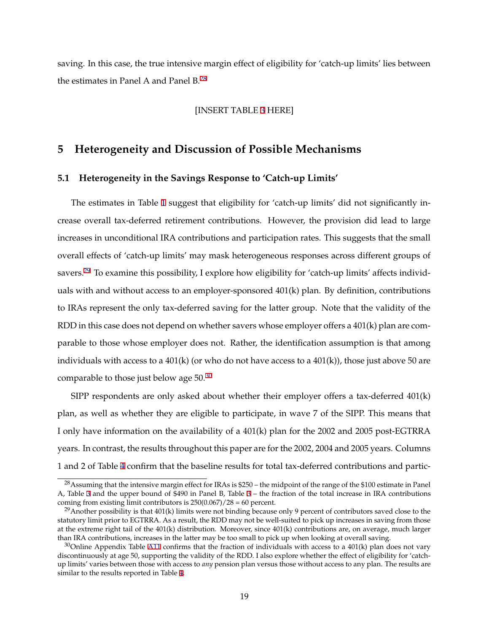<span id="page-19-0"></span>saving. In this case, the true intensive margin effect of eligibility for 'catch-up limits' lies between the estimates in Panel A and Panel  $B^{28}$ 

# [INSERT TABLE [3](#page-38-0) HERE]

# **5 Heterogeneity and Discussion of Possible Mechanisms**

## **5.1 Heterogeneity in the Savings Response to 'Catch-up Limits'**

The estimates in Table [1](#page-36-0) suggest that eligibility for 'catch-up limits' did not significantly increase overall tax-deferred retirement contributions. However, the provision did lead to large increases in unconditional IRA contributions and participation rates. This suggests that the small overall effects of 'catch-up limits' may mask heterogeneous responses across different groups of savers.<sup>29</sup> To examine this possibility, I explore how eligibility for 'catch-up limits' affects individuals with and without access to an employer-sponsored 401(k) plan. By definition, contributions to IRAs represent the only tax-deferred saving for the latter group. Note that the validity of the RDD in this case does not depend on whether savers whose employer offers a 401(k) plan are comparable to those whose employer does not. Rather, the identification assumption is that among individuals with access to a  $401(k)$  (or who do not have access to a  $401(k)$ ), those just above 50 are comparable to those just below age 50.<sup>30</sup>

SIPP respondents are only asked about whether their employer offers a tax-deferred 401(k) plan, as well as whether they are eligible to participate, in wave 7 of the SIPP. This means that I only have information on the availability of a 401(k) plan for the 2002 and 2005 post-EGTRRA years. In contrast, the results throughout this paper are for the 2002, 2004 and 2005 years. Columns 1 and 2 of Table [4](#page-39-0) confirm that the baseline results for total tax-deferred contributions and partic-

<sup>&</sup>lt;sup>28</sup>Assuming that the intensive margin effect for IRAs is \$250 – the midpoint of the range of the \$100 estimate in Panel A, Table [3](#page-38-0) and the upper bound of \$490 in Panel B, Table [3](#page-38-0) – the fraction of the total increase in IRA contributions coming from existing limit contributors is  $250(0.067)/28 = 60$  percent.

<sup>&</sup>lt;sup>29</sup>Another possibility is that  $401(k)$  limits were not binding because only 9 percent of contributors saved close to the statutory limit prior to EGTRRA. As a result, the RDD may not be well-suited to pick up increases in saving from those at the extreme right tail of the 401(k) distribution. Moreover, since 401(k) contributions are, on average, much larger than IRA contributions, increases in the latter may be too small to pick up when looking at overall saving.

 $30$ Online Appendix Table [A11](#page-70-0) confirms that the fraction of individuals with access to a 401(k) plan does not vary discontinuously at age 50, supporting the validity of the RDD. I also explore whether the effect of eligibility for 'catchup limits' varies between those with access to *any* pension plan versus those without access to any plan. The results are similar to the results reported in Table [4](#page-39-0).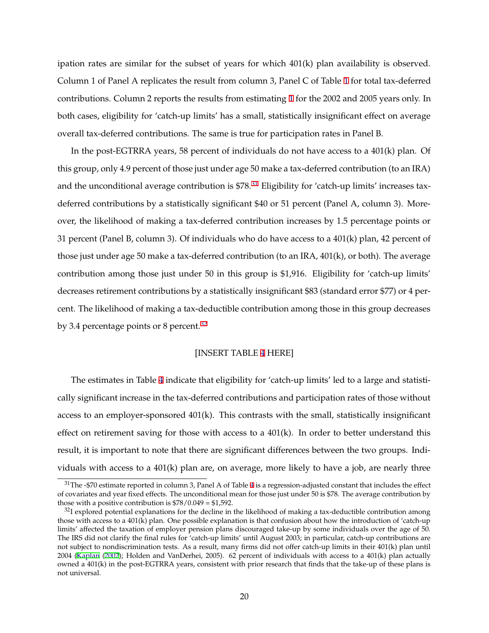ipation rates are similar for the subset of years for which 401(k) plan availability is observed. Column 1 of Panel A replicates the result from column 3, Panel C of Table [1](#page-36-0) for total tax-deferred contributions. Column 2 reports the results from estimating [1](#page-12-0) for the 2002 and 2005 years only. In both cases, eligibility for 'catch-up limits' has a small, statistically insignificant effect on average overall tax-deferred contributions. The same is true for participation rates in Panel B.

In the post-EGTRRA years, 58 percent of individuals do not have access to a 401(k) plan. Of this group, only 4.9 percent of those just under age 50 make a tax-deferred contribution (to an IRA) and the unconditional average contribution is \$78.<sup>31</sup> Eligibility for 'catch-up limits' increases taxdeferred contributions by a statistically significant \$40 or 51 percent (Panel A, column 3). Moreover, the likelihood of making a tax-deferred contribution increases by 1.5 percentage points or 31 percent (Panel B, column 3). Of individuals who do have access to a 401(k) plan, 42 percent of those just under age 50 make a tax-deferred contribution (to an IRA, 401(k), or both). The average contribution among those just under 50 in this group is \$1,916. Eligibility for 'catch-up limits' decreases retirement contributions by a statistically insignificant \$83 (standard error \$77) or 4 percent. The likelihood of making a tax-deductible contribution among those in this group decreases by 3.4 percentage points or 8 percent. $32$ 

#### [INSERT TABLE [4](#page-39-0) HERE]

The estimates in Table [4](#page-39-0) indicate that eligibility for 'catch-up limits' led to a large and statistically significant increase in the tax-deferred contributions and participation rates of those without access to an employer-sponsored 401(k). This contrasts with the small, statistically insignificant effect on retirement saving for those with access to a  $401(k)$ . In order to better understand this result, it is important to note that there are significant differences between the two groups. Individuals with access to a  $401(k)$  plan are, on average, more likely to have a job, are nearly three

 $31$ The -\$70 estimate reported in column 3, Panel A of Table [4](#page-39-0) is a regression-adjusted constant that includes the effect of covariates and year fixed effects. The unconditional mean for those just under 50 is \$78. The average contribution by those with a positive contribution is  $$78/0.049 = $1,592$ .

 $32$ I explored potential explanations for the decline in the likelihood of making a tax-deductible contribution among those with access to a 401(k) plan. One possible explanation is that confusion about how the introduction of 'catch-up limits' affected the taxation of employer pension plans discouraged take-up by some individuals over the age of 50. The IRS did not clarify the final rules for 'catch-up limits' until August 2003; in particular, catch-up contributions are not subject to nondiscrimination tests. As a result, many firms did not offer catch-up limits in their 401(k) plan until 2004 [\(Kaplan](#page-28-0) [\(2002](#page-28-0)); Holden and VanDerhei, 2005). 62 percent of individuals with access to a 401(k) plan actually owned a 401(k) in the post-EGTRRA years, consistent with prior research that finds that the take-up of these plans is not universal.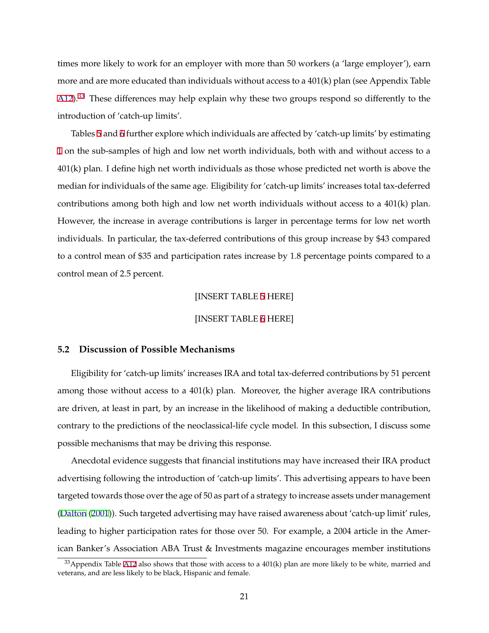times more likely to work for an employer with more than 50 workers (a 'large employer'), earn more and are more educated than individuals without access to a 401(k) plan (see Appendix Table  $A12$ ).<sup>33</sup> These differences may help explain why these two groups respond so differently to the introduction of 'catch-up limits'.

Tables [5](#page-40-0) and [6](#page-41-0) further explore which individuals are affected by 'catch-up limits' by estimating [1](#page-12-0) on the sub-samples of high and low net worth individuals, both with and without access to a 401(k) plan. I define high net worth individuals as those whose predicted net worth is above the median for individuals of the same age. Eligibility for 'catch-up limits' increases total tax-deferred contributions among both high and low net worth individuals without access to a 401(k) plan. However, the increase in average contributions is larger in percentage terms for low net worth individuals. In particular, the tax-deferred contributions of this group increase by \$43 compared to a control mean of \$35 and participation rates increase by 1.8 percentage points compared to a control mean of 2.5 percent.

#### [INSERT TABLE [5](#page-40-0) HERE]

## [INSERT TABLE [6](#page-41-0) HERE]

# **5.2 Discussion of Possible Mechanisms**

Eligibility for 'catch-up limits' increases IRA and total tax-deferred contributions by 51 percent among those without access to a 401(k) plan. Moreover, the higher average IRA contributions are driven, at least in part, by an increase in the likelihood of making a deductible contribution, contrary to the predictions of the neoclassical-life cycle model. In this subsection, I discuss some possible mechanisms that may be driving this response.

Anecdotal evidence suggests that financial institutions may have increased their IRA product advertising following the introduction of 'catch-up limits'. This advertising appears to have been targeted towards those over the age of 50 as part of a strategy to increase assets under management ([Dalton](#page-26-0) ([2001](#page-26-0))). Such targeted advertising may have raised awareness about 'catch-up limit' rules, leading to higher participation rates for those over 50. For example, a 2004 article in the American Banker's Association ABA Trust & Investments magazine encourages member institutions

 $33$ Appendix Table [A12](#page-71-0) also shows that those with access to a  $401(k)$  plan are more likely to be white, married and veterans, and are less likely to be black, Hispanic and female.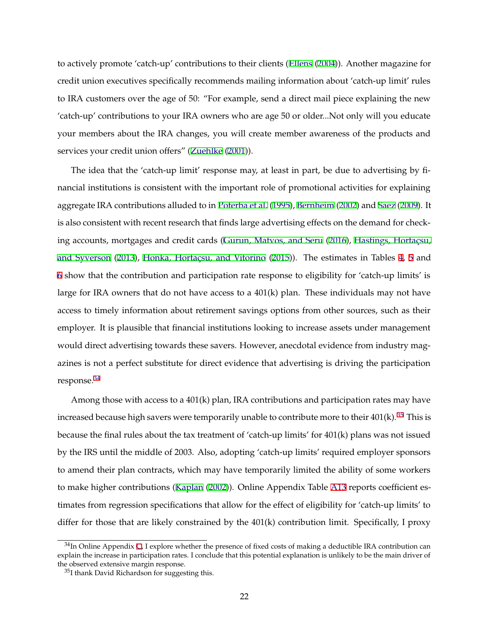to actively promote 'catch-up' contributions to their clients ([Ellens](#page-27-0) ([2004\)](#page-27-0)). Another magazine for credit union executives specifically recommends mailing information about 'catch-up limit' rules to IRA customers over the age of 50: "For example, send a direct mail piece explaining the new 'catch-up' contributions to your IRA owners who are age 50 or older...Not only will you educate your members about the IRA changes, you will create member awareness of the products and services your credit union offers" ([Zuehlke](#page-30-0) [\(2001](#page-30-0))).

The idea that the 'catch-up limit' response may, at least in part, be due to advertising by financial institutions is consistent with the important role of promotional activities for explaining aggregate IRA contributions alluded to in [Poterba et al.](#page-29-0) [\(1995](#page-29-0)), [Bernheim](#page-26-0) ([2002\)](#page-26-0) and [Saez](#page-29-0) [\(2009](#page-29-0)). It is also consistent with recent research that finds large advertising effects on the demand for check-ing accounts, mortgages and credit cards ([Gurun, Matvos, and Seru](#page-27-0) ([2016\)](#page-27-0), Hastings, Hortaçsu, [and Syverson](#page-28-0) ([2013](#page-28-0)), Honka, Hortaçsu, and Vitorino ([2015](#page-28-0))). The estimates in Tables [4,](#page-39-0) [5](#page-40-0) and [6](#page-41-0) show that the contribution and participation rate response to eligibility for 'catch-up limits' is large for IRA owners that do not have access to a  $401(k)$  plan. These individuals may not have access to timely information about retirement savings options from other sources, such as their employer. It is plausible that financial institutions looking to increase assets under management would direct advertising towards these savers. However, anecdotal evidence from industry magazines is not a perfect substitute for direct evidence that advertising is driving the participation response.<sup>34</sup>

Among those with access to a 401(k) plan, IRA contributions and participation rates may have increased because high savers were temporarily unable to contribute more to their  $401(k)$ .<sup>35</sup> This is because the final rules about the tax treatment of 'catch-up limits' for 401(k) plans was not issued by the IRS until the middle of 2003. Also, adopting 'catch-up limits' required employer sponsors to amend their plan contracts, which may have temporarily limited the ability of some workers to make higher contributions ([Kaplan](#page-28-0) ([2002](#page-28-0))). Online Appendix Table [A13](#page-72-0) reports coefficient estimates from regression specifications that allow for the effect of eligibility for 'catch-up limits' to differ for those that are likely constrained by the 401(k) contribution limit. Specifically, I proxy

 $34$ In Online Appendix [C](#page-46-0), I explore whether the presence of fixed costs of making a deductible IRA contribution can explain the increase in participation rates. I conclude that this potential explanation is unlikely to be the main driver of the observed extensive margin response.

<sup>35</sup>I thank David Richardson for suggesting this.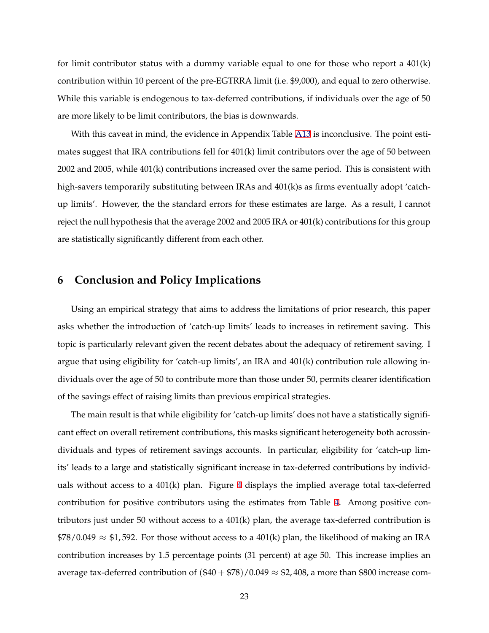<span id="page-23-0"></span>for limit contributor status with a dummy variable equal to one for those who report a 401(k) contribution within 10 percent of the pre-EGTRRA limit (i.e. \$9,000), and equal to zero otherwise. While this variable is endogenous to tax-deferred contributions, if individuals over the age of 50 are more likely to be limit contributors, the bias is downwards.

With this caveat in mind, the evidence in Appendix Table [A13](#page-72-0) is inconclusive. The point estimates suggest that IRA contributions fell for 401(k) limit contributors over the age of 50 between 2002 and 2005, while 401(k) contributions increased over the same period. This is consistent with high-savers temporarily substituting between IRAs and 401(k)s as firms eventually adopt 'catchup limits'. However, the the standard errors for these estimates are large. As a result, I cannot reject the null hypothesis that the average 2002 and 2005 IRA or 401(k) contributions for this group are statistically significantly different from each other.

# **6 Conclusion and Policy Implications**

Using an empirical strategy that aims to address the limitations of prior research, this paper asks whether the introduction of 'catch-up limits' leads to increases in retirement saving. This topic is particularly relevant given the recent debates about the adequacy of retirement saving. I argue that using eligibility for 'catch-up limits', an IRA and 401(k) contribution rule allowing individuals over the age of 50 to contribute more than those under 50, permits clearer identification of the savings effect of raising limits than previous empirical strategies.

The main result is that while eligibility for 'catch-up limits' does not have a statistically significant effect on overall retirement contributions, this masks significant heterogeneity both acrossindividuals and types of retirement savings accounts. In particular, eligibility for 'catch-up limits' leads to a large and statistically significant increase in tax-deferred contributions by individuals without access to a 401(k) plan. Figure [4](#page-35-0) displays the implied average total tax-deferred contribution for positive contributors using the estimates from Table [4](#page-39-0). Among positive contributors just under 50 without access to a 401(k) plan, the average tax-deferred contribution is  $$78/0.049 \approx $1,592$ . For those without access to a 401(k) plan, the likelihood of making an IRA contribution increases by 1.5 percentage points (31 percent) at age 50. This increase implies an average tax-deferred contribution of  $(\$40 + \$78)/0.049 \approx \$2,408$ , a more than \$800 increase com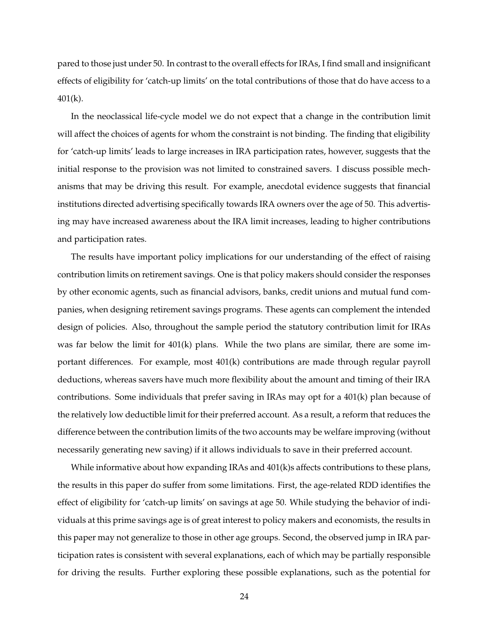pared to those just under 50. In contrast to the overall effects for IRAs, I find small and insignificant effects of eligibility for 'catch-up limits' on the total contributions of those that do have access to a 401(k).

In the neoclassical life-cycle model we do not expect that a change in the contribution limit will affect the choices of agents for whom the constraint is not binding. The finding that eligibility for 'catch-up limits' leads to large increases in IRA participation rates, however, suggests that the initial response to the provision was not limited to constrained savers. I discuss possible mechanisms that may be driving this result. For example, anecdotal evidence suggests that financial institutions directed advertising specifically towards IRA owners over the age of 50. This advertising may have increased awareness about the IRA limit increases, leading to higher contributions and participation rates.

The results have important policy implications for our understanding of the effect of raising contribution limits on retirement savings. One is that policy makers should consider the responses by other economic agents, such as financial advisors, banks, credit unions and mutual fund companies, when designing retirement savings programs. These agents can complement the intended design of policies. Also, throughout the sample period the statutory contribution limit for IRAs was far below the limit for 401(k) plans. While the two plans are similar, there are some important differences. For example, most 401(k) contributions are made through regular payroll deductions, whereas savers have much more flexibility about the amount and timing of their IRA contributions. Some individuals that prefer saving in IRAs may opt for a 401(k) plan because of the relatively low deductible limit for their preferred account. As a result, a reform that reduces the difference between the contribution limits of the two accounts may be welfare improving (without necessarily generating new saving) if it allows individuals to save in their preferred account.

While informative about how expanding IRAs and 401(k)s affects contributions to these plans, the results in this paper do suffer from some limitations. First, the age-related RDD identifies the effect of eligibility for 'catch-up limits' on savings at age 50. While studying the behavior of individuals at this prime savings age is of great interest to policy makers and economists, the results in this paper may not generalize to those in other age groups. Second, the observed jump in IRA participation rates is consistent with several explanations, each of which may be partially responsible for driving the results. Further exploring these possible explanations, such as the potential for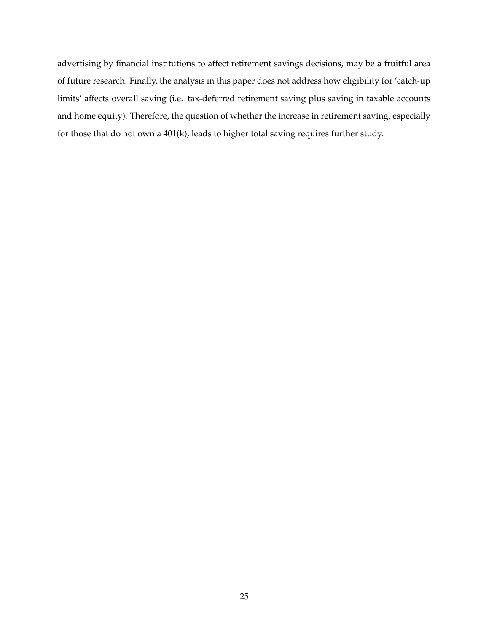advertising by financial institutions to affect retirement savings decisions, may be a fruitful area of future research. Finally, the analysis in this paper does not address how eligibility for 'catch-up limits' affects overall saving (i.e. tax-deferred retirement saving plus saving in taxable accounts and home equity). Therefore, the question of whether the increase in retirement saving, especially for those that do not own a 401(k), leads to higher total saving requires further study.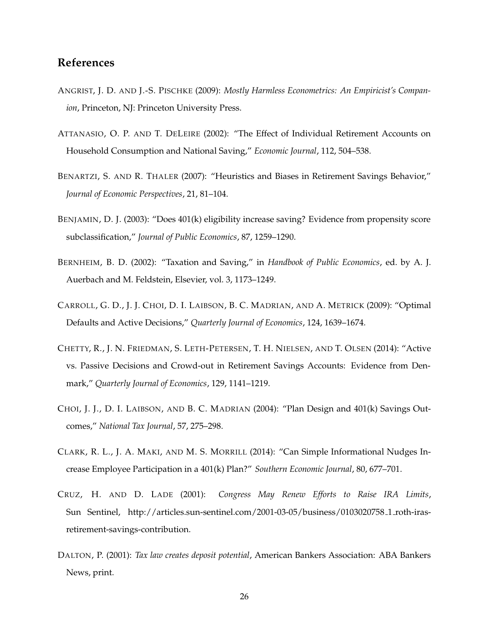# <span id="page-26-0"></span>**References**

- ANGRIST, J. D. AND J.-S. PISCHKE (2009): *Mostly Harmless Econometrics: An Empiricist's Companion*, Princeton, NJ: Princeton University Press.
- ATTANASIO, O. P. AND T. DELEIRE (2002): "The Effect of Individual Retirement Accounts on Household Consumption and National Saving," *Economic Journal*, 112, 504–538.
- BENARTZI, S. AND R. THALER (2007): "Heuristics and Biases in Retirement Savings Behavior," *Journal of Economic Perspectives*, 21, 81–104.
- BENJAMIN, D. J. (2003): "Does 401(k) eligibility increase saving? Evidence from propensity score subclassification," *Journal of Public Economics*, 87, 1259–1290.
- BERNHEIM, B. D. (2002): "Taxation and Saving," in *Handbook of Public Economics*, ed. by A. J. Auerbach and M. Feldstein, Elsevier, vol. 3, 1173–1249.
- CARROLL, G. D., J. J. CHOI, D. I. LAIBSON, B. C. MADRIAN, AND A. METRICK (2009): "Optimal Defaults and Active Decisions," *Quarterly Journal of Economics*, 124, 1639–1674.
- CHETTY, R., J. N. FRIEDMAN, S. LETH-PETERSEN, T. H. NIELSEN, AND T. OLSEN (2014): "Active vs. Passive Decisions and Crowd-out in Retirement Savings Accounts: Evidence from Denmark," *Quarterly Journal of Economics*, 129, 1141–1219.
- CHOI, J. J., D. I. LAIBSON, AND B. C. MADRIAN (2004): "Plan Design and 401(k) Savings Outcomes," *National Tax Journal*, 57, 275–298.
- CLARK, R. L., J. A. MAKI, AND M. S. MORRILL (2014): "Can Simple Informational Nudges Increase Employee Participation in a 401(k) Plan?" *Southern Economic Journal*, 80, 677–701.
- CRUZ, H. AND D. LADE (2001): *Congress May Renew Efforts to Raise IRA Limits*, Sun Sentinel, http://articles.sun-sentinel.com/2001-03-05/business/0103020758 1 roth-irasretirement-savings-contribution.
- DALTON, P. (2001): *Tax law creates deposit potential*, American Bankers Association: ABA Bankers News, print.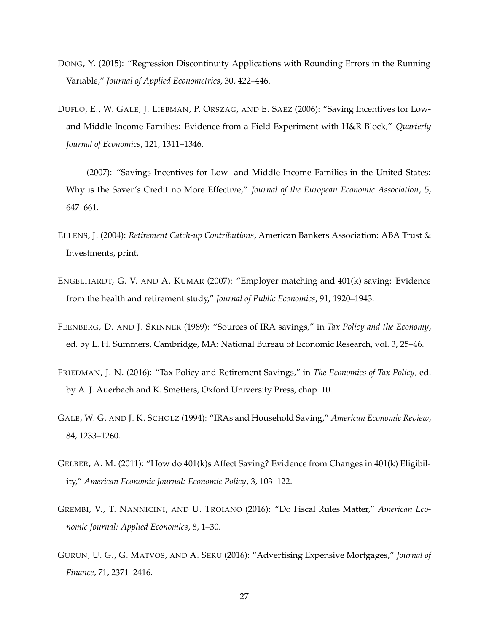- <span id="page-27-0"></span>DONG, Y. (2015): "Regression Discontinuity Applications with Rounding Errors in the Running Variable," *Journal of Applied Econometrics*, 30, 422–446.
- DUFLO, E., W. GALE, J. LIEBMAN, P. ORSZAG, AND E. SAEZ (2006): "Saving Incentives for Lowand Middle-Income Families: Evidence from a Field Experiment with H&R Block," *Quarterly Journal of Economics*, 121, 1311–1346.
- ——— (2007): "Savings Incentives for Low- and Middle-Income Families in the United States: Why is the Saver's Credit no More Effective," *Journal of the European Economic Association*, 5, 647–661.
- ELLENS, J. (2004): *Retirement Catch-up Contributions*, American Bankers Association: ABA Trust & Investments, print.
- ENGELHARDT, G. V. AND A. KUMAR (2007): "Employer matching and 401(k) saving: Evidence from the health and retirement study," *Journal of Public Economics*, 91, 1920–1943.
- FEENBERG, D. AND J. SKINNER (1989): "Sources of IRA savings," in *Tax Policy and the Economy*, ed. by L. H. Summers, Cambridge, MA: National Bureau of Economic Research, vol. 3, 25–46.
- FRIEDMAN, J. N. (2016): "Tax Policy and Retirement Savings," in *The Economics of Tax Policy*, ed. by A. J. Auerbach and K. Smetters, Oxford University Press, chap. 10.
- GALE, W. G. AND J. K. SCHOLZ (1994): "IRAs and Household Saving," *American Economic Review*, 84, 1233–1260.
- GELBER, A. M. (2011): "How do 401(k)s Affect Saving? Evidence from Changes in 401(k) Eligibility," *American Economic Journal: Economic Policy*, 3, 103–122.
- GREMBI, V., T. NANNICINI, AND U. TROIANO (2016): "Do Fiscal Rules Matter," *American Economic Journal: Applied Economics*, 8, 1–30.
- GURUN, U. G., G. MATVOS, AND A. SERU (2016): "Advertising Expensive Mortgages," *Journal of Finance*, 71, 2371–2416.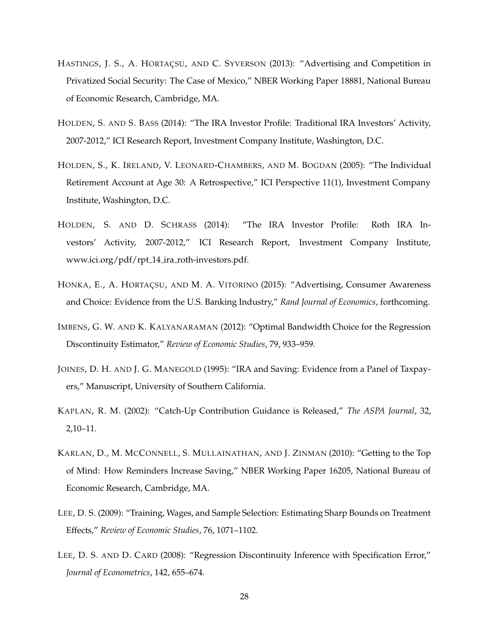- <span id="page-28-0"></span>HASTINGS, J. S., A. HORTAÇSU, AND C. SYVERSON (2013): "Advertising and Competition in Privatized Social Security: The Case of Mexico," NBER Working Paper 18881, National Bureau of Economic Research, Cambridge, MA.
- HOLDEN, S. AND S. BASS (2014): "The IRA Investor Profile: Traditional IRA Investors' Activity, 2007-2012," ICI Research Report, Investment Company Institute, Washington, D.C.
- HOLDEN, S., K. IRELAND, V. LEONARD-CHAMBERS, AND M. BOGDAN (2005): "The Individual Retirement Account at Age 30: A Retrospective," ICI Perspective 11(1), Investment Company Institute, Washington, D.C.
- HOLDEN, S. AND D. SCHRASS (2014): "The IRA Investor Profile: Roth IRA Investors' Activity, 2007-2012," ICI Research Report, Investment Company Institute, www.ici.org/pdf/rpt 14 ira roth-investors.pdf.
- HONKA, E., A. HORTAÇSU, AND M. A. VITORINO (2015): "Advertising, Consumer Awareness and Choice: Evidence from the U.S. Banking Industry," *Rand Journal of Economics*, forthcoming.
- IMBENS, G. W. AND K. KALYANARAMAN (2012): "Optimal Bandwidth Choice for the Regression Discontinuity Estimator," *Review of Economic Studies*, 79, 933–959.
- JOINES, D. H. AND J. G. MANEGOLD (1995): "IRA and Saving: Evidence from a Panel of Taxpayers," Manuscript, University of Southern California.
- KAPLAN, R. M. (2002): "Catch-Up Contribution Guidance is Released," *The ASPA Journal*, 32, 2,10–11.
- KARLAN, D., M. MCCONNELL, S. MULLAINATHAN, AND J. ZINMAN (2010): "Getting to the Top of Mind: How Reminders Increase Saving," NBER Working Paper 16205, National Bureau of Economic Research, Cambridge, MA.
- LEE, D. S. (2009): "Training, Wages, and Sample Selection: Estimating Sharp Bounds on Treatment Effects," *Review of Economic Studies*, 76, 1071–1102.
- LEE, D. S. AND D. CARD (2008): "Regression Discontinuity Inference with Specification Error," *Journal of Econometrics*, 142, 655–674.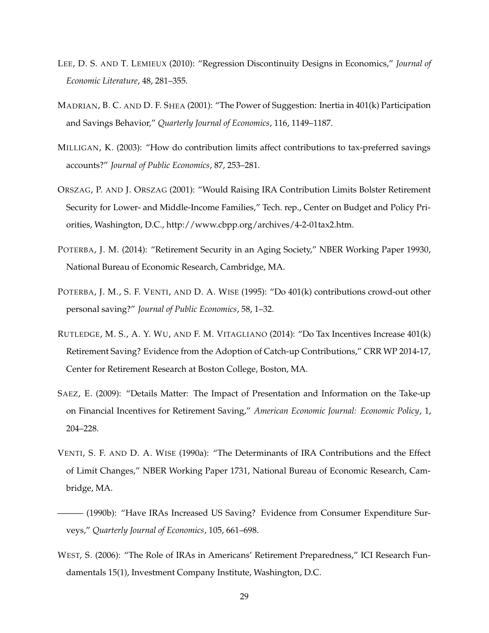- <span id="page-29-0"></span>LEE, D. S. AND T. LEMIEUX (2010): "Regression Discontinuity Designs in Economics," *Journal of Economic Literature*, 48, 281–355.
- MADRIAN, B. C. AND D. F. SHEA (2001): "The Power of Suggestion: Inertia in 401(k) Participation and Savings Behavior," *Quarterly Journal of Economics*, 116, 1149–1187.
- MILLIGAN, K. (2003): "How do contribution limits affect contributions to tax-preferred savings accounts?" *Journal of Public Economics*, 87, 253–281.
- ORSZAG, P. AND J. ORSZAG (2001): "Would Raising IRA Contribution Limits Bolster Retirement Security for Lower- and Middle-Income Families," Tech. rep., Center on Budget and Policy Priorities, Washington, D.C., http://www.cbpp.org/archives/4-2-01tax2.htm.
- POTERBA, J. M. (2014): "Retirement Security in an Aging Society," NBER Working Paper 19930, National Bureau of Economic Research, Cambridge, MA.
- POTERBA, J. M., S. F. VENTI, AND D. A. WISE (1995): "Do 401(k) contributions crowd-out other personal saving?" *Journal of Public Economics*, 58, 1–32.
- RUTLEDGE, M. S., A. Y. WU, AND F. M. VITAGLIANO (2014): "Do Tax Incentives Increase 401(k) Retirement Saving? Evidence from the Adoption of Catch-up Contributions," CRR WP 2014-17, Center for Retirement Research at Boston College, Boston, MA.
- SAEZ, E. (2009): "Details Matter: The Impact of Presentation and Information on the Take-up on Financial Incentives for Retirement Saving," *American Economic Journal: Economic Policy*, 1, 204–228.
- VENTI, S. F. AND D. A. WISE (1990a): "The Determinants of IRA Contributions and the Effect of Limit Changes," NBER Working Paper 1731, National Bureau of Economic Research, Cambridge, MA.
- ——— (1990b): "Have IRAs Increased US Saving? Evidence from Consumer Expenditure Surveys," *Quarterly Journal of Economics*, 105, 661–698.
- WEST, S. (2006): "The Role of IRAs in Americans' Retirement Preparedness," ICI Research Fundamentals 15(1), Investment Company Institute, Washington, D.C.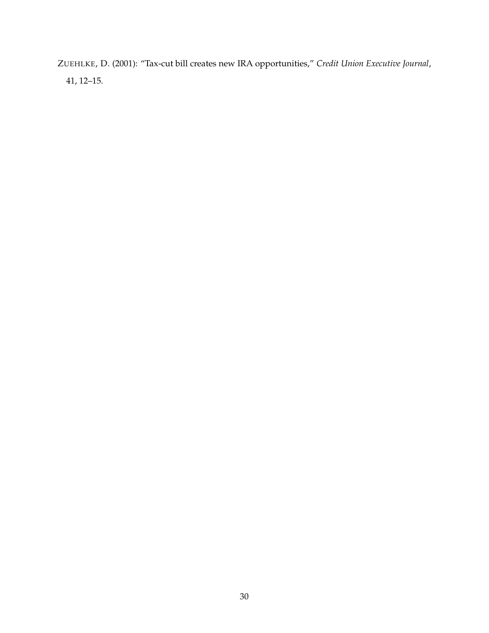<span id="page-30-0"></span>ZUEHLKE, D. (2001): "Tax-cut bill creates new IRA opportunities," *Credit Union Executive Journal*, 41, 12–15.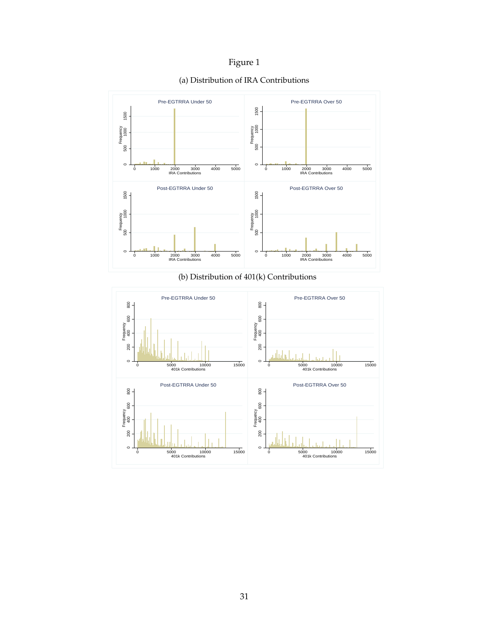

<span id="page-31-0"></span>



 $\circ$ 

200

0 5000 10000 15000 401k Contributions

 $\circ$ 

200

0 5000 10000 15000 401k Contributions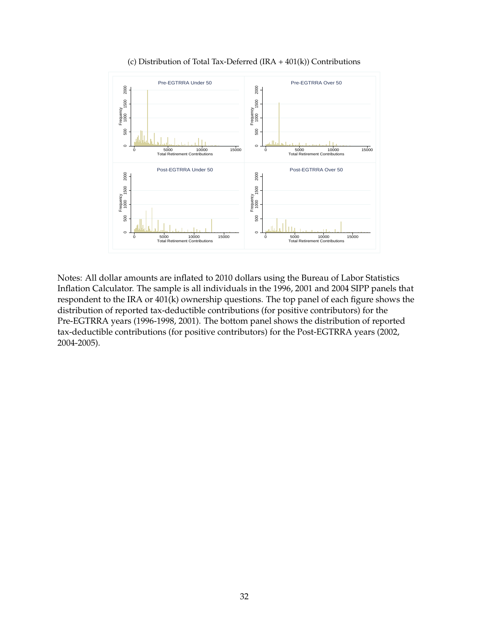

(c) Distribution of Total Tax-Deferred (IRA + 401(k)) Contributions

Notes: All dollar amounts are inflated to 2010 dollars using the Bureau of Labor Statistics Inflation Calculator. The sample is all individuals in the 1996, 2001 and 2004 SIPP panels that respondent to the IRA or 401(k) ownership questions. The top panel of each figure shows the distribution of reported tax-deductible contributions (for positive contributors) for the Pre-EGTRRA years (1996-1998, 2001). The bottom panel shows the distribution of reported tax-deductible contributions (for positive contributors) for the Post-EGTRRA years (2002, 2004-2005).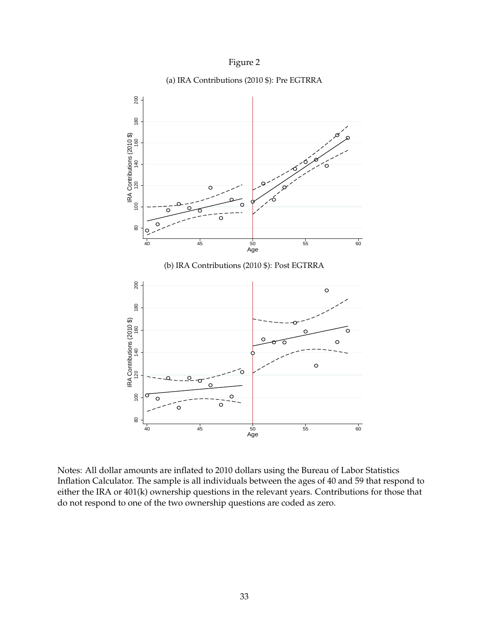

<span id="page-33-0"></span>

## (a) IRA Contributions (2010 \$): Pre EGTRRA

Notes: All dollar amounts are inflated to 2010 dollars using the Bureau of Labor Statistics Inflation Calculator. The sample is all individuals between the ages of 40 and 59 that respond to either the IRA or 401(k) ownership questions in the relevant years. Contributions for those that do not respond to one of the two ownership questions are coded as zero.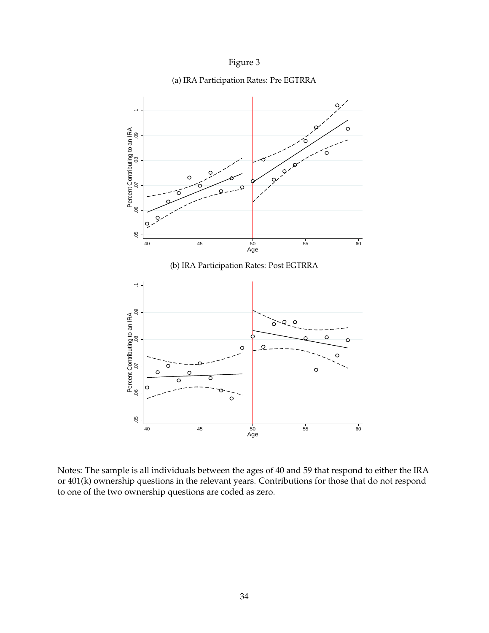

<span id="page-34-0"></span>

(a) IRA Participation Rates: Pre EGTRRA

Notes: The sample is all individuals between the ages of 40 and 59 that respond to either the IRA or 401(k) ownership questions in the relevant years. Contributions for those that do not respond to one of the two ownership questions are coded as zero.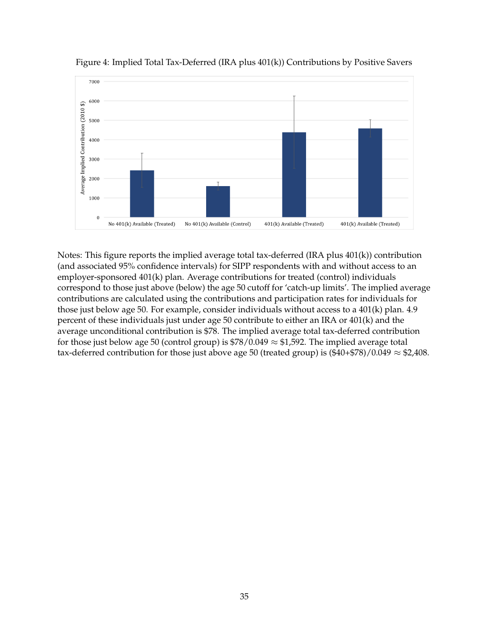

<span id="page-35-0"></span>Figure 4: Implied Total Tax-Deferred (IRA plus 401(k)) Contributions by Positive Savers

Notes: This figure reports the implied average total tax-deferred (IRA plus 401(k)) contribution (and associated 95% confidence intervals) for SIPP respondents with and without access to an employer-sponsored 401(k) plan. Average contributions for treated (control) individuals correspond to those just above (below) the age 50 cutoff for 'catch-up limits'. The implied average contributions are calculated using the contributions and participation rates for individuals for those just below age 50. For example, consider individuals without access to a 401(k) plan. 4.9 percent of these individuals just under age 50 contribute to either an IRA or 401(k) and the average unconditional contribution is \$78. The implied average total tax-deferred contribution for those just below age 50 (control group) is  $\frac{1}{28}$  (0.049  $\approx$  \$1,592. The implied average total tax-deferred contribution for those just above age 50 (treated group) is  $(\$40+\$78)/0.049 \approx \$2,408$ .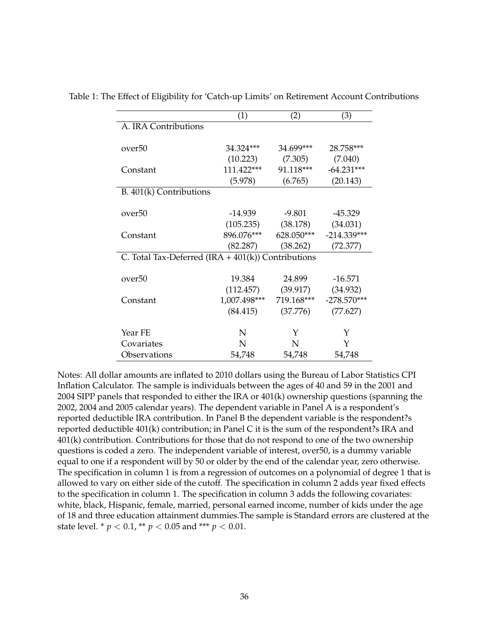|                                                      | (1)          | (2)                    | (3)           |
|------------------------------------------------------|--------------|------------------------|---------------|
| A. IRA Contributions                                 |              |                        |               |
|                                                      |              |                        |               |
| over50                                               | 34.324***    | 34.699***              | 28.758***     |
|                                                      | (10.223)     | (7.305)                | (7.040)       |
| Constant                                             | $111.422***$ | 91.118***              | $-64.231***$  |
|                                                      | (5.978)      | (6.765)                | (20.143)      |
| B. 401(k) Contributions                              |              |                        |               |
|                                                      |              |                        |               |
| over50                                               | -14.939      | -9.801                 | $-45.329$     |
|                                                      |              | $(105.235)$ $(38.178)$ | (34.031)      |
| Constant                                             | 896.076***   | 628.050***             | $-214.339***$ |
|                                                      | (82.287)     | (38.262)               | (72.377)      |
| C. Total Tax-Deferred $(IRA + 401(k))$ Contributions |              |                        |               |
|                                                      |              |                        |               |
| over50                                               | 19.384       | 24.899                 | $-16.571$     |
|                                                      |              | $(112.457)$ $(39.917)$ | (34.932)      |
| Constant                                             | 1,007.498*** | 719.168***             | $-278.570***$ |
|                                                      | (84.415)     | (37.776)               | (77.627)      |
|                                                      |              |                        |               |
| Year FE                                              | N            | Υ                      | Y             |
| Covariates                                           | N            | N                      | Y             |
| Observations                                         | 54,748       | 54,748                 | 54,748        |

<span id="page-36-0"></span>Table 1: The Effect of Eligibility for 'Catch-up Limits' on Retirement Account Contributions

Notes: All dollar amounts are inflated to 2010 dollars using the Bureau of Labor Statistics CPI Inflation Calculator. The sample is individuals between the ages of 40 and 59 in the 2001 and 2004 SIPP panels that responded to either the IRA or 401(k) ownership questions (spanning the 2002, 2004 and 2005 calendar years). The dependent variable in Panel A is a respondent's reported deductible IRA contribution. In Panel B the dependent variable is the respondent?s reported deductible 401(k) contribution; in Panel C it is the sum of the respondent?s IRA and 401(k) contribution. Contributions for those that do not respond to one of the two ownership questions is coded a zero. The independent variable of interest, over50, is a dummy variable equal to one if a respondent will by 50 or older by the end of the calendar year, zero otherwise. The specification in column 1 is from a regression of outcomes on a polynomial of degree 1 that is allowed to vary on either side of the cutoff. The specification in column 2 adds year fixed effects to the specification in column 1. The specification in column 3 adds the following covariates: white, black, Hispanic, female, married, personal earned income, number of kids under the age of 18 and three education attainment dummies.The sample is Standard errors are clustered at the state level. \*  $p < 0.1$ , \*\*  $p < 0.05$  and \*\*\*  $p < 0.01$ .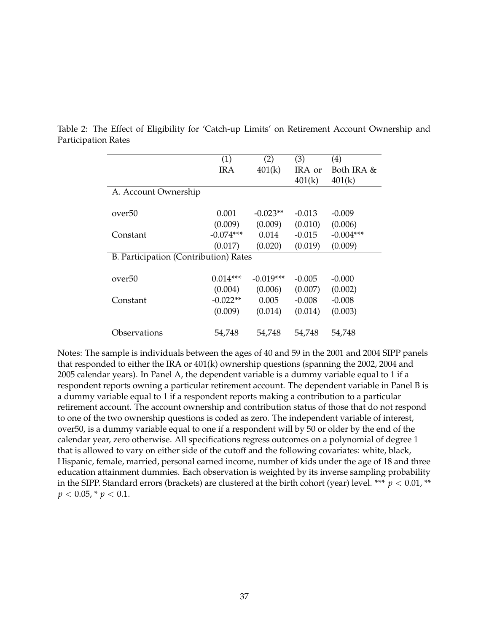|                                       | (1)         | (2)         | (3)      | (4)         |
|---------------------------------------|-------------|-------------|----------|-------------|
|                                       | IRA         | 401(k)      | IRA or   | Both IRA &  |
|                                       |             |             | 401(k)   | 401(k)      |
| A. Account Ownership                  |             |             |          |             |
|                                       |             |             |          |             |
| over50                                | 0.001       | $-0.023**$  | $-0.013$ | $-0.009$    |
|                                       | (0.009)     | (0.009)     | (0.010)  | (0.006)     |
| Constant                              | $-0.074***$ | 0.014       | $-0.015$ | $-0.004***$ |
|                                       | (0.017)     | (0.020)     | (0.019)  | (0.009)     |
| B. Participation (Contribution) Rates |             |             |          |             |
|                                       |             |             |          |             |
| over50                                | $0.014***$  | $-0.019***$ | $-0.005$ | $-0.000$    |
|                                       | (0.004)     | (0.006)     | (0.007)  | (0.002)     |
| Constant                              | $-0.022**$  | 0.005       | $-0.008$ | $-0.008$    |
|                                       | (0.009)     | (0.014)     | (0.014)  | (0.003)     |
|                                       |             |             |          |             |
| Observations                          | 54,748      | 54.748      | 54,748   | 54,748      |

<span id="page-37-0"></span>Table 2: The Effect of Eligibility for 'Catch-up Limits' on Retirement Account Ownership and Participation Rates

Notes: The sample is individuals between the ages of 40 and 59 in the 2001 and 2004 SIPP panels that responded to either the IRA or 401(k) ownership questions (spanning the 2002, 2004 and 2005 calendar years). In Panel A, the dependent variable is a dummy variable equal to 1 if a respondent reports owning a particular retirement account. The dependent variable in Panel B is a dummy variable equal to 1 if a respondent reports making a contribution to a particular retirement account. The account ownership and contribution status of those that do not respond to one of the two ownership questions is coded as zero. The independent variable of interest, over50, is a dummy variable equal to one if a respondent will by 50 or older by the end of the calendar year, zero otherwise. All specifications regress outcomes on a polynomial of degree 1 that is allowed to vary on either side of the cutoff and the following covariates: white, black, Hispanic, female, married, personal earned income, number of kids under the age of 18 and three education attainment dummies. Each observation is weighted by its inverse sampling probability in the SIPP. Standard errors (brackets) are clustered at the birth cohort (year) level. \*\*\*  $p < 0.01$ , \*\*  $p < 0.05$ , \*  $p < 0.1$ .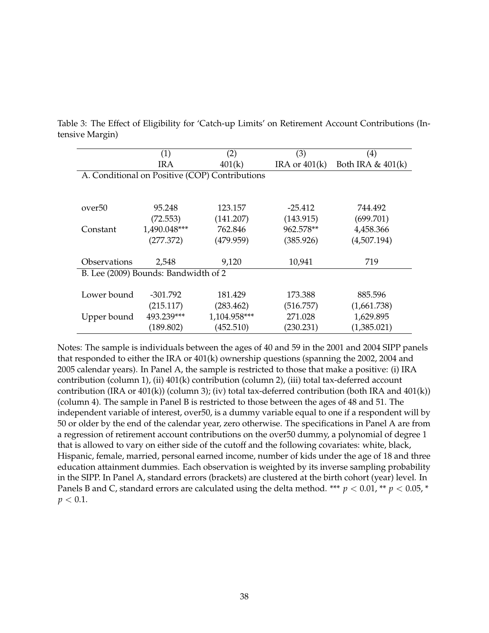|                    | (1)                                  | (2)                                            | (3)             | $\left( 4\right)$   |
|--------------------|--------------------------------------|------------------------------------------------|-----------------|---------------------|
|                    | <b>IRA</b>                           | 401(k)                                         | IRA or $401(k)$ | Both IRA $& 401(k)$ |
|                    |                                      | A. Conditional on Positive (COP) Contributions |                 |                     |
|                    |                                      |                                                |                 |                     |
|                    |                                      |                                                |                 |                     |
| over <sup>50</sup> | 95.248                               | 123.157                                        | $-25.412$       | 744.492             |
|                    | (72.553)                             | (141.207)                                      | (143.915)       | (699.701)           |
| Constant           | 1,490.048***                         | 762.846                                        | 962.578**       | 4,458.366           |
|                    | (277.372)                            | (479.959)                                      | (385.926)       | (4,507.194)         |
|                    |                                      |                                                |                 |                     |
| Observations       | 2,548                                | 9,120                                          | 10,941          | 719                 |
|                    | B. Lee (2009) Bounds: Bandwidth of 2 |                                                |                 |                     |
|                    |                                      |                                                |                 |                     |
| Lower bound        | $-301.792$                           | 181.429                                        | 173.388         | 885.596             |
|                    | (215.117)                            | (283.462)                                      | (516.757)       | (1,661.738)         |
| Upper bound        | 493.239***                           | 1,104.958***                                   | 271.028         | 1,629.895           |
|                    | (189.802)                            | (452.510)                                      | (230.231)       | (1,385.021)         |

<span id="page-38-0"></span>Table 3: The Effect of Eligibility for 'Catch-up Limits' on Retirement Account Contributions (Intensive Margin)

Notes: The sample is individuals between the ages of 40 and 59 in the 2001 and 2004 SIPP panels that responded to either the IRA or 401(k) ownership questions (spanning the 2002, 2004 and 2005 calendar years). In Panel A, the sample is restricted to those that make a positive: (i) IRA contribution (column 1), (ii) 401(k) contribution (column 2), (iii) total tax-deferred account contribution (IRA or 401(k)) (column 3); (iv) total tax-deferred contribution (both IRA and 401(k)) (column 4). The sample in Panel B is restricted to those between the ages of 48 and 51. The independent variable of interest, over50, is a dummy variable equal to one if a respondent will by 50 or older by the end of the calendar year, zero otherwise. The specifications in Panel A are from a regression of retirement account contributions on the over50 dummy, a polynomial of degree 1 that is allowed to vary on either side of the cutoff and the following covariates: white, black, Hispanic, female, married, personal earned income, number of kids under the age of 18 and three education attainment dummies. Each observation is weighted by its inverse sampling probability in the SIPP. In Panel A, standard errors (brackets) are clustered at the birth cohort (year) level. In Panels B and C, standard errors are calculated using the delta method. \*\*\*  $p < 0.01$ , \*\*  $p < 0.05$ , \*  $p < 0.1$ .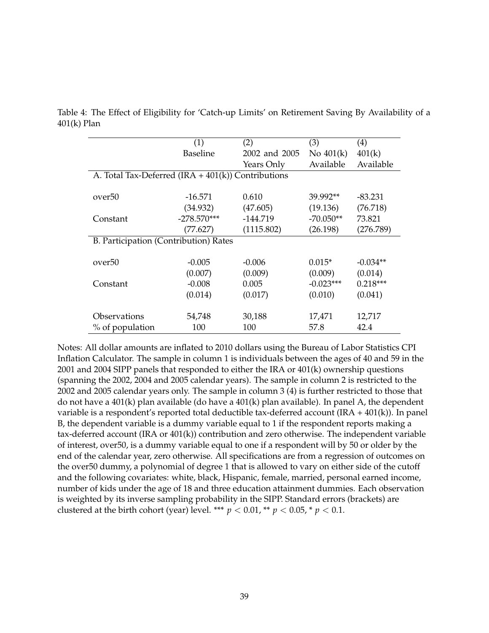|                                                      | (1)             | (2)           | (3)         | $\left( 4\right)$ |
|------------------------------------------------------|-----------------|---------------|-------------|-------------------|
|                                                      | <b>Baseline</b> | 2002 and 2005 | No $401(k)$ | 401(k)            |
|                                                      |                 | Years Only    | Available   | Available         |
| A. Total Tax-Deferred $(IRA + 401(k))$ Contributions |                 |               |             |                   |
|                                                      |                 |               |             |                   |
| over <sub>50</sub>                                   | $-16.571$       | 0.610         | 39.992**    | -83.231           |
|                                                      | (34.932)        | (47.605)      | (19.136)    | (76.718)          |
| Constant                                             | $-278.570***$   | -144.719      | $-70.050**$ | 73.821            |
|                                                      | (77.627)        | (1115.802)    | (26.198)    | (276.789)         |
| B. Participation (Contribution) Rates                |                 |               |             |                   |
|                                                      |                 |               |             |                   |
| over <sub>50</sub>                                   | $-0.005$        | $-0.006$      | $0.015*$    | $-0.034**$        |
|                                                      | (0.007)         | (0.009)       | (0.009)     | (0.014)           |
| Constant                                             | $-0.008$        | 0.005         | $-0.023***$ | $0.218***$        |
|                                                      | (0.014)         | (0.017)       | (0.010)     | (0.041)           |
|                                                      |                 |               |             |                   |
| Observations                                         | 54,748          | 30,188        | 17,471      | 12,717            |
| % of population                                      | 100             | 100           | 57.8        | 42.4              |

Table 4: The Effect of Eligibility for 'Catch-up Limits' on Retirement Saving By Availability of a 401(k) Plan

Notes: All dollar amounts are inflated to 2010 dollars using the Bureau of Labor Statistics CPI Inflation Calculator. The sample in column 1 is individuals between the ages of 40 and 59 in the 2001 and 2004 SIPP panels that responded to either the IRA or 401(k) ownership questions (spanning the 2002, 2004 and 2005 calendar years). The sample in column 2 is restricted to the 2002 and 2005 calendar years only. The sample in column 3 (4) is further restricted to those that do not have a 401(k) plan available (do have a 401(k) plan available). In panel A, the dependent variable is a respondent's reported total deductible tax-deferred account  $(IRA + 401(k))$ . In panel B, the dependent variable is a dummy variable equal to 1 if the respondent reports making a tax-deferred account (IRA or 401(k)) contribution and zero otherwise. The independent variable of interest, over50, is a dummy variable equal to one if a respondent will by 50 or older by the end of the calendar year, zero otherwise. All specifications are from a regression of outcomes on the over50 dummy, a polynomial of degree 1 that is allowed to vary on either side of the cutoff and the following covariates: white, black, Hispanic, female, married, personal earned income, number of kids under the age of 18 and three education attainment dummies. Each observation is weighted by its inverse sampling probability in the SIPP. Standard errors (brackets) are clustered at the birth cohort (year) level. \*\*\*  $p < 0.01$ , \*\*  $p < 0.05$ , \*  $p < 0.1$ .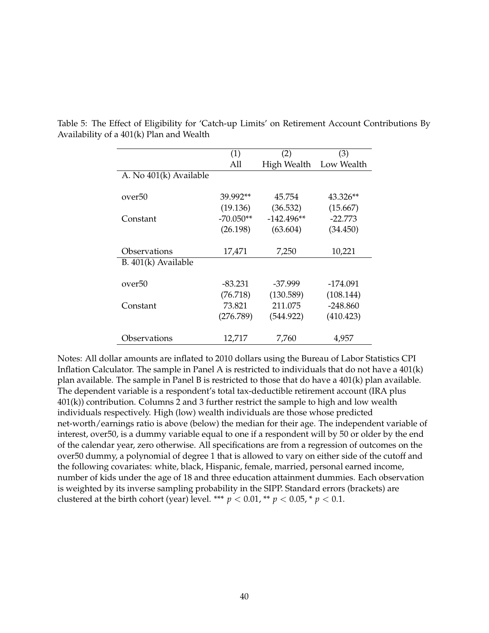|                        | (1)         | (2)          | (3)        |
|------------------------|-------------|--------------|------------|
|                        | All         | High Wealth  | Low Wealth |
| A. No 401(k) Available |             |              |            |
|                        |             |              |            |
| over50                 | 39.992**    | 45.754       | 43.326**   |
|                        | (19.136)    | (36.532)     | (15.667)   |
| Constant               | $-70.050**$ | $-142.496**$ | $-22.773$  |
|                        | (26.198)    | (63.604)     | (34.450)   |
|                        |             |              |            |
| Observations           | 17,471      | 7,250        | 10,221     |
| B. $401(k)$ Available  |             |              |            |
|                        |             |              |            |
| over50                 | -83.231     | $-37.999$    | -174.091   |
|                        | (76.718)    | (130.589)    | (108.144)  |
| Constant               | 73.821      | 211.075      | $-248.860$ |
|                        | (276.789)   | (544.922)    | (410.423)  |
|                        |             |              |            |
| Observations           | 12,717      | 7,760        | 4,957      |

Table 5: The Effect of Eligibility for 'Catch-up Limits' on Retirement Account Contributions By Availability of a 401(k) Plan and Wealth

Notes: All dollar amounts are inflated to 2010 dollars using the Bureau of Labor Statistics CPI Inflation Calculator. The sample in Panel A is restricted to individuals that do not have a 401(k) plan available. The sample in Panel B is restricted to those that do have a 401(k) plan available. The dependent variable is a respondent's total tax-deductible retirement account (IRA plus 401(k)) contribution. Columns 2 and 3 further restrict the sample to high and low wealth individuals respectively. High (low) wealth individuals are those whose predicted net-worth/earnings ratio is above (below) the median for their age. The independent variable of interest, over50, is a dummy variable equal to one if a respondent will by 50 or older by the end of the calendar year, zero otherwise. All specifications are from a regression of outcomes on the over50 dummy, a polynomial of degree 1 that is allowed to vary on either side of the cutoff and the following covariates: white, black, Hispanic, female, married, personal earned income, number of kids under the age of 18 and three education attainment dummies. Each observation is weighted by its inverse sampling probability in the SIPP. Standard errors (brackets) are clustered at the birth cohort (year) level. \*\*\*  $p < 0.01$ , \*\*  $p < 0.05$ , \*  $p < 0.1$ .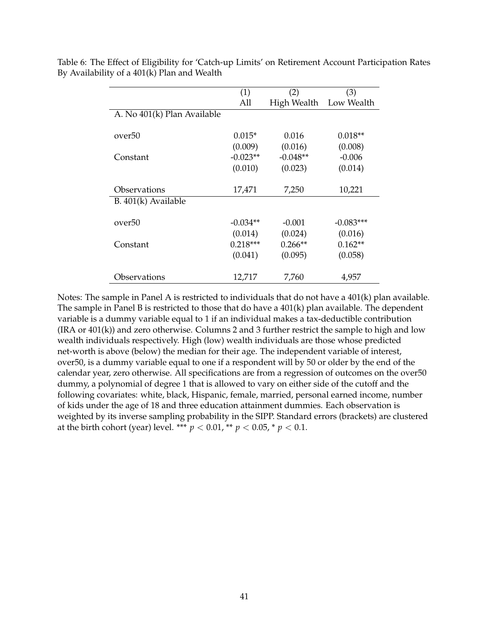|                             | (1)        | (2)                    | (3)         |
|-----------------------------|------------|------------------------|-------------|
|                             | All        | High Wealth Low Wealth |             |
| A. No 401(k) Plan Available |            |                        |             |
|                             |            |                        |             |
| over50                      | $0.015*$   | 0.016                  | $0.018**$   |
|                             | (0.009)    | (0.016)                | (0.008)     |
| Constant                    | $-0.023**$ | $-0.048**$             | $-0.006$    |
|                             | (0.010)    | (0.023)                | (0.014)     |
|                             |            |                        |             |
| Observations                | 17,471     | 7,250                  | 10,221      |
| $B. 401(k)$ Available       |            |                        |             |
|                             |            |                        |             |
| over50                      | $-0.034**$ | $-0.001$               | $-0.083***$ |
|                             | (0.014)    | (0.024)                | (0.016)     |
| Constant                    | $0.218***$ | $0.266**$              | $0.162**$   |
|                             | (0.041)    | (0.095)                | (0.058)     |
|                             |            |                        |             |
| Observations                | 12,717     | 7,760                  | 4,957       |

Table 6: The Effect of Eligibility for 'Catch-up Limits' on Retirement Account Participation Rates By Availability of a 401(k) Plan and Wealth

Notes: The sample in Panel A is restricted to individuals that do not have a 401(k) plan available. The sample in Panel B is restricted to those that do have a 401(k) plan available. The dependent variable is a dummy variable equal to 1 if an individual makes a tax-deductible contribution (IRA or 401(k)) and zero otherwise. Columns 2 and 3 further restrict the sample to high and low wealth individuals respectively. High (low) wealth individuals are those whose predicted net-worth is above (below) the median for their age. The independent variable of interest, over50, is a dummy variable equal to one if a respondent will by 50 or older by the end of the calendar year, zero otherwise. All specifications are from a regression of outcomes on the over50 dummy, a polynomial of degree 1 that is allowed to vary on either side of the cutoff and the following covariates: white, black, Hispanic, female, married, personal earned income, number of kids under the age of 18 and three education attainment dummies. Each observation is weighted by its inverse sampling probability in the SIPP. Standard errors (brackets) are clustered at the birth cohort (year) level. \*\*\*  $p < 0.01$ , \*\*  $p < 0.05$ , \*  $p < 0.1$ .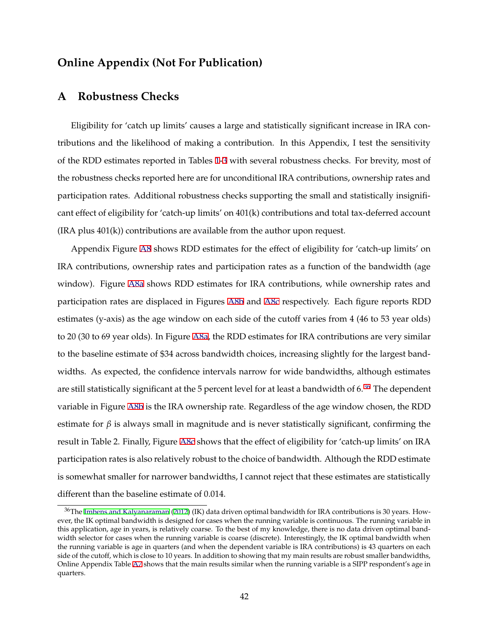## **Online Appendix (Not For Publication)**

#### **A Robustness Checks**

Eligibility for 'catch up limits' causes a large and statistically significant increase in IRA contributions and the likelihood of making a contribution. In this Appendix, I test the sensitivity of the RDD estimates reported in Tables [1](#page-36-0)-[3](#page-38-0) with several robustness checks. For brevity, most of the robustness checks reported here are for unconditional IRA contributions, ownership rates and participation rates. Additional robustness checks supporting the small and statistically insignificant effect of eligibility for 'catch-up limits' on 401(k) contributions and total tax-deferred account (IRA plus 401(k)) contributions are available from the author upon request.

Appendix Figure [A8](#page-56-0) shows RDD estimates for the effect of eligibility for 'catch-up limits' on IRA contributions, ownership rates and participation rates as a function of the bandwidth (age window). Figure [A8a](#page-56-0) shows RDD estimates for IRA contributions, while ownership rates and participation rates are displaced in Figures [A8b](#page-56-0) and [A8c](#page-57-0) respectively. Each figure reports RDD estimates (y-axis) as the age window on each side of the cutoff varies from 4 (46 to 53 year olds) to 20 (30 to 69 year olds). In Figure [A8a,](#page-56-0) the RDD estimates for IRA contributions are very similar to the baseline estimate of \$34 across bandwidth choices, increasing slightly for the largest bandwidths. As expected, the confidence intervals narrow for wide bandwidths, although estimates are still statistically significant at the 5 percent level for at least a bandwidth of 6.<sup>36</sup> The dependent variable in Figure [A8b](#page-56-0) is the IRA ownership rate. Regardless of the age window chosen, the RDD estimate for  $\beta$  is always small in magnitude and is never statistically significant, confirming the result in Table 2. Finally, Figure [A8c](#page-57-0) shows that the effect of eligibility for 'catch-up limits' on IRA participation rates is also relatively robust to the choice of bandwidth. Although the RDD estimate is somewhat smaller for narrower bandwidths, I cannot reject that these estimates are statistically different than the baseline estimate of 0.014.

 $36$ The [Imbens and Kalyanaraman](#page-28-0) [\(2012](#page-28-0)) (IK) data driven optimal bandwidth for IRA contributions is 30 years. However, the IK optimal bandwidth is designed for cases when the running variable is continuous. The running variable in this application, age in years, is relatively coarse. To the best of my knowledge, there is no data driven optimal bandwidth selector for cases when the running variable is coarse (discrete). Interestingly, the IK optimal bandwidth when the running variable is age in quarters (and when the dependent variable is IRA contributions) is 43 quarters on each side of the cutoff, which is close to 10 years. In addition to showing that my main results are robust smaller bandwidths, Online Appendix Table [A7](#page-66-0) shows that the main results similar when the running variable is a SIPP respondent's age in quarters.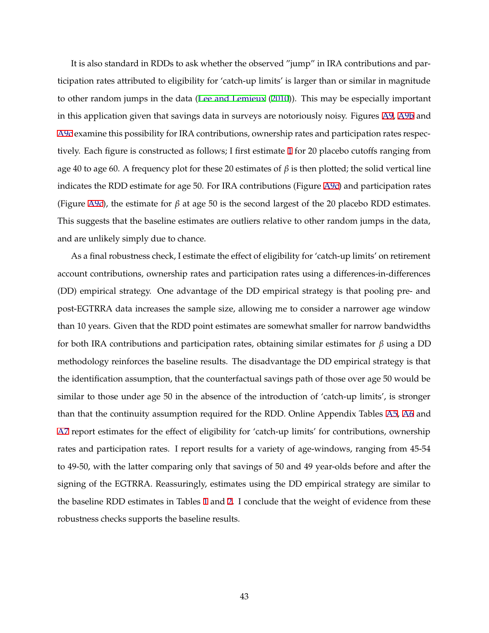It is also standard in RDDs to ask whether the observed "jump" in IRA contributions and participation rates attributed to eligibility for 'catch-up limits' is larger than or similar in magnitude to other random jumps in the data [\(Lee and Lemieux](#page-29-0) ([2010\)](#page-29-0)). This may be especially important in this application given that savings data in surveys are notoriously noisy. Figures [A9,](#page-58-0) [A9b](#page-58-0) and [A9c](#page-59-0) examine this possibility for IRA contributions, ownership rates and participation rates respectively. Each figure is constructed as follows; I first estimate [1](#page-12-0) for 20 placebo cutoffs ranging from age 40 to age 60. A frequency plot for these 20 estimates of *β* is then plotted; the solid vertical line indicates the RDD estimate for age 50. For IRA contributions (Figure [A9c](#page-59-0)) and participation rates (Figure [A9c](#page-59-0)), the estimate for *β* at age 50 is the second largest of the 20 placebo RDD estimates. This suggests that the baseline estimates are outliers relative to other random jumps in the data, and are unlikely simply due to chance.

As a final robustness check, I estimate the effect of eligibility for 'catch-up limits' on retirement account contributions, ownership rates and participation rates using a differences-in-differences (DD) empirical strategy. One advantage of the DD empirical strategy is that pooling pre- and post-EGTRRA data increases the sample size, allowing me to consider a narrower age window than 10 years. Given that the RDD point estimates are somewhat smaller for narrow bandwidths for both IRA contributions and participation rates, obtaining similar estimates for *β* using a DD methodology reinforces the baseline results. The disadvantage the DD empirical strategy is that the identification assumption, that the counterfactual savings path of those over age 50 would be similar to those under age 50 in the absence of the introduction of 'catch-up limits', is stronger than that the continuity assumption required for the RDD. Online Appendix Tables [A5,](#page-64-0) [A6](#page-65-0) and [A7](#page-66-0) report estimates for the effect of eligibility for 'catch-up limits' for contributions, ownership rates and participation rates. I report results for a variety of age-windows, ranging from 45-54 to 49-50, with the latter comparing only that savings of 50 and 49 year-olds before and after the signing of the EGTRRA. Reassuringly, estimates using the DD empirical strategy are similar to the baseline RDD estimates in Tables [1](#page-36-0) and [2.](#page-37-0) I conclude that the weight of evidence from these robustness checks supports the baseline results.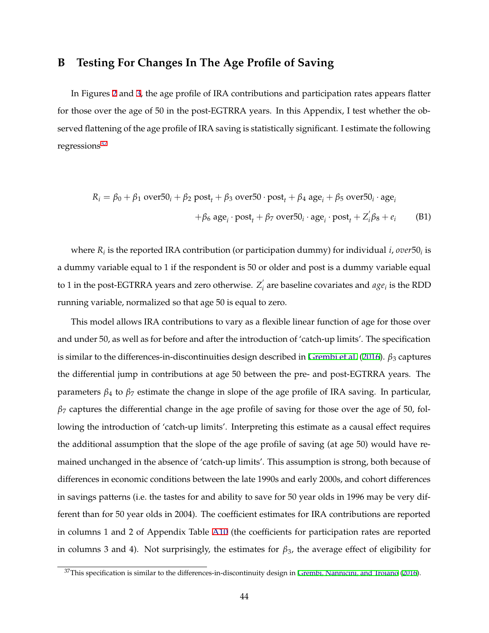## **B Testing For Changes In The Age Profile of Saving**

In Figures [2](#page-33-0) and [3](#page-34-0), the age profile of IRA contributions and participation rates appears flatter for those over the age of 50 in the post-EGTRRA years. In this Appendix, I test whether the observed flattening of the age profile of IRA saving is statistically significant. I estimate the following regressions $37$ 

$$
R_i = \beta_0 + \beta_1 \text{ over} 50_i + \beta_2 \text{ post}_t + \beta_3 \text{ over} 50 \cdot \text{post}_t + \beta_4 \text{ age}_i + \beta_5 \text{ over} 50_i \cdot \text{age}_i
$$

$$
+ \beta_6 \text{ age}_i \cdot \text{post}_t + \beta_7 \text{ over} 50_i \cdot \text{age}_i \cdot \text{post}_t + Z_i' \beta_8 + e_i \tag{B1}
$$

where *Ri* is the reported IRA contribution (or participation dummy) for individual *i*, *over*50*<sup>i</sup>* is a dummy variable equal to 1 if the respondent is 50 or older and post is a dummy variable equal to 1 in the post-EGTRRA years and zero otherwise.  $Z_i$  are baseline covariates and  $age_i$  is the RDD running variable, normalized so that age 50 is equal to zero.

This model allows IRA contributions to vary as a flexible linear function of age for those over and under 50, as well as for before and after the introduction of 'catch-up limits'. The specification is similar to the differences-in-discontinuities design described in [Grembi et al.](#page-27-0) ([2016\)](#page-27-0). *β*<sup>3</sup> captures the differential jump in contributions at age 50 between the pre- and post-EGTRRA years. The parameters *β*<sup>4</sup> to *β*<sup>7</sup> estimate the change in slope of the age profile of IRA saving. In particular, *β*<sup>7</sup> captures the differential change in the age profile of saving for those over the age of 50, following the introduction of 'catch-up limits'. Interpreting this estimate as a causal effect requires the additional assumption that the slope of the age profile of saving (at age 50) would have remained unchanged in the absence of 'catch-up limits'. This assumption is strong, both because of differences in economic conditions between the late 1990s and early 2000s, and cohort differences in savings patterns (i.e. the tastes for and ability to save for 50 year olds in 1996 may be very different than for 50 year olds in 2004). The coefficient estimates for IRA contributions are reported in columns 1 and 2 of Appendix Table [A10](#page-69-0) (the coefficients for participation rates are reported in columns 3 and 4). Not surprisingly, the estimates for *β*3, the average effect of eligibility for

 $37$ This specification is similar to the differences-in-discontinuity design in [Grembi, Nannicini, and Troiano](#page-27-0) [\(2016](#page-27-0)).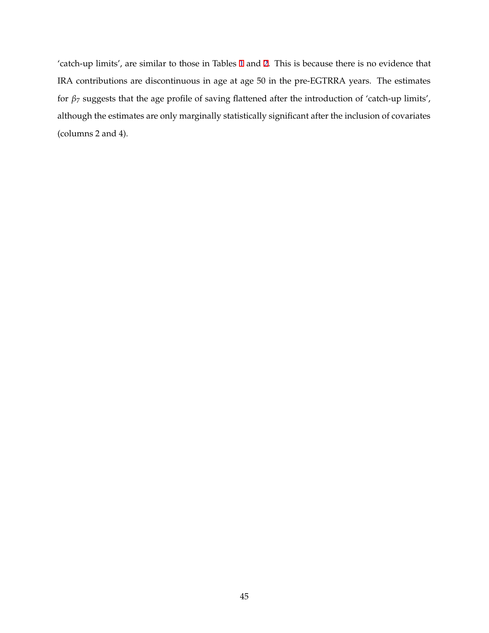'catch-up limits', are similar to those in Tables [1](#page-36-0) and [2.](#page-37-0) This is because there is no evidence that IRA contributions are discontinuous in age at age 50 in the pre-EGTRRA years. The estimates for *β*<sup>7</sup> suggests that the age profile of saving flattened after the introduction of 'catch-up limits', although the estimates are only marginally statistically significant after the inclusion of covariates (columns 2 and 4).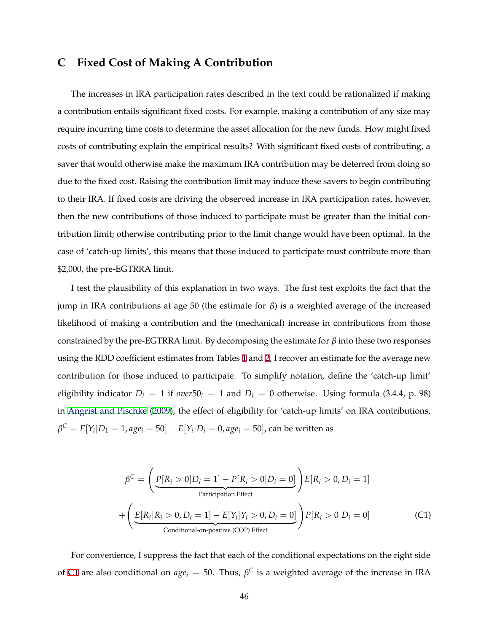## <span id="page-46-0"></span>**C Fixed Cost of Making A Contribution**

The increases in IRA participation rates described in the text could be rationalized if making a contribution entails significant fixed costs. For example, making a contribution of any size may require incurring time costs to determine the asset allocation for the new funds. How might fixed costs of contributing explain the empirical results? With significant fixed costs of contributing, a saver that would otherwise make the maximum IRA contribution may be deterred from doing so due to the fixed cost. Raising the contribution limit may induce these savers to begin contributing to their IRA. If fixed costs are driving the observed increase in IRA participation rates, however, then the new contributions of those induced to participate must be greater than the initial contribution limit; otherwise contributing prior to the limit change would have been optimal. In the case of 'catch-up limits', this means that those induced to participate must contribute more than \$2,000, the pre-EGTRRA limit.

I test the plausibility of this explanation in two ways. The first test exploits the fact that the jump in IRA contributions at age 50 (the estimate for *β*) is a weighted average of the increased likelihood of making a contribution and the (mechanical) increase in contributions from those constrained by the pre-EGTRRA limit. By decomposing the estimate for  $\beta$  into these two responses using the RDD coefficient estimates from Tables [1](#page-36-0) and [2,](#page-37-0) I recover an estimate for the average new contribution for those induced to participate. To simplify notation, define the 'catch-up limit' eligibility indicator  $D_i = 1$  if  $over50_i = 1$  and  $D_i = 0$  otherwise. Using formula (3.4.4, p. 98) in [Angrist and Pischke](#page-26-0) [\(2009](#page-26-0)), the effect of eligibility for 'catch-up limits' on IRA contributions,  $\beta^{C} = E[Y_i | D_1 = 1, age_i = 50] - E[Y_i | D_i = 0, age_i = 50]$ , can be written as

$$
\beta^{C} = \left(\underbrace{P[R_i > 0 | D_i = 1] - P[R_i > 0 | D_i = 0]}_{\text{Participation Effect}}\right) E[R_i > 0, D_i = 1]
$$
  
+ 
$$
\left(\underbrace{E[R_i | R_i > 0, D_i = 1] - E[Y_i | Y_i > 0, D_i = 0]}_{\text{Conditional-on-positive (COP) Effect}}\right) P[R_i > 0 | D_i = 0]
$$
(C1)

For convenience, I suppress the fact that each of the conditional expectations on the right side of C1 are also conditional on  $age_i = 50$ . Thus,  $\beta^C$  is a weighted average of the increase in IRA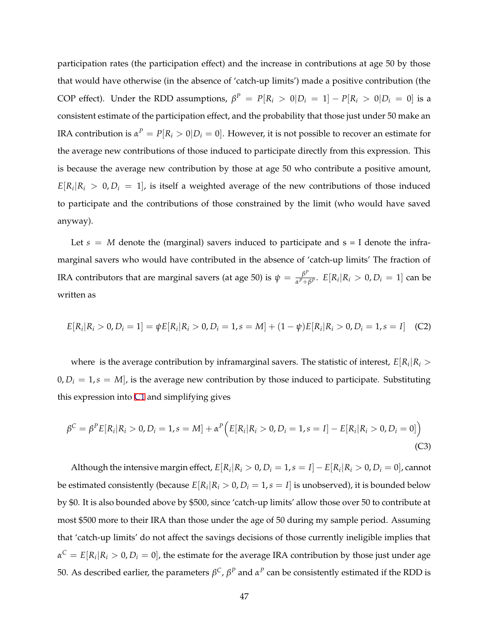participation rates (the participation effect) and the increase in contributions at age 50 by those that would have otherwise (in the absence of 'catch-up limits') made a positive contribution (the COP effect). Under the RDD assumptions,  $\beta^P = P[R_i > 0|D_i = 1] - P[R_i > 0|D_i = 0]$  is a consistent estimate of the participation effect, and the probability that those just under 50 make an IRA contribution is  $\alpha^P = P[R_i > 0 | D_i = 0]$ . However, it is not possible to recover an estimate for the average new contributions of those induced to participate directly from this expression. This is because the average new contribution by those at age 50 who contribute a positive amount,  $E[R_i|R_i > 0, D_i = 1]$ , is itself a weighted average of the new contributions of those induced to participate and the contributions of those constrained by the limit (who would have saved anyway).

Let  $s = M$  denote the (marginal) savers induced to participate and  $s = I$  denote the inframarginal savers who would have contributed in the absence of 'catch-up limits' The fraction of IRA contributors that are marginal savers (at age 50) is  $\psi = \frac{\beta^p}{\alpha^p+\beta^p}$ .  $E[R_i|R_i > 0, D_i = 1]$  can be written as

$$
E[R_i|R_i > 0, D_i = 1] = \psi E[R_i|R_i > 0, D_i = 1, s = M] + (1 - \psi)E[R_i|R_i > 0, D_i = 1, s = I]
$$
 (C2)

where is the average contribution by inframarginal savers. The statistic of interest,  $E[R_i|R_i>$  $0, D_i = 1, s = M$ , is the average new contribution by those induced to participate. Substituting this expression into [C1](#page-46-0) and simplifying gives

$$
\beta^{C} = \beta^{P} E[R_{i}|R_{i} > 0, D_{i} = 1, s = M] + \alpha^{P} \Big( E[R_{i}|R_{i} > 0, D_{i} = 1, s = I] - E[R_{i}|R_{i} > 0, D_{i} = 0] \Big)
$$
\n(C3)

Although the intensive margin effect,  $E[R_i|R_i > 0, D_i = 1, s = I] - E[R_i|R_i > 0, D_i = 0]$ , cannot be estimated consistently (because  $E[R_i|R_i > 0, D_i = 1, s = I]$  is unobserved), it is bounded below by \$0. It is also bounded above by \$500, since 'catch-up limits' allow those over 50 to contribute at most \$500 more to their IRA than those under the age of 50 during my sample period. Assuming that 'catch-up limits' do not affect the savings decisions of those currently ineligible implies that  $\alpha^C = E[R_i|R_i > 0, D_i = 0]$ , the estimate for the average IRA contribution by those just under age 50. As described earlier, the parameters *βC*, *β<sup>P</sup>* and *α<sup>P</sup>* can be consistently estimated if the RDD is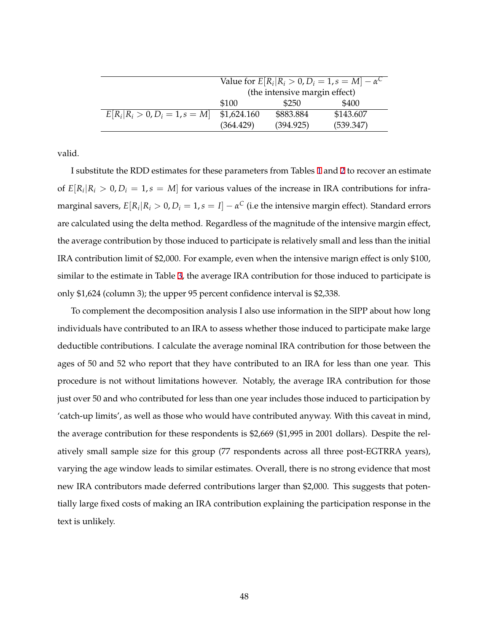|                                  | Value for $E[R_i R_i > 0, D_i = 1, s = M] - \alpha^C$ |           |           |  |  |  |
|----------------------------------|-------------------------------------------------------|-----------|-----------|--|--|--|
|                                  | (the intensive margin effect)                         |           |           |  |  |  |
|                                  | \$100<br>\$400<br>\$250                               |           |           |  |  |  |
| $E[R_i R_i > 0, D_i = 1, s = M]$ | \$1,624.160                                           | \$883.884 | \$143.607 |  |  |  |
|                                  | (364.429)                                             | (394.925) | (539.347) |  |  |  |

valid.

I substitute the RDD estimates for these parameters from Tables [1](#page-36-0) and [2](#page-37-0) to recover an estimate of  $E[R_i|R_i > 0, D_i = 1, s = M]$  for various values of the increase in IRA contributions for inframarginal savers,  $E[R_i|R_i > 0, D_i = 1, s = I] - \alpha^C$  (i.e the intensive margin effect). Standard errors are calculated using the delta method. Regardless of the magnitude of the intensive margin effect, the average contribution by those induced to participate is relatively small and less than the initial IRA contribution limit of \$2,000. For example, even when the intensive marign effect is only \$100, similar to the estimate in Table [3](#page-38-0), the average IRA contribution for those induced to participate is only \$1,624 (column 3); the upper 95 percent confidence interval is \$2,338.

To complement the decomposition analysis I also use information in the SIPP about how long individuals have contributed to an IRA to assess whether those induced to participate make large deductible contributions. I calculate the average nominal IRA contribution for those between the ages of 50 and 52 who report that they have contributed to an IRA for less than one year. This procedure is not without limitations however. Notably, the average IRA contribution for those just over 50 and who contributed for less than one year includes those induced to participation by 'catch-up limits', as well as those who would have contributed anyway. With this caveat in mind, the average contribution for these respondents is \$2,669 (\$1,995 in 2001 dollars). Despite the relatively small sample size for this group (77 respondents across all three post-EGTRRA years), varying the age window leads to similar estimates. Overall, there is no strong evidence that most new IRA contributors made deferred contributions larger than \$2,000. This suggests that potentially large fixed costs of making an IRA contribution explaining the participation response in the text is unlikely.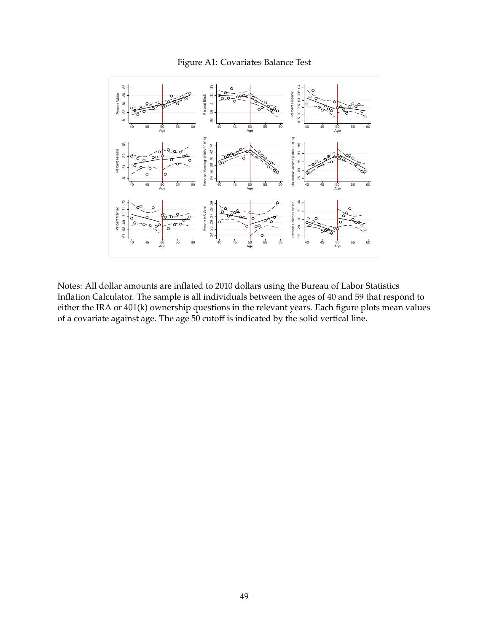#### Figure A1: Covariates Balance Test



Notes: All dollar amounts are inflated to 2010 dollars using the Bureau of Labor Statistics Inflation Calculator. The sample is all individuals between the ages of 40 and 59 that respond to either the IRA or 401(k) ownership questions in the relevant years. Each figure plots mean values of a covariate against age. The age 50 cutoff is indicated by the solid vertical line.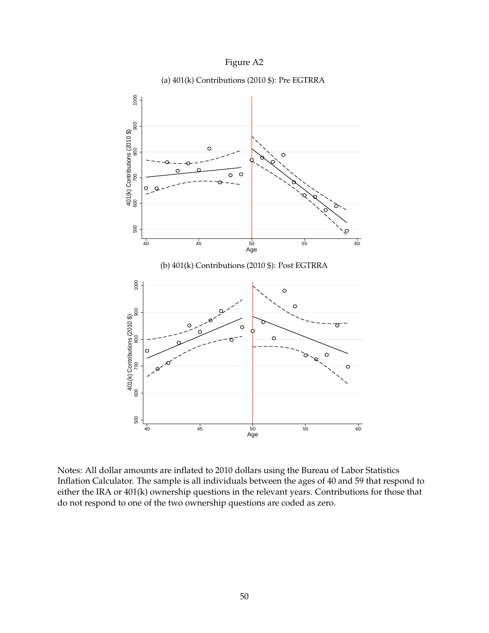





Notes: All dollar amounts are inflated to 2010 dollars using the Bureau of Labor Statistics Inflation Calculator. The sample is all individuals between the ages of 40 and 59 that respond to either the IRA or 401(k) ownership questions in the relevant years. Contributions for those that do not respond to one of the two ownership questions are coded as zero.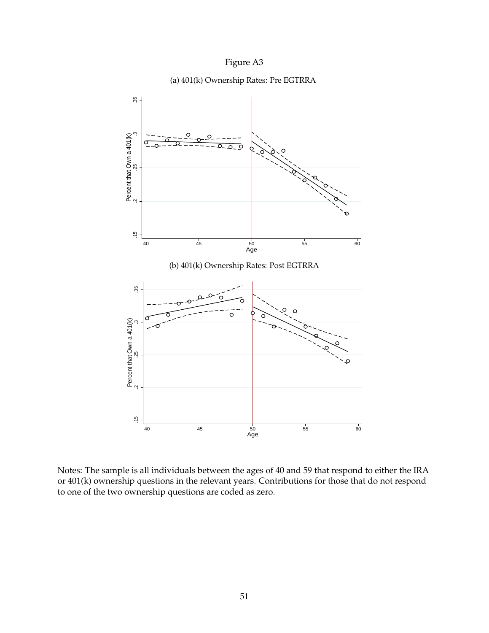





Notes: The sample is all individuals between the ages of 40 and 59 that respond to either the IRA or 401(k) ownership questions in the relevant years. Contributions for those that do not respond to one of the two ownership questions are coded as zero.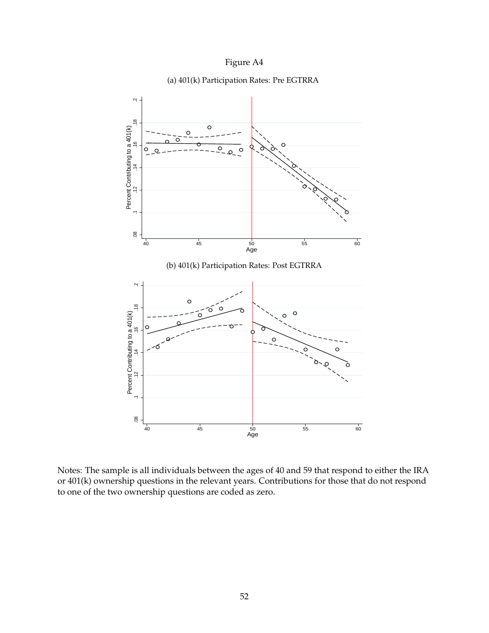



(a) 401(k) Participation Rates: Pre EGTRRA

Notes: The sample is all individuals between the ages of 40 and 59 that respond to either the IRA or 401(k) ownership questions in the relevant years. Contributions for those that do not respond to one of the two ownership questions are coded as zero.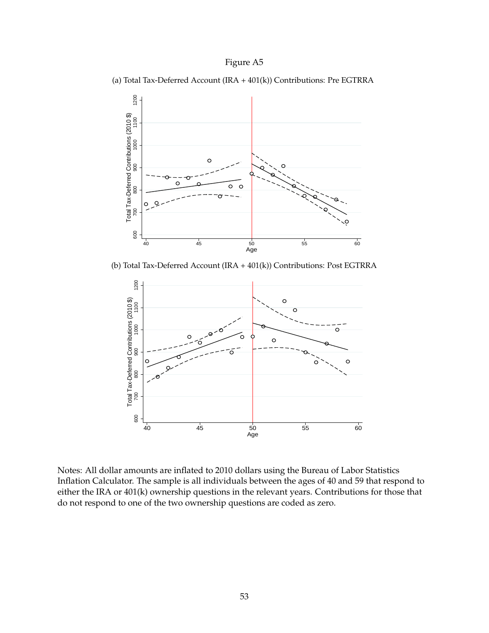(a) Total Tax-Deferred Account (IRA + 401(k)) Contributions: Pre EGTRRA



(b) Total Tax-Deferred Account (IRA + 401(k)) Contributions: Post EGTRRA



Notes: All dollar amounts are inflated to 2010 dollars using the Bureau of Labor Statistics Inflation Calculator. The sample is all individuals between the ages of 40 and 59 that respond to either the IRA or 401(k) ownership questions in the relevant years. Contributions for those that do not respond to one of the two ownership questions are coded as zero.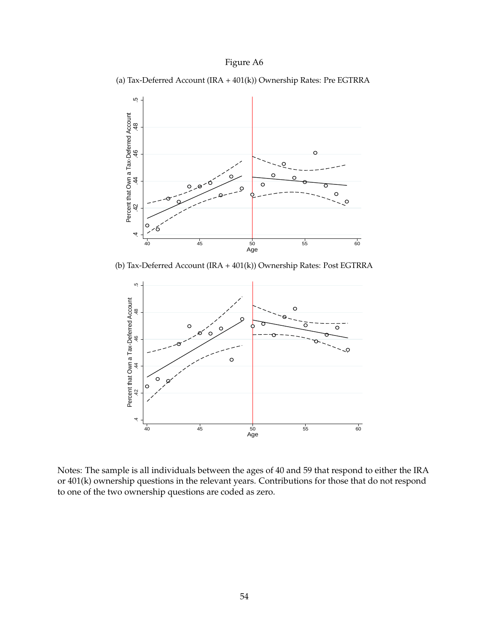



(b) Tax-Deferred Account (IRA + 401(k)) Ownership Rates: Post EGTRRA



Notes: The sample is all individuals between the ages of 40 and 59 that respond to either the IRA or 401(k) ownership questions in the relevant years. Contributions for those that do not respond to one of the two ownership questions are coded as zero.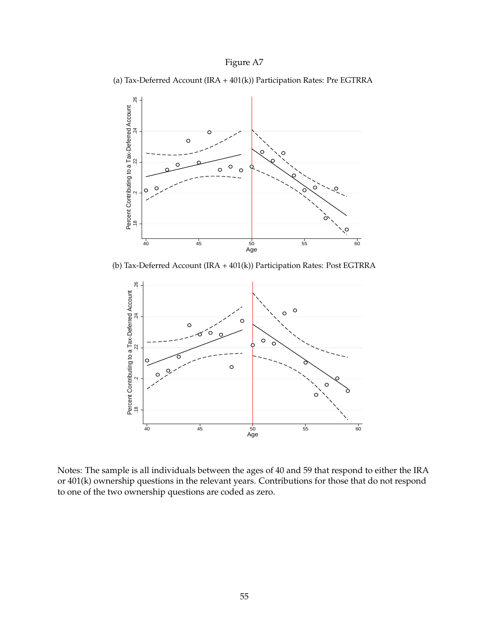(a) Tax-Deferred Account (IRA + 401(k)) Participation Rates: Pre EGTRRA



(b) Tax-Deferred Account (IRA + 401(k)) Participation Rates: Post EGTRRA



Notes: The sample is all individuals between the ages of 40 and 59 that respond to either the IRA or 401(k) ownership questions in the relevant years. Contributions for those that do not respond to one of the two ownership questions are coded as zero.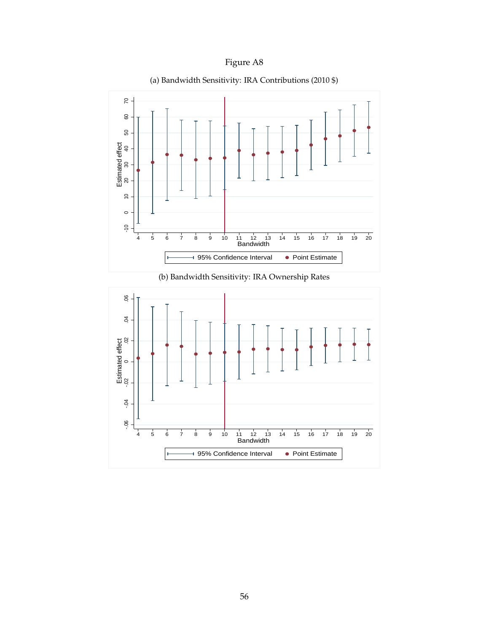<span id="page-56-0"></span>

(a) Bandwidth Sensitivity: IRA Contributions (2010 \$)



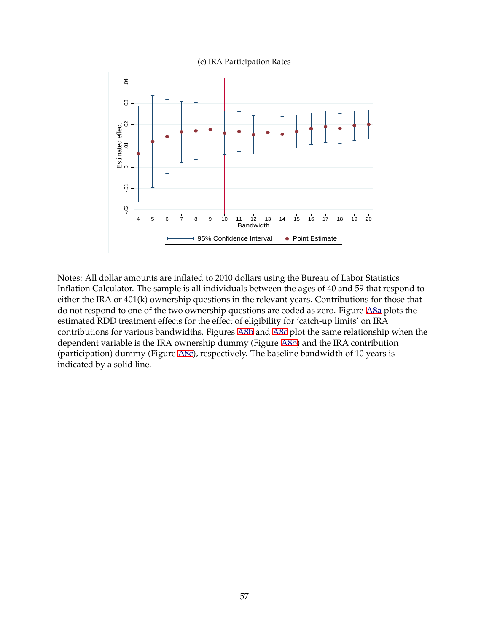(c) IRA Participation Rates

<span id="page-57-0"></span>

Notes: All dollar amounts are inflated to 2010 dollars using the Bureau of Labor Statistics Inflation Calculator. The sample is all individuals between the ages of 40 and 59 that respond to either the IRA or 401(k) ownership questions in the relevant years. Contributions for those that do not respond to one of the two ownership questions are coded as zero. Figure [A8a](#page-56-0) plots the estimated RDD treatment effects for the effect of eligibility for 'catch-up limits' on IRA contributions for various bandwidths. Figures [A8b](#page-56-0) and A8c plot the same relationship when the dependent variable is the IRA ownership dummy (Figure [A8b](#page-56-0)) and the IRA contribution (participation) dummy (Figure A8c), respectively. The baseline bandwidth of 10 years is indicated by a solid line.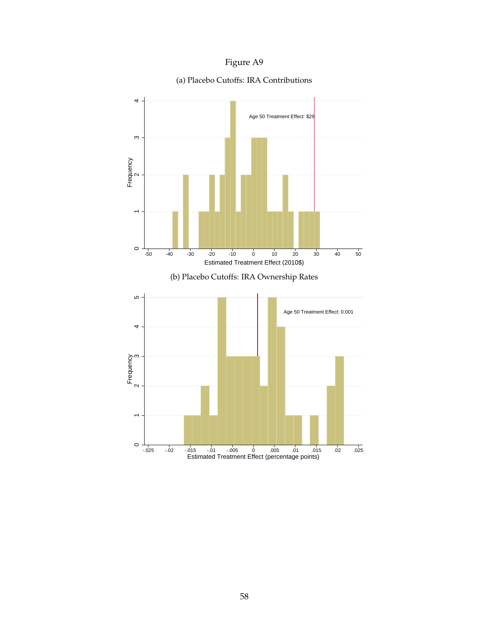<span id="page-58-0"></span>

### (a) Placebo Cutoffs: IRA Contributions

02. 025. 02. 015 -.01 05 0.05 0.05<br>Estimated Treatment Effect (percentage points)

 $\circ$ 

 $\overline{ }$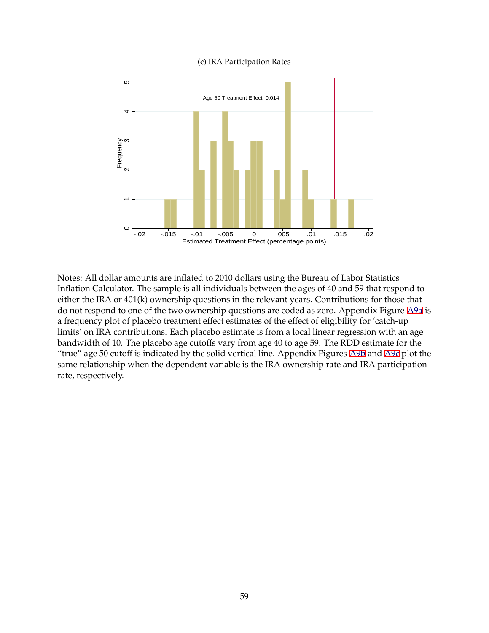#### (c) IRA Participation Rates

<span id="page-59-0"></span>

Notes: All dollar amounts are inflated to 2010 dollars using the Bureau of Labor Statistics Inflation Calculator. The sample is all individuals between the ages of 40 and 59 that respond to either the IRA or 401(k) ownership questions in the relevant years. Contributions for those that do not respond to one of the two ownership questions are coded as zero. Appendix Figure [A9a](#page-58-0) is a frequency plot of placebo treatment effect estimates of the effect of eligibility for 'catch-up limits' on IRA contributions. Each placebo estimate is from a local linear regression with an age bandwidth of 10. The placebo age cutoffs vary from age 40 to age 59. The RDD estimate for the "true" age 50 cutoff is indicated by the solid vertical line. Appendix Figures [A9b](#page-58-0) and A9c plot the same relationship when the dependent variable is the IRA ownership rate and IRA participation rate, respectively.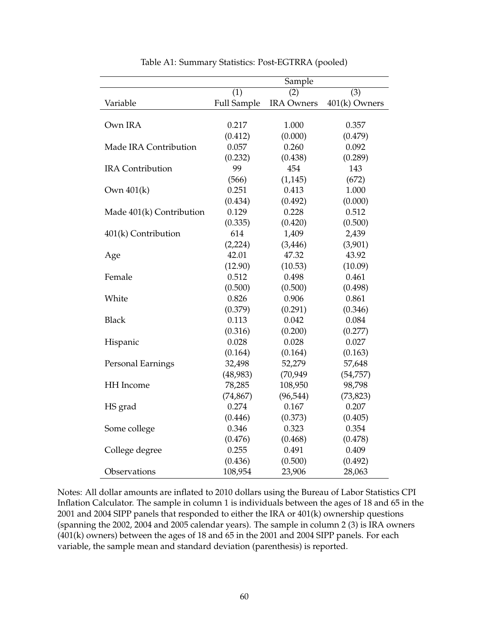|                          | Sample             |                   |               |  |
|--------------------------|--------------------|-------------------|---------------|--|
|                          | (1)                | (2)               | (3)           |  |
| Variable                 | <b>Full Sample</b> | <b>IRA Owners</b> | 401(k) Owners |  |
|                          |                    |                   |               |  |
| Own IRA                  | 0.217              | 1.000             | 0.357         |  |
|                          | (0.412)            | (0.000)           | (0.479)       |  |
| Made IRA Contribution    | 0.057              | 0.260             | 0.092         |  |
|                          | (0.232)            | (0.438)           | (0.289)       |  |
| <b>IRA</b> Contribution  | 99                 | 454               | 143           |  |
|                          | (566)              | (1, 145)          | (672)         |  |
| Own 401(k)               | 0.251              | 0.413             | 1.000         |  |
|                          | (0.434)            | (0.492)           | (0.000)       |  |
| Made 401(k) Contribution | 0.129              | 0.228             | 0.512         |  |
|                          | (0.335)            | (0.420)           | (0.500)       |  |
| 401(k) Contribution      | 614                | 1,409             | 2,439         |  |
|                          | (2,224)            | (3, 446)          | (3,901)       |  |
| Age                      | 42.01              | 47.32             | 43.92         |  |
|                          | (12.90)            | (10.53)           | (10.09)       |  |
| Female                   | 0.512              | 0.498             | 0.461         |  |
|                          | (0.500)            | (0.500)           | (0.498)       |  |
| White                    | 0.826              | 0.906             | 0.861         |  |
|                          | (0.379)            | (0.291)           | (0.346)       |  |
| <b>Black</b>             | 0.113              | 0.042             | 0.084         |  |
|                          | (0.316)            | (0.200)           | (0.277)       |  |
| Hispanic                 | 0.028              | 0.028             | 0.027         |  |
|                          | (0.164)            | (0.164)           | (0.163)       |  |
| Personal Earnings        | 32,498             | 52,279            | 57,648        |  |
|                          | (48,983)           | (70, 949)         | (54, 757)     |  |
| HH Income                | 78,285             | 108,950           | 98,798        |  |
|                          | (74, 867)          | (96, 544)         | (73, 823)     |  |
| HS grad                  | 0.274              | 0.167             | 0.207         |  |
|                          | (0.446)            | (0.373)           | (0.405)       |  |
| Some college             | 0.346              | 0.323             | 0.354         |  |
|                          | (0.476)            | (0.468)           | (0.478)       |  |
| College degree           | 0.255              | 0.491             | 0.409         |  |
|                          | (0.436)            | (0.500)           | (0.492)       |  |
| Observations             | 108,954            | 23,906            | 28,063        |  |

Table A1: Summary Statistics: Post-EGTRRA (pooled)

Notes: All dollar amounts are inflated to 2010 dollars using the Bureau of Labor Statistics CPI Inflation Calculator. The sample in column 1 is individuals between the ages of 18 and 65 in the 2001 and 2004 SIPP panels that responded to either the IRA or 401(k) ownership questions (spanning the 2002, 2004 and 2005 calendar years). The sample in column 2 (3) is IRA owners (401(k) owners) between the ages of 18 and 65 in the 2001 and 2004 SIPP panels. For each variable, the sample mean and standard deviation (parenthesis) is reported.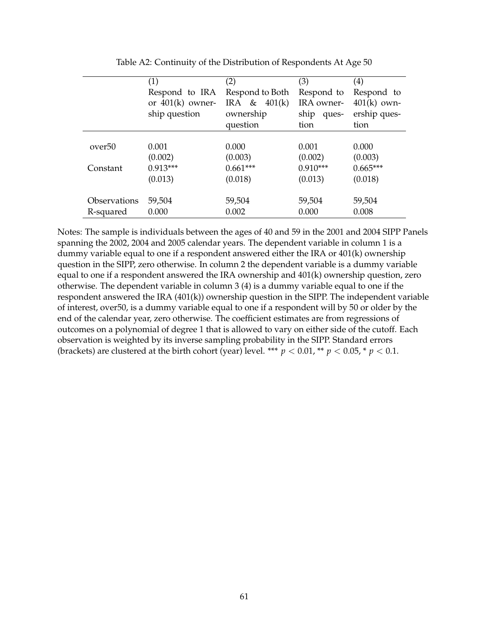|                                | (1)<br>Respond to IRA<br>or $401(k)$ owner-<br>ship question | (2)<br>Respond to Both<br>IRA & $401(k)$<br>ownership<br>question | (3)<br>Respond to<br>IRA owner-<br>ship<br>ques-<br>tion | $\left( 4\right)$<br>Respond to<br>$401(k)$ own-<br>ership ques-<br>tion |
|--------------------------------|--------------------------------------------------------------|-------------------------------------------------------------------|----------------------------------------------------------|--------------------------------------------------------------------------|
| over <sup>50</sup><br>Constant | 0.001<br>(0.002)<br>$0.913***$<br>(0.013)                    | 0.000<br>(0.003)<br>$0.661***$<br>(0.018)                         | 0.001<br>(0.002)<br>$0.910***$<br>(0.013)                | 0.000<br>(0.003)<br>$0.665***$<br>(0.018)                                |
| Observations<br>R-squared      | 59,504<br>0.000                                              | 59,504<br>0.002                                                   | 59,504<br>0.000                                          | 59,504<br>0.008                                                          |

Table A2: Continuity of the Distribution of Respondents At Age 50

Notes: The sample is individuals between the ages of 40 and 59 in the 2001 and 2004 SIPP Panels spanning the 2002, 2004 and 2005 calendar years. The dependent variable in column 1 is a dummy variable equal to one if a respondent answered either the IRA or 401(k) ownership question in the SIPP, zero otherwise. In column 2 the dependent variable is a dummy variable equal to one if a respondent answered the IRA ownership and 401(k) ownership question, zero otherwise. The dependent variable in column 3 (4) is a dummy variable equal to one if the respondent answered the IRA (401(k)) ownership question in the SIPP. The independent variable of interest, over50, is a dummy variable equal to one if a respondent will by 50 or older by the end of the calendar year, zero otherwise. The coefficient estimates are from regressions of outcomes on a polynomial of degree 1 that is allowed to vary on either side of the cutoff. Each observation is weighted by its inverse sampling probability in the SIPP. Standard errors (brackets) are clustered at the birth cohort (year) level. \*\*\*  $p < 0.01$ , \*\*  $p < 0.05$ , \*  $p < 0.1$ .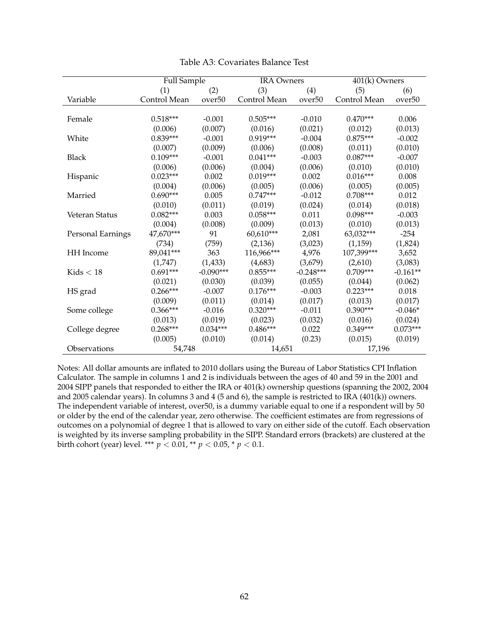|                   | <b>Full Sample</b> |                    | <b>IRA Owners</b> |                    | 401(k) Owners |                    |
|-------------------|--------------------|--------------------|-------------------|--------------------|---------------|--------------------|
|                   | (1)                | (2)                | (3)               | (4)                | (5)           | (6)                |
| Variable          | Control Mean       | over <sub>50</sub> | Control Mean      | over <sub>50</sub> | Control Mean  | over <sub>50</sub> |
|                   |                    |                    |                   |                    |               |                    |
| Female            | $0.518***$         | $-0.001$           | $0.505***$        | $-0.010$           | $0.470***$    | 0.006              |
|                   | (0.006)            | (0.007)            | (0.016)           | (0.021)            | (0.012)       | (0.013)            |
| White             | $0.839***$         | $-0.001$           | $0.919***$        | $-0.004$           | $0.875***$    | $-0.002$           |
|                   | (0.007)            | (0.009)            | (0.006)           | (0.008)            | (0.011)       | (0.010)            |
| <b>Black</b>      | $0.109***$         | $-0.001$           | $0.041***$        | $-0.003$           | $0.087***$    | $-0.007$           |
|                   | (0.006)            | (0.006)            | (0.004)           | (0.006)            | (0.010)       | (0.010)            |
| Hispanic          | $0.023***$         | 0.002              | $0.019***$        | 0.002              | $0.016***$    | 0.008              |
|                   | (0.004)            | (0.006)            | (0.005)           | (0.006)            | (0.005)       | (0.005)            |
| Married           | $0.690***$         | 0.005              | $0.747***$        | $-0.012$           | $0.708***$    | 0.012              |
|                   | (0.010)            | (0.011)            | (0.019)           | (0.024)            | (0.014)       | (0.018)            |
| Veteran Status    | $0.082***$         | 0.003              | $0.058***$        | 0.011              | $0.098***$    | $-0.003$           |
|                   | (0.004)            | (0.008)            | (0.009)           | (0.013)            | (0.010)       | (0.013)            |
| Personal Earnings | 47,670***          | 91                 | $60,610***$       | 2,081              | 63,032***     | $-254$             |
|                   | (734)              | (759)              | (2,136)           | (3,023)            | (1,159)       | (1,824)            |
| <b>HH</b> Income  | 89,041***          | 363                | 116,966***        | 4,976              | 107,399***    | 3,652              |
|                   | (1,747)            | (1, 433)           | (4,683)           | (3,679)            | (2,610)       | (3,083)            |
| Kids $< 18$       | $0.691***$         | $-0.090***$        | $0.855***$        | $-0.248***$        | $0.709***$    | $-0.161**$         |
|                   | (0.021)            | (0.030)            | (0.039)           | (0.055)            | (0.044)       | (0.062)            |
| HS grad           | $0.266***$         | $-0.007$           | $0.176***$        | $-0.003$           | $0.223***$    | 0.018              |
|                   | (0.009)            | (0.011)            | (0.014)           | (0.017)            | (0.013)       | (0.017)            |
| Some college      | $0.366***$         | $-0.016$           | $0.320***$        | $-0.011$           | $0.390***$    | $-0.046*$          |
|                   | (0.013)            | (0.019)            | (0.023)           | (0.032)            | (0.016)       | (0.024)            |
| College degree    | $0.268***$         | $0.034***$         | $0.486***$        | 0.022              | $0.349***$    | $0.073***$         |
|                   | (0.005)            | (0.010)            | (0.014)           | (0.23)             | (0.015)       | (0.019)            |
| Observations      |                    | 54,748<br>14,651   |                   | 17,196             |               |                    |

Table A3: Covariates Balance Test

Notes: All dollar amounts are inflated to 2010 dollars using the Bureau of Labor Statistics CPI Inflation Calculator. The sample in columns 1 and 2 is individuals between the ages of 40 and 59 in the 2001 and 2004 SIPP panels that responded to either the IRA or 401(k) ownership questions (spanning the 2002, 2004 and 2005 calendar years). In columns 3 and 4 (5 and 6), the sample is restricted to IRA (401(k)) owners. The independent variable of interest, over50, is a dummy variable equal to one if a respondent will by 50 or older by the end of the calendar year, zero otherwise. The coefficient estimates are from regressions of outcomes on a polynomial of degree 1 that is allowed to vary on either side of the cutoff. Each observation is weighted by its inverse sampling probability in the SIPP. Standard errors (brackets) are clustered at the birth cohort (year) level. \*\*\*  $p < 0.01$ , \*\*  $p < 0.05$ , \*  $p < 0.1$ .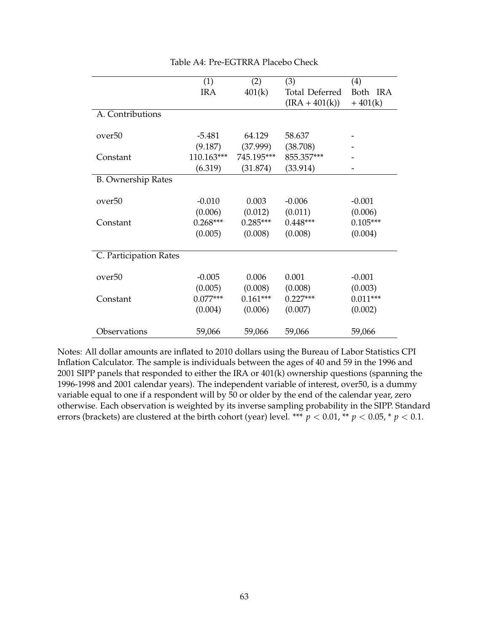|                           | (1)        | (2)        | (3)                   | (4)        |
|---------------------------|------------|------------|-----------------------|------------|
|                           | <b>IRA</b> | 401(k)     | <b>Total Deferred</b> | Both IRA   |
|                           |            |            | $(IRA + 401(k))$      | $+401(k)$  |
| A. Contributions          |            |            |                       |            |
|                           |            |            |                       |            |
| over <sup>50</sup>        | $-5.481$   | 64.129     | 58.637                |            |
|                           | (9.187)    | (37.999)   | (38.708)              |            |
| Constant                  | 110.163*** | 745.195*** | 855.357***            |            |
|                           | (6.319)    | (31.874)   | (33.914)              |            |
| <b>B.</b> Ownership Rates |            |            |                       |            |
|                           |            |            |                       |            |
| over <sup>50</sup>        | $-0.010$   | 0.003      | $-0.006$              | $-0.001$   |
|                           | (0.006)    | (0.012)    | (0.011)               | (0.006)    |
| Constant                  | $0.268***$ | $0.285***$ | $0.448***$            | $0.105***$ |
|                           | (0.005)    | (0.008)    | (0.008)               | (0.004)    |
|                           |            |            |                       |            |
| C. Participation Rates    |            |            |                       |            |
|                           |            |            |                       |            |
| over <sub>50</sub>        | $-0.005$   | 0.006      | 0.001                 | $-0.001$   |
|                           | (0.005)    | (0.008)    | (0.008)               | (0.003)    |
| Constant                  | $0.077***$ | $0.161***$ | $0.227***$            | $0.011***$ |
|                           | (0.004)    | (0.006)    | (0.007)               | (0.002)    |
|                           |            |            |                       |            |
| Observations              | 59,066     | 59,066     | 59,066                | 59,066     |

Table A4: Pre-EGTRRA Placebo Check

Notes: All dollar amounts are inflated to 2010 dollars using the Bureau of Labor Statistics CPI Inflation Calculator. The sample is individuals between the ages of 40 and 59 in the 1996 and 2001 SIPP panels that responded to either the IRA or 401(k) ownership questions (spanning the 1996-1998 and 2001 calendar years). The independent variable of interest, over50, is a dummy variable equal to one if a respondent will by 50 or older by the end of the calendar year, zero otherwise. Each observation is weighted by its inverse sampling probability in the SIPP. Standard errors (brackets) are clustered at the birth cohort (year) level. \*\*\*  $p < 0.01$ , \*\*  $p < 0.05$ , \*  $p < 0.1$ .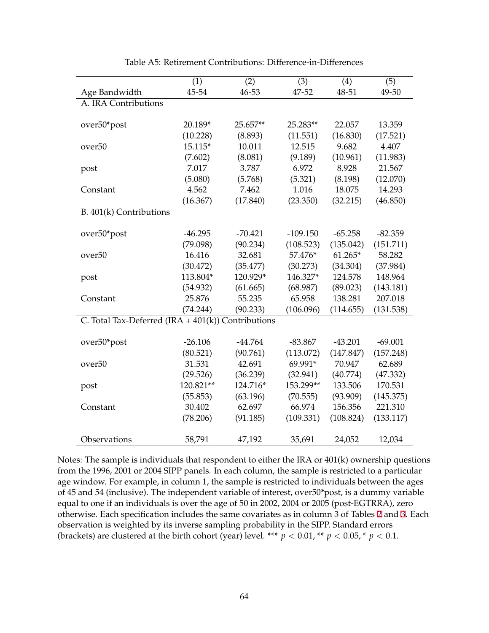<span id="page-64-0"></span>

|                                                       | (1)       | (2)       | (3)        | (4)       | (5)       |
|-------------------------------------------------------|-----------|-----------|------------|-----------|-----------|
| Age Bandwidth                                         | 45-54     | 46-53     | 47-52      | 48-51     | 49-50     |
| A. IRA Contributions                                  |           |           |            |           |           |
|                                                       |           |           |            |           |           |
| over50*post                                           | 20.189*   | 25.657**  | 25.283**   | 22.057    | 13.359    |
|                                                       | (10.228)  | (8.893)   | (11.551)   | (16.830)  | (17.521)  |
| over <sub>50</sub>                                    | 15.115*   | 10.011    | 12.515     | 9.682     | 4.407     |
|                                                       | (7.602)   | (8.081)   | (9.189)    | (10.961)  | (11.983)  |
| post                                                  | 7.017     | 3.787     | 6.972      | 8.928     | 21.567    |
|                                                       | (5.080)   | (5.768)   | (5.321)    | (8.198)   | (12.070)  |
| Constant                                              | 4.562     | 7.462     | 1.016      | 18.075    | 14.293    |
|                                                       | (16.367)  | (17.840)  | (23.350)   | (32.215)  | (46.850)  |
| B. 401(k) Contributions                               |           |           |            |           |           |
|                                                       |           |           |            |           |           |
| over50*post                                           | $-46.295$ | $-70.421$ | $-109.150$ | $-65.258$ | $-82.359$ |
|                                                       | (79.098)  | (90.234)  | (108.523)  | (135.042) | (151.711) |
| over <sub>50</sub>                                    | 16.416    | 32.681    | 57.476*    | $61.265*$ | 58.282    |
|                                                       | (30.472)  | (35.477)  | (30.273)   | (34.304)  | (37.984)  |
| post                                                  | 113.804*  | 120.929*  | 146.327*   | 124.578   | 148.964   |
|                                                       | (54.932)  | (61.665)  | (68.987)   | (89.023)  | (143.181) |
| Constant                                              | 25.876    | 55.235    | 65.958     | 138.281   | 207.018   |
|                                                       | (74.244)  | (90.233)  | (106.096)  | (114.655) | (131.538) |
| C. Total Tax-Deferred (IRA + $401(k)$ ) Contributions |           |           |            |           |           |
|                                                       |           |           |            |           |           |
| over50*post                                           | $-26.106$ | $-44.764$ | $-83.867$  | $-43.201$ | $-69.001$ |
|                                                       | (80.521)  | (90.761)  | (113.072)  | (147.847) | (157.248) |
| over <sub>50</sub>                                    | 31.531    | 42.691    | 69.991*    | 70.947    | 62.689    |
|                                                       | (29.526)  | (36.239)  | (32.941)   | (40.774)  | (47.332)  |
| post                                                  | 120.821** | 124.716*  | 153.299**  | 133.506   | 170.531   |
|                                                       | (55.853)  | (63.196)  | (70.555)   | (93.909)  | (145.375) |
| Constant                                              | 30.402    | 62.697    | 66.974     | 156.356   | 221.310   |
|                                                       | (78.206)  | (91.185)  | (109.331)  | (108.824) | (133.117) |
|                                                       |           |           |            |           |           |
| Observations                                          | 58,791    | 47,192    | 35,691     | 24,052    | 12,034    |

Table A5: Retirement Contributions: Difference-in-Differences

Notes: The sample is individuals that respondent to either the IRA or 401(k) ownership questions from the 1996, 2001 or 2004 SIPP panels. In each column, the sample is restricted to a particular age window. For example, in column 1, the sample is restricted to individuals between the ages of 45 and 54 (inclusive). The independent variable of interest, over50\*post, is a dummy variable equal to one if an individuals is over the age of 50 in 2002, 2004 or 2005 (post-EGTRRA), zero otherwise. Each specification includes the same covariates as in column 3 of Tables [2](#page-37-0) and [3.](#page-38-0) Each observation is weighted by its inverse sampling probability in the SIPP. Standard errors (brackets) are clustered at the birth cohort (year) level. \*\*\*  $p < 0.01$ , \*\*  $p < 0.05$ , \*  $p < 0.1$ .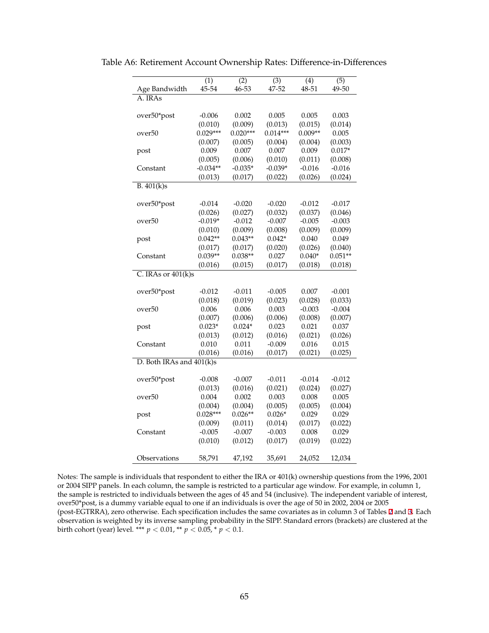| Age Bandwidth            | (1)<br>45-54         | $\overline{(2)}$<br>46-53 | $\overline{(3)}$<br>47-52 | (4)<br>48-51 | $\overline{(5)}$<br>49-50 |
|--------------------------|----------------------|---------------------------|---------------------------|--------------|---------------------------|
| A. IRAs                  |                      |                           |                           |              |                           |
|                          |                      |                           |                           |              |                           |
| over50*post              | $-0.006$             | 0.002                     | 0.005                     | 0.005        | 0.003                     |
|                          | (0.010)              | (0.009)                   | (0.013)                   | (0.015)      | (0.014)                   |
| over50                   | $0.029***$           | $0.020***$                | $0.014***$                | $0.009**$    | 0.005                     |
|                          | (0.007)              | (0.005)                   | (0.004)                   | (0.004)      | (0.003)                   |
| post                     | 0.009                | 0.007                     | 0.007                     | 0.009        | $0.017*$                  |
|                          | (0.005)              | (0.006)                   | (0.010)                   | (0.011)      | (0.008)                   |
| Constant                 | $-0.034**$           | $-0.035*$                 | $-0.039*$                 | $-0.016$     | $-0.016$                  |
|                          | (0.013)              | (0.017)                   | (0.022)                   | (0.026)      | (0.024)                   |
| $\overline{B.401(k)s}$   |                      |                           |                           |              |                           |
|                          |                      | $-0.020$                  | $-0.020$                  | $-0.012$     |                           |
| over50*post              | $-0.014$             |                           |                           | (0.037)      | $-0.017$                  |
| over50                   | (0.026)<br>$-0.019*$ | (0.027)<br>$-0.012$       | (0.032)<br>$-0.007$       | $-0.005$     | (0.046)<br>$-0.003$       |
|                          | (0.010)              | (0.009)                   | (0.008)                   | (0.009)      | (0.009)                   |
|                          | $0.042**$            | $0.043**$                 | $0.042*$                  | 0.040        | 0.049                     |
| post                     |                      |                           |                           |              |                           |
|                          | (0.017)              | (0.017)                   | (0.020)                   | (0.026)      | (0.040)                   |
| Constant                 | $0.039**$            | $0.038**$                 | 0.027                     | $0.040*$     | $0.051**$                 |
|                          | (0.016)              | (0.015)                   | (0.017)                   | (0.018)      | (0.018)                   |
| C. IRAs or $401(k)s$     |                      |                           |                           |              |                           |
| over50*post              | $-0.012$             | $-0.011$                  | $-0.005$                  | 0.007        | $-0.001$                  |
|                          | (0.018)              | (0.019)                   | (0.023)                   | (0.028)      | (0.033)                   |
| over50                   | 0.006                | 0.006                     | 0.003                     | $-0.003$     | $-0.004$                  |
|                          | (0.007)              | (0.006)                   | (0.006)                   | (0.008)      | (0.007)                   |
| post                     | $0.023*$             | $0.024*$                  | 0.023                     | 0.021        | 0.037                     |
|                          | (0.013)              | (0.012)                   | (0.016)                   | (0.021)      | (0.026)                   |
| Constant                 | 0.010                | 0.011                     | $-0.009$                  | 0.016        | 0.015                     |
|                          | (0.016)              | (0.016)                   | (0.017)                   | (0.021)      | (0.025)                   |
| D. Both IRAs and 401(k)s |                      |                           |                           |              |                           |
|                          |                      |                           |                           |              |                           |
| over50*post              | $-0.008$             | $-0.007$                  | $-0.011$                  | $-0.014$     | $-0.012$                  |
|                          | (0.013)              | (0.016)                   | (0.021)                   | (0.024)      | (0.027)                   |
| over <sub>50</sub>       | 0.004                | 0.002                     | 0.003                     | 0.008        | 0.005                     |
|                          | (0.004)              | (0.004)                   | (0.005)                   | (0.005)      | (0.004)                   |
| post                     | $0.028***$           | $0.026**$                 | $0.026*$                  | 0.029        | 0.029                     |
|                          | (0.009)              | (0.011)                   | (0.014)                   | (0.017)      | (0.022)                   |
| Constant                 | $-0.005$             | $-0.007$                  | $-0.003$                  | 0.008        | 0.029                     |
|                          | (0.010)              | (0.012)                   | (0.017)                   | (0.019)      | (0.022)                   |
|                          |                      |                           |                           |              |                           |
| Observations             | 58,791               | 47,192                    | 35,691                    | 24,052       | 12,034                    |

<span id="page-65-0"></span>Table A6: Retirement Account Ownership Rates: Difference-in-Differences

Notes: The sample is individuals that respondent to either the IRA or 401(k) ownership questions from the 1996, 2001 or 2004 SIPP panels. In each column, the sample is restricted to a particular age window. For example, in column 1, the sample is restricted to individuals between the ages of 45 and 54 (inclusive). The independent variable of interest, over50\*post, is a dummy variable equal to one if an individuals is over the age of 50 in 2002, 2004 or 2005 (post-EGTRRA), zero otherwise. Each specification includes the same covariates as in column 3 of Tables [2](#page-37-0) and [3.](#page-38-0) Each observation is weighted by its inverse sampling probability in the SIPP. Standard errors (brackets) are clustered at the birth cohort (year) level. \*\*\*  $p < 0.01$ , \*\*  $p < 0.05$ , \*  $p < 0.1$ .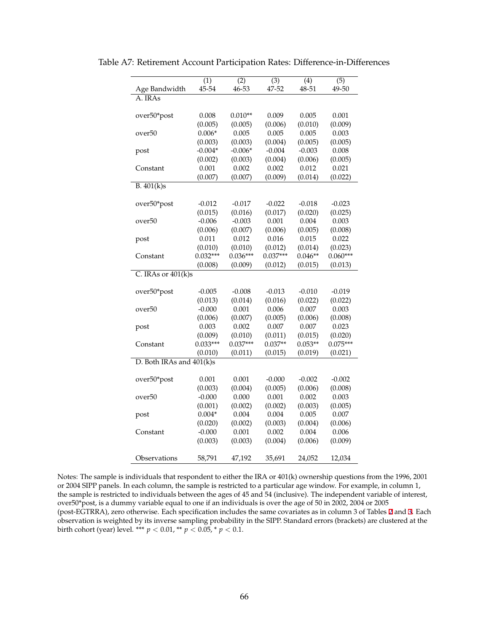|                          | (1)<br>45-54 | $\overline{(2)}$<br>46-53 | $\overline{(3)}$<br>47-52 | (4)<br>48-51 | $\overline{(5)}$<br>49-50 |  |  |
|--------------------------|--------------|---------------------------|---------------------------|--------------|---------------------------|--|--|
| Age Bandwidth<br>A. IRAs |              |                           |                           |              |                           |  |  |
|                          |              |                           |                           |              |                           |  |  |
| over50*post              | 0.008        | $0.010**$                 | 0.009                     | 0.005        | 0.001                     |  |  |
|                          | (0.005)      | (0.005)                   | (0.006)                   | (0.010)      | (0.009)                   |  |  |
| over50                   | $0.006*$     | 0.005                     | 0.005                     | 0.005        | 0.003                     |  |  |
|                          | (0.003)      | (0.003)                   | (0.004)                   | (0.005)      | (0.005)                   |  |  |
| post                     | $-0.004*$    | $-0.006*$                 | $-0.004$                  | $-0.003$     | 0.008                     |  |  |
|                          | (0.002)      | (0.003)                   | (0.004)                   | (0.006)      | (0.005)                   |  |  |
| Constant                 | 0.001        | 0.002                     | 0.002                     | 0.012        | 0.021                     |  |  |
|                          | (0.007)      | (0.007)                   | (0.009)                   | (0.014)      | (0.022)                   |  |  |
| B.401(k)s                |              |                           |                           |              |                           |  |  |
|                          |              |                           |                           |              |                           |  |  |
| over50*post              | $-0.012$     | $-0.017$                  | $-0.022$                  | $-0.018$     | $-0.023$                  |  |  |
|                          | (0.015)      | (0.016)                   | (0.017)                   | (0.020)      | (0.025)                   |  |  |
| over50                   | $-0.006$     | $-0.003$                  | 0.001                     | 0.004        | 0.003                     |  |  |
|                          | (0.006)      | (0.007)                   | (0.006)                   | (0.005)      | (0.008)                   |  |  |
| post                     | 0.011        | 0.012                     | 0.016                     | 0.015        | 0.022                     |  |  |
|                          | (0.010)      | (0.010)                   | (0.012)                   | (0.014)      | (0.023)                   |  |  |
| Constant                 | $0.032***$   | $0.036***$                | $0.037***$                | $0.046**$    | $0.060***$                |  |  |
|                          | (0.008)      | (0.009)                   | (0.012)                   | (0.015)      | (0.013)                   |  |  |
| C. IRAs or 401(k)s       |              |                           |                           |              |                           |  |  |
|                          |              |                           |                           |              |                           |  |  |
| over50*post              | $-0.005$     | $-0.008$                  | $-0.013$                  | $-0.010$     | $-0.019$                  |  |  |
|                          | (0.013)      | (0.014)                   | (0.016)                   | (0.022)      | (0.022)                   |  |  |
| over <sub>50</sub>       | $-0.000$     | 0.001                     | 0.006                     | 0.007        | 0.003                     |  |  |
|                          | (0.006)      | (0.007)                   | (0.005)                   | (0.006)      | (0.008)                   |  |  |
| post                     | 0.003        | 0.002                     | 0.007                     | 0.007        | 0.023                     |  |  |
|                          | (0.009)      | (0.010)                   | (0.011)                   | (0.015)      | (0.020)                   |  |  |
| Constant                 | $0.033***$   | $0.037***$                | $0.037**$                 | $0.053**$    | $0.075***$                |  |  |
|                          | (0.010)      | (0.011)                   | (0.015)                   | (0.019)      | (0.021)                   |  |  |
| D. Both IRAs and 401(k)s |              |                           |                           |              |                           |  |  |
|                          |              |                           |                           |              |                           |  |  |
| over50*post              | 0.001        | 0.001                     | $-0.000$                  | $-0.002$     | $-0.002$                  |  |  |
|                          | (0.003)      | (0.004)                   | (0.005)                   | (0.006)      | (0.008)                   |  |  |
| over <sub>50</sub>       | $-0.000$     | 0.000                     | 0.001                     | 0.002        | 0.003                     |  |  |
|                          | (0.001)      | (0.002)                   | (0.002)                   | (0.003)      | (0.005)                   |  |  |
| post                     | $0.004*$     | 0.004                     | 0.004                     | 0.005        | 0.007                     |  |  |
|                          | (0.020)      | (0.002)                   | (0.003)                   | (0.004)      | (0.006)                   |  |  |
| Constant                 | $-0.000$     | 0.001                     | 0.002                     | 0.004        | 0.006                     |  |  |
|                          | (0.003)      | (0.003)                   | (0.004)                   | (0.006)      | (0.009)                   |  |  |
|                          |              |                           |                           |              |                           |  |  |
| Observations             | 58,791       | 47,192                    | 35,691                    | 24,052       | 12,034                    |  |  |

<span id="page-66-0"></span>Table A7: Retirement Account Participation Rates: Difference-in-Differences

Notes: The sample is individuals that respondent to either the IRA or 401(k) ownership questions from the 1996, 2001 or 2004 SIPP panels. In each column, the sample is restricted to a particular age window. For example, in column 1, the sample is restricted to individuals between the ages of 45 and 54 (inclusive). The independent variable of interest, over50\*post, is a dummy variable equal to one if an individuals is over the age of 50 in 2002, 2004 or 2005 (post-EGTRRA), zero otherwise. Each specification includes the same covariates as in column 3 of Tables [2](#page-37-0) and [3.](#page-38-0) Each observation is weighted by its inverse sampling probability in the SIPP. Standard errors (brackets) are clustered at the birth cohort (year) level. \*\*\*  $p < 0.01$ , \*\*  $p < 0.05$ , \*  $p < 0.1$ .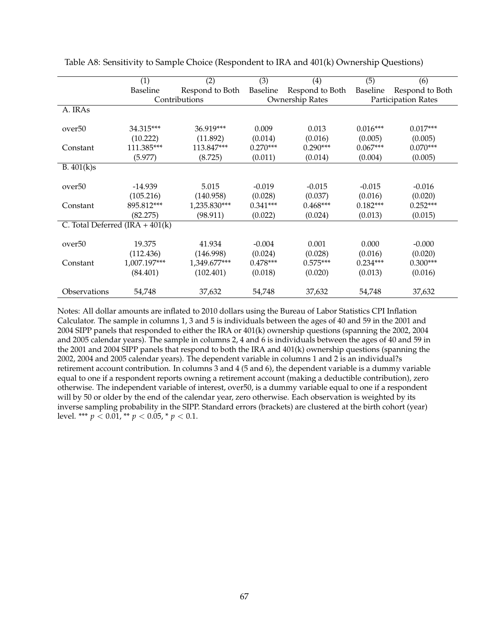|                                    | (1)          | (2)             | (3)        | (4)             | (5)        | (6)                 |
|------------------------------------|--------------|-----------------|------------|-----------------|------------|---------------------|
|                                    | Baseline     | Respond to Both | Baseline   | Respond to Both | Baseline   | Respond to Both     |
|                                    |              | Contributions   |            | Ownership Rates |            | Participation Rates |
| A. IRAs                            |              |                 |            |                 |            |                     |
|                                    |              |                 |            |                 |            |                     |
| over <sup>50</sup>                 | 34.315***    | 36.919***       | 0.009      | 0.013           | $0.016***$ | $0.017***$          |
|                                    | (10.222)     | (11.892)        | (0.014)    | (0.016)         | (0.005)    | (0.005)             |
| Constant                           | 111.385***   | 113.847***      | $0.270***$ | $0.290***$      | $0.067***$ | $0.070***$          |
|                                    | (5.977)      | (8.725)         | (0.011)    | (0.014)         | (0.004)    | (0.005)             |
| B.401(k)s                          |              |                 |            |                 |            |                     |
|                                    |              |                 |            |                 |            |                     |
| over <sup>50</sup>                 | $-14.939$    | 5.015           | $-0.019$   | $-0.015$        | $-0.015$   | $-0.016$            |
|                                    | (105.216)    | (140.958)       | (0.028)    | (0.037)         | (0.016)    | (0.020)             |
| Constant                           | 895.812***   | 1,235.830***    | $0.341***$ | $0.468***$      | $0.182***$ | $0.252***$          |
|                                    | (82.275)     | (98.911)        | (0.022)    | (0.024)         | (0.013)    | (0.015)             |
| C. Total Deferred $(IRA + 401(k))$ |              |                 |            |                 |            |                     |
|                                    |              |                 |            |                 |            |                     |
| over <sub>50</sub>                 | 19.375       | 41.934          | $-0.004$   | 0.001           | 0.000      | $-0.000$            |
|                                    | (112.436)    | (146.998)       | (0.024)    | (0.028)         | (0.016)    | (0.020)             |
| Constant                           | 1,007.197*** | 1,349.677***    | $0.478***$ | $0.575***$      | $0.234***$ | $0.300***$          |
|                                    | (84.401)     | (102.401)       | (0.018)    | (0.020)         | (0.013)    | (0.016)             |
|                                    |              |                 |            |                 |            |                     |
| Observations                       | 54,748       | 37,632          | 54,748     | 37,632          | 54,748     | 37,632              |

Table A8: Sensitivity to Sample Choice (Respondent to IRA and 401(k) Ownership Questions)

Notes: All dollar amounts are inflated to 2010 dollars using the Bureau of Labor Statistics CPI Inflation Calculator. The sample in columns 1, 3 and 5 is individuals between the ages of 40 and 59 in the 2001 and 2004 SIPP panels that responded to either the IRA or 401(k) ownership questions (spanning the 2002, 2004 and 2005 calendar years). The sample in columns 2, 4 and 6 is individuals between the ages of 40 and 59 in the 2001 and 2004 SIPP panels that respond to both the IRA and 401(k) ownership questions (spanning the 2002, 2004 and 2005 calendar years). The dependent variable in columns 1 and 2 is an individual?s retirement account contribution. In columns 3 and 4 (5 and 6), the dependent variable is a dummy variable equal to one if a respondent reports owning a retirement account (making a deductible contribution), zero otherwise. The independent variable of interest, over50, is a dummy variable equal to one if a respondent will by 50 or older by the end of the calendar year, zero otherwise. Each observation is weighted by its inverse sampling probability in the SIPP. Standard errors (brackets) are clustered at the birth cohort (year) level. \*\*\* *p* < 0.01, \*\* *p* < 0.05, \* *p* < 0.1.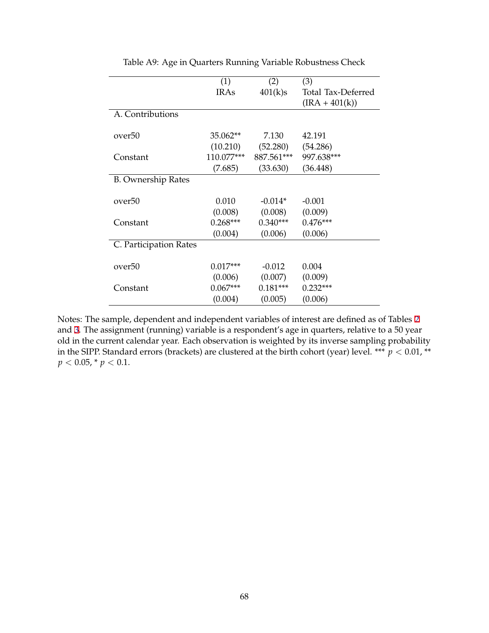|                           | (1)        | (2)        | (3)                |
|---------------------------|------------|------------|--------------------|
|                           | IRAs       | 401(k)s    | Total Tax-Deferred |
|                           |            |            | $(IRA + 401(k))$   |
| A. Contributions          |            |            |                    |
|                           |            |            |                    |
| over <sub>50</sub>        | 35.062**   | 7.130      | 42.191             |
|                           | (10.210)   | (52.280)   | (54.286)           |
| Constant                  | 110.077*** | 887.561*** | 997.638***         |
|                           | (7.685)    | (33.630)   | (36.448)           |
| <b>B.</b> Ownership Rates |            |            |                    |
|                           |            |            |                    |
| over <sub>50</sub>        | 0.010      | $-0.014*$  | $-0.001$           |
|                           | (0.008)    | (0.008)    | (0.009)            |
| Constant                  | $0.268***$ | $0.340***$ | $0.476***$         |
|                           | (0.004)    | (0.006)    | (0.006)            |
| C. Participation Rates    |            |            |                    |
|                           |            |            |                    |
| over <sub>50</sub>        | $0.017***$ | $-0.012$   | 0.004              |
|                           | (0.006)    | (0.007)    | (0.009)            |
| Constant                  | $0.067***$ | $0.181***$ | $0.232***$         |
|                           | (0.004)    | (0.005)    | (0.006)            |

Table A9: Age in Quarters Running Variable Robustness Check

Notes: The sample, dependent and independent variables of interest are defined as of Tables [2](#page-37-0) and [3.](#page-38-0) The assignment (running) variable is a respondent's age in quarters, relative to a 50 year old in the current calendar year. Each observation is weighted by its inverse sampling probability in the SIPP. Standard errors (brackets) are clustered at the birth cohort (year) level. \*\*\*  $p < 0.01$ , \*\*  $p < 0.05$ , \*  $p < 0.1$ .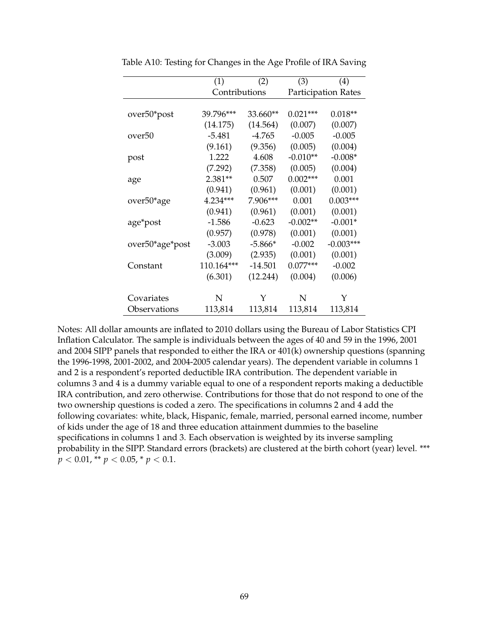|                 | (1)        | (2)           | (3)        | (4)                        |  |  |
|-----------------|------------|---------------|------------|----------------------------|--|--|
|                 |            | Contributions |            | <b>Participation Rates</b> |  |  |
|                 |            |               |            |                            |  |  |
| over50*post     | 39.796***  | 33.660**      | $0.021***$ | $0.018**$                  |  |  |
|                 | (14.175)   | (14.564)      | (0.007)    | (0.007)                    |  |  |
| over50          | $-5.481$   | $-4.765$      | $-0.005$   | $-0.005$                   |  |  |
|                 | (9.161)    | (9.356)       | (0.005)    | (0.004)                    |  |  |
| post            | 1.222      | 4.608         | $-0.010**$ | $-0.008*$                  |  |  |
|                 | (7.292)    | (7.358)       | (0.005)    | (0.004)                    |  |  |
| age             | $2.381**$  | 0.507         | $0.002***$ | 0.001                      |  |  |
|                 | (0.941)    | (0.961)       | (0.001)    | (0.001)                    |  |  |
| over50*age      | 4.234***   | 7.906***      | 0.001      | $0.003***$                 |  |  |
|                 | (0.941)    | (0.961)       | (0.001)    | (0.001)                    |  |  |
| age*post        | $-1.586$   | $-0.623$      | $-0.002**$ | $-0.001*$                  |  |  |
|                 | (0.957)    | (0.978)       | (0.001)    | (0.001)                    |  |  |
| over50*age*post | $-3.003$   | $-5.866*$     | $-0.002$   | $-0.003***$                |  |  |
|                 | (3.009)    | (2.935)       | (0.001)    | (0.001)                    |  |  |
| Constant        | 110.164*** | $-14.501$     | $0.077***$ | $-0.002$                   |  |  |
|                 | (6.301)    | (12.244)      | (0.004)    | (0.006)                    |  |  |
|                 |            |               |            |                            |  |  |
| Covariates      | N          | Y             | N          | Y                          |  |  |
| Observations    | 113,814    | 113,814       | 113,814    | 113,814                    |  |  |

<span id="page-69-0"></span>Table A10: Testing for Changes in the Age Profile of IRA Saving

Notes: All dollar amounts are inflated to 2010 dollars using the Bureau of Labor Statistics CPI Inflation Calculator. The sample is individuals between the ages of 40 and 59 in the 1996, 2001 and 2004 SIPP panels that responded to either the IRA or 401(k) ownership questions (spanning the 1996-1998, 2001-2002, and 2004-2005 calendar years). The dependent variable in columns 1 and 2 is a respondent's reported deductible IRA contribution. The dependent variable in columns 3 and 4 is a dummy variable equal to one of a respondent reports making a deductible IRA contribution, and zero otherwise. Contributions for those that do not respond to one of the two ownership questions is coded a zero. The specifications in columns 2 and 4 add the following covariates: white, black, Hispanic, female, married, personal earned income, number of kids under the age of 18 and three education attainment dummies to the baseline specifications in columns 1 and 3. Each observation is weighted by its inverse sampling probability in the SIPP. Standard errors (brackets) are clustered at the birth cohort (year) level. \*\*\*  $p < 0.01$ , \*\*  $p < 0.05$ , \*  $p < 0.1$ .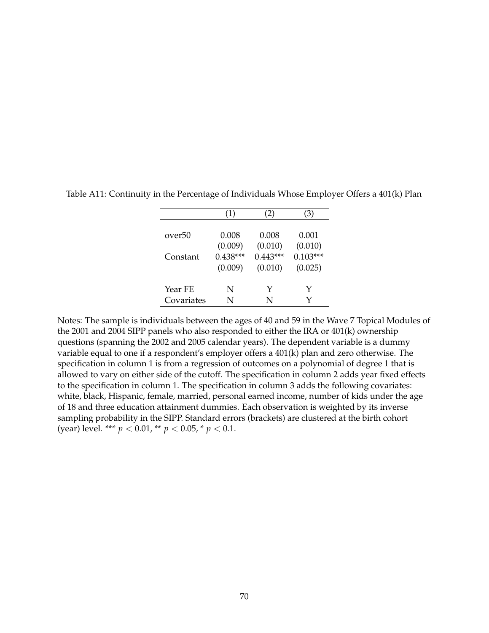|            | (1)        | (2)        | (3)        |
|------------|------------|------------|------------|
|            |            |            |            |
| over50     | 0.008      | 0.008      | 0.001      |
|            | (0.009)    | (0.010)    | (0.010)    |
| Constant   | $0.438***$ | $0.443***$ | $0.103***$ |
|            | (0.009)    | (0.010)    | (0.025)    |
|            |            |            |            |
| Year FE    | N          | Y          | Y          |
| Covariates | N          | N          |            |

Table A11: Continuity in the Percentage of Individuals Whose Employer Offers a 401(k) Plan

Notes: The sample is individuals between the ages of 40 and 59 in the Wave 7 Topical Modules of the 2001 and 2004 SIPP panels who also responded to either the IRA or 401(k) ownership questions (spanning the 2002 and 2005 calendar years). The dependent variable is a dummy variable equal to one if a respondent's employer offers a 401(k) plan and zero otherwise. The specification in column 1 is from a regression of outcomes on a polynomial of degree 1 that is allowed to vary on either side of the cutoff. The specification in column 2 adds year fixed effects to the specification in column 1. The specification in column 3 adds the following covariates: white, black, Hispanic, female, married, personal earned income, number of kids under the age of 18 and three education attainment dummies. Each observation is weighted by its inverse sampling probability in the SIPP. Standard errors (brackets) are clustered at the birth cohort (year) level. \*\*\* *p* < 0.01, \*\* *p* < 0.05, \* *p* < 0.1.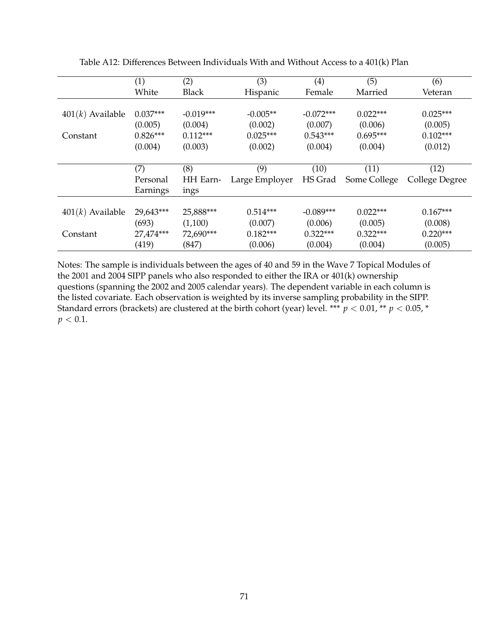|                    | (1)        | (2)          | (3)            | $\left( 4\right)$ | (5)          | (6)            |
|--------------------|------------|--------------|----------------|-------------------|--------------|----------------|
|                    | White      | <b>Black</b> | Hispanic       | Female            | Married      | Veteran        |
|                    |            |              |                |                   |              |                |
| $401(k)$ Available | $0.037***$ | $-0.019***$  | $-0.005**$     | $-0.072***$       | $0.022***$   | $0.025***$     |
|                    | (0.005)    | (0.004)      | (0.002)        | (0.007)           | (0.006)      | (0.005)        |
| Constant           | $0.826***$ | $0.112***$   | $0.025***$     | $0.543***$        | $0.695***$   | $0.102***$     |
|                    | (0.004)    | (0.003)      | (0.002)        | (0.004)           | (0.004)      | (0.012)        |
|                    |            |              |                |                   |              |                |
|                    | (7)        | (8)          | (9)            | (10)              | (11)         | (12)           |
|                    | Personal   | HH Earn-     | Large Employer | HS Grad           | Some College | College Degree |
|                    | Earnings   | ings         |                |                   |              |                |
|                    |            |              |                |                   |              |                |
| $401(k)$ Available | 29,643***  | 25,888***    | $0.514***$     | $-0.089***$       | $0.022***$   | $0.167***$     |
|                    | (693)      | (1,100)      | (0.007)        | (0.006)           | (0.005)      | (0.008)        |
| Constant           | 27,474***  | 72,690***    | $0.182***$     | $0.322***$        | $0.322***$   | $0.220***$     |
|                    | (419)      | (847)        | (0.006)        | (0.004)           | (0.004)      | (0.005)        |

Table A12: Differences Between Individuals With and Without Access to a 401(k) Plan

Notes: The sample is individuals between the ages of 40 and 59 in the Wave 7 Topical Modules of the 2001 and 2004 SIPP panels who also responded to either the IRA or 401(k) ownership questions (spanning the 2002 and 2005 calendar years). The dependent variable in each column is the listed covariate. Each observation is weighted by its inverse sampling probability in the SIPP. Standard errors (brackets) are clustered at the birth cohort (year) level. \*\*\*  $p < 0.01$ , \*\*  $p < 0.05$ , \*  $p < 0.1$ .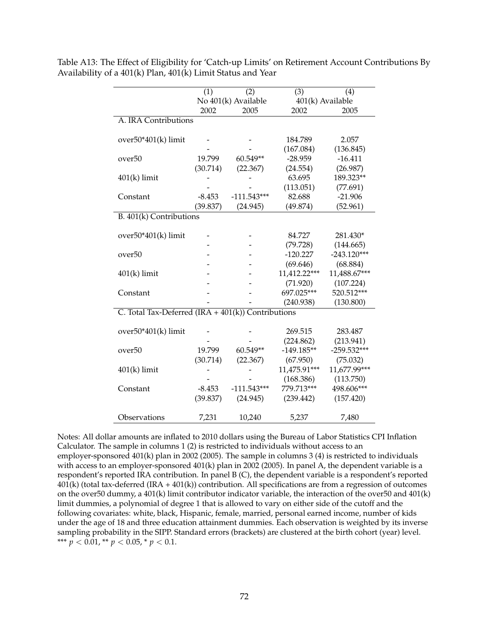|                                                      | (1)                 | (2)           | (3)              | (4)           |
|------------------------------------------------------|---------------------|---------------|------------------|---------------|
|                                                      | No 401(k) Available |               | 401(k) Available |               |
|                                                      | 2002                | 2005          | 2002             | 2005          |
| A. IRA Contributions                                 |                     |               |                  |               |
|                                                      |                     |               |                  |               |
| $over50*401(k)$ limit                                |                     |               | 184.789          | 2.057         |
|                                                      |                     |               | (167.084)        | (136.845)     |
| over <sub>50</sub>                                   | 19.799              | 60.549**      | $-28.959$        | $-16.411$     |
|                                                      | (30.714)            | (22.367)      | (24.554)         | (26.987)      |
| $401(k)$ limit                                       |                     |               | 63.695           | 189.323**     |
|                                                      |                     |               | (113.051)        | (77.691)      |
| Constant                                             | $-8.453$            | $-111.543***$ | 82.688           | $-21.906$     |
|                                                      | (39.837)            | (24.945)      | (49.874)         | (52.961)      |
| B. 401(k) Contributions                              |                     |               |                  |               |
|                                                      |                     |               |                  |               |
| over50*401(k) limit                                  |                     |               | 84.727           | 281.430*      |
|                                                      |                     |               | (79.728)         | (144.665)     |
| over <sub>50</sub>                                   |                     |               | $-120.227$       | $-243.120***$ |
|                                                      |                     |               | (69.646)         | (68.884)      |
| $401(k)$ limit                                       |                     |               | 11,412.22***     | 11,488.67***  |
|                                                      |                     |               | (71.920)         | (107.224)     |
| Constant                                             |                     |               | 697.025***       | 520.512***    |
|                                                      |                     |               | (240.938)        | (130.800)     |
| C. Total Tax-Deferred $(IRA + 401(k))$ Contributions |                     |               |                  |               |
|                                                      |                     |               |                  |               |
| over50*401(k) limit                                  |                     |               | 269.515          | 283.487       |
|                                                      |                     |               | (224.862)        | (213.941)     |
| over <sub>50</sub>                                   | 19.799              | 60.549**      | $-149.185**$     | $-259.532***$ |
|                                                      | (30.714)            | (22.367)      | (67.950)         | (75.032)      |
| $401(k)$ limit                                       |                     |               | 11,475.91***     | 11,677.99***  |
|                                                      |                     |               | (168.386)        | (113.750)     |
| Constant                                             | $-8.453$            | $-111.543***$ | 779.713***       | 498.606***    |
|                                                      | (39.837)            | (24.945)      | (239.442)        | (157.420)     |
|                                                      |                     |               |                  |               |
| Observations                                         | 7,231               | 10,240        | 5,237            | 7,480         |

<span id="page-72-0"></span>Table A13: The Effect of Eligibility for 'Catch-up Limits' on Retirement Account Contributions By Availability of a 401(k) Plan, 401(k) Limit Status and Year

Notes: All dollar amounts are inflated to 2010 dollars using the Bureau of Labor Statistics CPI Inflation Calculator. The sample in columns 1 (2) is restricted to individuals without access to an employer-sponsored 401(k) plan in 2002 (2005). The sample in columns 3 (4) is restricted to individuals with access to an employer-sponsored 401(k) plan in 2002 (2005). In panel A, the dependent variable is a respondent's reported IRA contribution. In panel B (C), the dependent variable is a respondent's reported 401(k) (total tax-deferred (IRA + 401(k)) contribution. All specifications are from a regression of outcomes on the over50 dummy, a 401(k) limit contributor indicator variable, the interaction of the over50 and 401(k) limit dummies, a polynomial of degree 1 that is allowed to vary on either side of the cutoff and the following covariates: white, black, Hispanic, female, married, personal earned income, number of kids under the age of 18 and three education attainment dummies. Each observation is weighted by its inverse sampling probability in the SIPP. Standard errors (brackets) are clustered at the birth cohort (year) level. \*\*\*  $p < 0.01$ , \*\*  $p < 0.05$ , \*  $p < 0.1$ .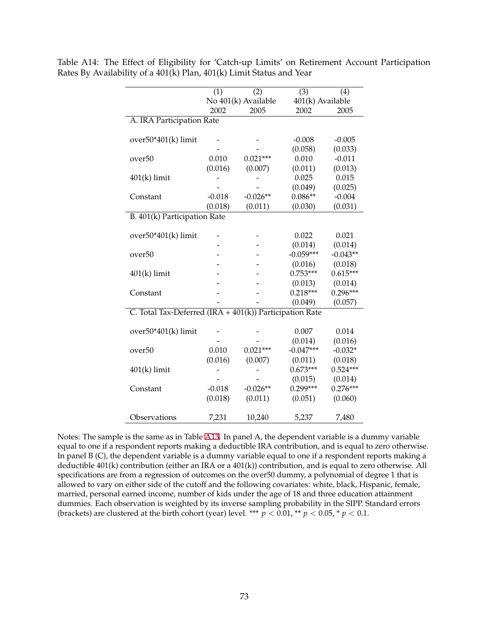|                                                         | (1)                 | (2)        | (3)              | (4)        |
|---------------------------------------------------------|---------------------|------------|------------------|------------|
|                                                         | No 401(k) Available |            | 401(k) Available |            |
|                                                         | 2002                | 2005       | 2002             | 2005       |
| A. IRA Participation Rate                               |                     |            |                  |            |
|                                                         |                     |            |                  |            |
| $over50*401(k)$ limit                                   |                     |            | $-0.008$         | $-0.005$   |
|                                                         |                     |            | (0.058)          | (0.033)    |
| over <sub>50</sub>                                      | 0.010               | $0.021***$ | 0.010            | $-0.011$   |
|                                                         | (0.016)             | (0.007)    | (0.011)          | (0.013)    |
| $401(k)$ limit                                          |                     |            | 0.025            | 0.015      |
|                                                         |                     |            | (0.049)          | (0.025)    |
| Constant                                                | $-0.018$            | $-0.026**$ | $0.086**$        | $-0.004$   |
|                                                         | (0.018)             | (0.011)    | (0.030)          | (0.031)    |
| B. 401(k) Participation Rate                            |                     |            |                  |            |
|                                                         |                     |            |                  |            |
| $over50*401(k)$ limit                                   |                     |            | 0.022            | 0.021      |
|                                                         |                     |            | (0.014)          | (0.014)    |
| over <sub>50</sub>                                      |                     |            | $-0.059***$      | $-0.043**$ |
|                                                         |                     |            | (0.016)          | (0.018)    |
| $401(k)$ limit                                          |                     |            | $0.753***$       | $0.615***$ |
|                                                         |                     |            | (0.013)          | (0.014)    |
| Constant                                                |                     |            | $0.218***$       | $0.296***$ |
|                                                         |                     |            | (0.049)          | (0.057)    |
| C. Total Tax-Deferred (IRA + 401(k)) Participation Rate |                     |            |                  |            |
|                                                         |                     |            |                  |            |
| $over50*401(k)$ limit                                   |                     |            | 0.007            | 0.014      |
|                                                         |                     |            | (0.014)          | (0.016)    |
| over <sub>50</sub>                                      | 0.010               | $0.021***$ | $-0.047***$      | $-0.032*$  |
|                                                         | (0.016)             | (0.007)    | (0.011)          | (0.018)    |
| $401(k)$ limit                                          |                     |            | $0.673***$       | $0.524***$ |
|                                                         |                     |            | (0.015)          | (0.014)    |
| Constant                                                | $-0.018$            | $-0.026**$ | $0.299***$       | $0.276***$ |
|                                                         | (0.018)             | (0.011)    | (0.051)          | (0.060)    |
|                                                         |                     |            |                  |            |
| Observations                                            | 7,231               | 10,240     | 5,237            | 7,480      |

Table A14: The Effect of Eligibility for 'Catch-up Limits' on Retirement Account Participation Rates By Availability of a 401(k) Plan, 401(k) Limit Status and Year

Notes: The sample is the same as in Table [A13](#page-72-0). In panel A, the dependent variable is a dummy variable equal to one if a respondent reports making a deductible IRA contribution, and is equal to zero otherwise. In panel B (C), the dependent variable is a dummy variable equal to one if a respondent reports making a deductible 401(k) contribution (either an IRA or a 401(k)) contribution, and is equal to zero otherwise. All specifications are from a regression of outcomes on the over50 dummy, a polynomial of degree 1 that is allowed to vary on either side of the cutoff and the following covariates: white, black, Hispanic, female, married, personal earned income, number of kids under the age of 18 and three education attainment dummies. Each observation is weighted by its inverse sampling probability in the SIPP. Standard errors (brackets) are clustered at the birth cohort (year) level. \*\*\*  $p < 0.01$ , \*\*  $p < 0.05$ , \*  $p < 0.1$ .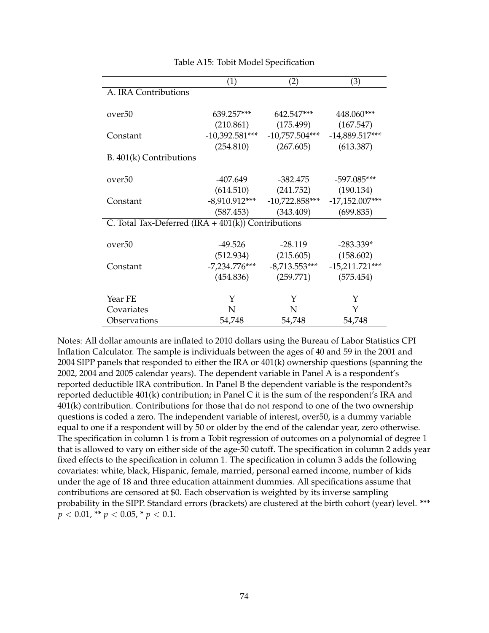|                                                      | (1)              | $\rm(2)$                         | (3)              |
|------------------------------------------------------|------------------|----------------------------------|------------------|
| A. IRA Contributions                                 |                  |                                  |                  |
|                                                      |                  |                                  |                  |
| over <sub>50</sub>                                   | 639.257***       | 642.547***                       | 448.060***       |
|                                                      | (210.861)        | (175.499)                        | (167.547)        |
| Constant                                             | $-10,392.581***$ | $-10,757.504***$                 | $-14,889.517***$ |
|                                                      | (254.810)        | (267.605)                        | (613.387)        |
| B. 401(k) Contributions                              |                  |                                  |                  |
|                                                      |                  |                                  |                  |
| over <sub>50</sub>                                   | -407.649         | -382.475                         | $-597.085***$    |
|                                                      | (614.510)        | (241.752)                        | (190.134)        |
| Constant                                             |                  | $-8,910.912***$ $-10,722.858***$ | $-17,152.007***$ |
|                                                      | (587.453)        | (343.409)                        | (699.835)        |
| C. Total Tax-Deferred $(IRA + 401(k))$ Contributions |                  |                                  |                  |
|                                                      |                  |                                  |                  |
| over <sub>50</sub>                                   | $-49.526$        | $-28.119$                        | $-283.339*$      |
|                                                      | (512.934)        | (215.605)                        | (158.602)        |
| Constant                                             | $-7,234.776***$  | $-8,713.553***$                  | $-15,211.721***$ |
|                                                      | (454.836)        | (259.771)                        | (575.454)        |
|                                                      |                  |                                  |                  |
| Year FE                                              | Y                | Y                                | Y                |
| Covariates                                           | N                | N                                | Y                |
| Observations                                         | 54,748           | 54,748                           | 54,748           |

Table A15: Tobit Model Specification

Notes: All dollar amounts are inflated to 2010 dollars using the Bureau of Labor Statistics CPI Inflation Calculator. The sample is individuals between the ages of 40 and 59 in the 2001 and 2004 SIPP panels that responded to either the IRA or 401(k) ownership questions (spanning the 2002, 2004 and 2005 calendar years). The dependent variable in Panel A is a respondent's reported deductible IRA contribution. In Panel B the dependent variable is the respondent?s reported deductible 401(k) contribution; in Panel C it is the sum of the respondent's IRA and 401(k) contribution. Contributions for those that do not respond to one of the two ownership questions is coded a zero. The independent variable of interest, over50, is a dummy variable equal to one if a respondent will by 50 or older by the end of the calendar year, zero otherwise. The specification in column 1 is from a Tobit regression of outcomes on a polynomial of degree 1 that is allowed to vary on either side of the age-50 cutoff. The specification in column 2 adds year fixed effects to the specification in column 1. The specification in column 3 adds the following covariates: white, black, Hispanic, female, married, personal earned income, number of kids under the age of 18 and three education attainment dummies. All specifications assume that contributions are censored at \$0. Each observation is weighted by its inverse sampling probability in the SIPP. Standard errors (brackets) are clustered at the birth cohort (year) level. \*\*\*  $p < 0.01$ , \*\*  $p < 0.05$ , \*  $p < 0.1$ .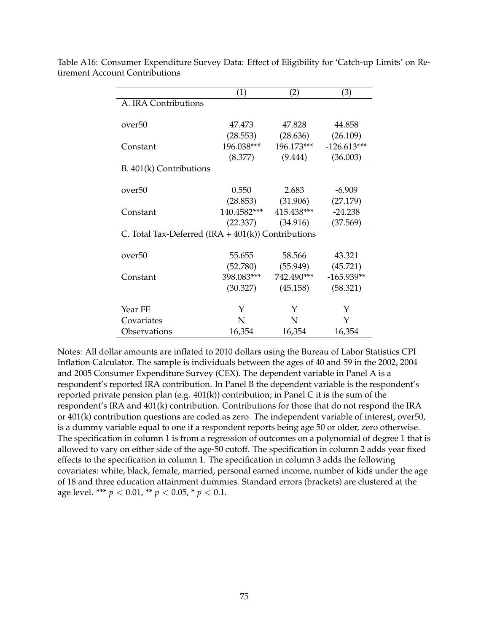|                                                      | (1)         | (2)                   | (3)           |
|------------------------------------------------------|-------------|-----------------------|---------------|
| A. IRA Contributions                                 |             |                       |               |
|                                                      |             |                       |               |
| over <sub>50</sub>                                   | 47.473      | 47.828                | 44.858        |
|                                                      | (28.553)    | (28.636)              | (26.109)      |
| Constant                                             | 196.038***  | 196.173***            | $-126.613***$ |
|                                                      | (8.377)     | (9.444)               | (36.003)      |
| B. 401(k) Contributions                              |             |                       |               |
|                                                      |             |                       |               |
| over <sub>50</sub>                                   | 0.550       | 2.683                 | $-6.909$      |
|                                                      |             | $(28.853)$ $(31.906)$ | (27.179)      |
| Constant                                             | 140.4582*** | 415.438***            | $-24.238$     |
|                                                      | (22.337)    | (34.916)              | (37.569)      |
| C. Total Tax-Deferred $(IRA + 401(k))$ Contributions |             |                       |               |
|                                                      |             |                       |               |
| over <sub>50</sub>                                   | 55.655      | 58.566                | 43.321        |
|                                                      | (52.780)    | (55.949)              | (45.721)      |
| Constant                                             | 398.083***  | 742.490***            | $-165.939**$  |
|                                                      | (30.327)    | (45.158)              | (58.321)      |
|                                                      |             |                       |               |
| Year FE                                              | Υ           | Y                     | Y             |
| Covariates                                           | N           | N                     | Y             |
| Observations                                         | 16,354      | 16,354                | 16,354        |

Table A16: Consumer Expenditure Survey Data: Effect of Eligibility for 'Catch-up Limits' on Retirement Account Contributions

Notes: All dollar amounts are inflated to 2010 dollars using the Bureau of Labor Statistics CPI Inflation Calculator. The sample is individuals between the ages of 40 and 59 in the 2002, 2004 and 2005 Consumer Expenditure Survey (CEX). The dependent variable in Panel A is a respondent's reported IRA contribution. In Panel B the dependent variable is the respondent's reported private pension plan (e.g. 401(k)) contribution; in Panel C it is the sum of the respondent's IRA and 401(k) contribution. Contributions for those that do not respond the IRA or 401(k) contribution questions are coded as zero. The independent variable of interest, over50, is a dummy variable equal to one if a respondent reports being age 50 or older, zero otherwise. The specification in column 1 is from a regression of outcomes on a polynomial of degree 1 that is allowed to vary on either side of the age-50 cutoff. The specification in column 2 adds year fixed effects to the specification in column 1. The specification in column 3 adds the following covariates: white, black, female, married, personal earned income, number of kids under the age of 18 and three education attainment dummies. Standard errors (brackets) are clustered at the age level. \*\*\*  $p < 0.01$ , \*\*  $p < 0.05$ , \*  $p < 0.1$ .